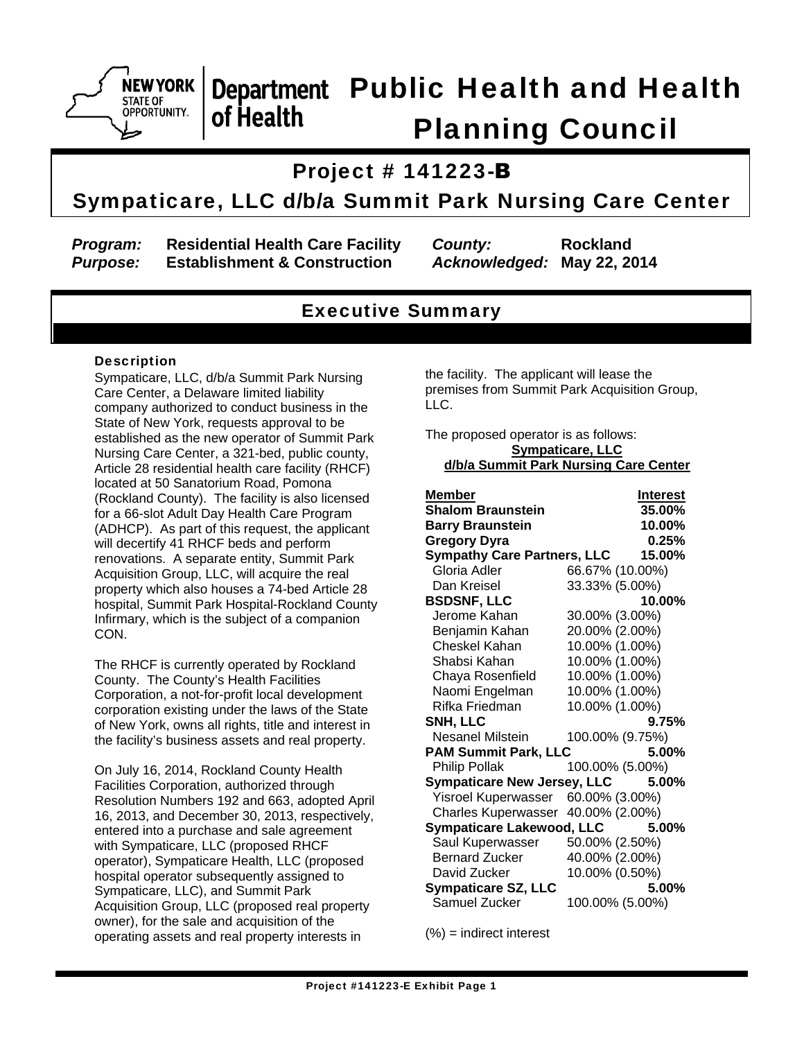

## Department Public Health and Health of Health Planning Council

## Project # 141223-B

## Sympaticare, LLC d/b/a Summit Park Nursing Care Center

*Program:* **Residential Health Care Facility** *County:* **Rockland** *Purpose:* **Establishment & Construction** *Acknowledged:* **May 22, 2014**

## Executive Summary

### **Description**

Sympaticare, LLC, d/b/a Summit Park Nursing Care Center, a Delaware limited liability company authorized to conduct business in the State of New York, requests approval to be established as the new operator of Summit Park Nursing Care Center, a 321-bed, public county, Article 28 residential health care facility (RHCF) located at 50 Sanatorium Road, Pomona (Rockland County). The facility is also licensed for a 66-slot Adult Day Health Care Program (ADHCP). As part of this request, the applicant will decertify 41 RHCF beds and perform renovations. A separate entity, Summit Park Acquisition Group, LLC, will acquire the real property which also houses a 74-bed Article 28 hospital, Summit Park Hospital-Rockland County Infirmary, which is the subject of a companion CON.

The RHCF is currently operated by Rockland County. The County's Health Facilities Corporation, a not-for-profit local development corporation existing under the laws of the State of New York, owns all rights, title and interest in the facility's business assets and real property.

On July 16, 2014, Rockland County Health Facilities Corporation, authorized through Resolution Numbers 192 and 663, adopted April 16, 2013, and December 30, 2013, respectively, entered into a purchase and sale agreement with Sympaticare, LLC (proposed RHCF operator), Sympaticare Health, LLC (proposed hospital operator subsequently assigned to Sympaticare, LLC), and Summit Park Acquisition Group, LLC (proposed real property owner), for the sale and acquisition of the operating assets and real property interests in

the facility. The applicant will lease the premises from Summit Park Acquisition Group, LLC.

The proposed operator is as follows: **Sympaticare, LLC d/b/a Summit Park Nursing Care Center** 

| Member                             | <b>Interest</b> |
|------------------------------------|-----------------|
| <b>Shalom Braunstein</b>           | 35.00%          |
| <b>Barry Braunstein</b>            | 10.00%          |
| <b>Gregory Dyra</b>                | 0.25%           |
| <b>Sympathy Care Partners, LLC</b> | 15.00%          |
| Gloria Adler                       | 66.67% (10.00%) |
| Dan Kreisel                        | 33.33% (5.00%)  |
| <b>BSDSNF, LLC</b>                 | 10.00%          |
| Jerome Kahan                       | 30.00% (3.00%)  |
| Benjamin Kahan                     | 20.00% (2.00%)  |
| Cheskel Kahan                      | 10.00% (1.00%)  |
| Shabsi Kahan                       | 10.00% (1.00%)  |
| Chaya Rosenfield                   | 10.00% (1.00%)  |
| Naomi Engelman                     | 10.00% (1.00%)  |
| Rifka Friedman                     | 10.00% (1.00%)  |
| SNH, LLC                           | $9.75\%$        |
| Nesanel Milstein                   | 100.00% (9.75%) |
| <b>PAM Summit Park, LLC</b>        | 5.00%           |
| Philip Pollak                      | 100.00% (5.00%) |
| <b>Sympaticare New Jersey, LLC</b> | 5.00%           |
| <b>Yisroel Kuperwasser</b>         | 60.00% (3.00%)  |
| <b>Charles Kuperwasser</b>         | 40.00% (2.00%)  |
| <b>Sympaticare Lakewood, LLC</b>   | 5.00%           |
| Saul Kuperwasser                   | 50.00% (2.50%)  |
| <b>Bernard Zucker</b>              | 40.00% (2.00%)  |
| David Zucker                       | 10.00% (0.50%)  |
| <b>Sympaticare SZ, LLC</b>         | 5.00%           |
| Samuel Zucker                      | 100.00% (5.00%) |

(%) = indirect interest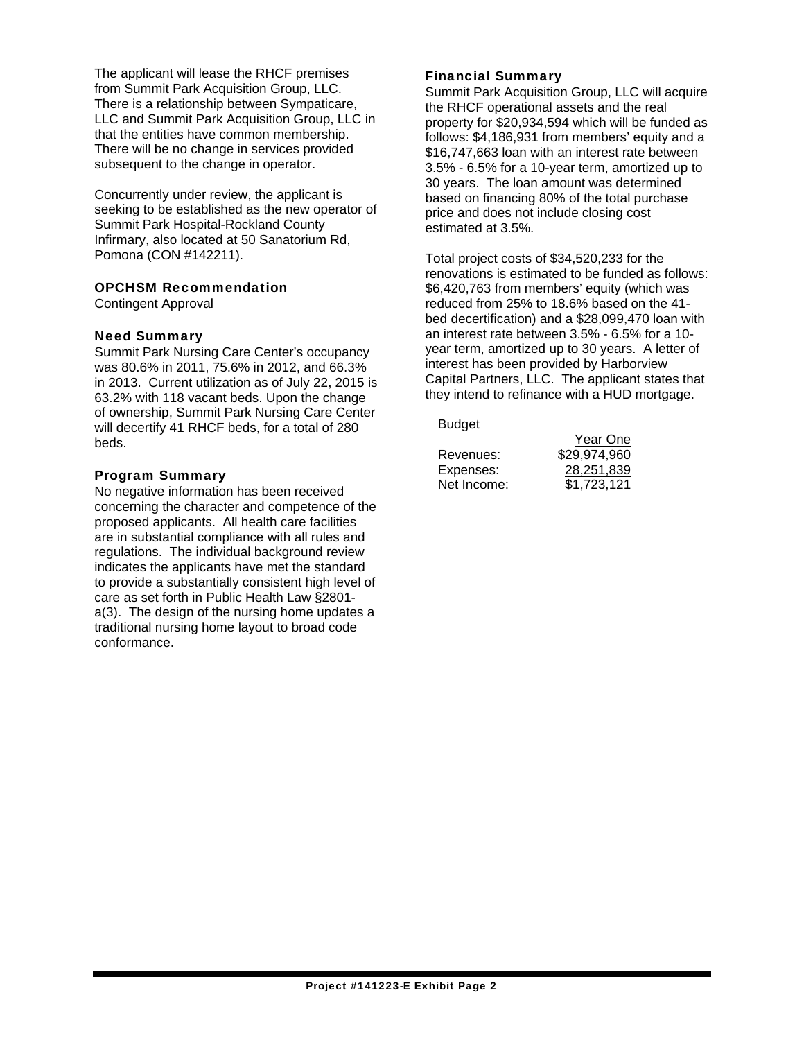The applicant will lease the RHCF premises from Summit Park Acquisition Group, LLC. There is a relationship between Sympaticare, LLC and Summit Park Acquisition Group, LLC in that the entities have common membership. There will be no change in services provided subsequent to the change in operator.

Concurrently under review, the applicant is seeking to be established as the new operator of Summit Park Hospital-Rockland County Infirmary, also located at 50 Sanatorium Rd, Pomona (CON #142211).

### OPCHSM Recommendation

Contingent Approval

#### Need Summary

Summit Park Nursing Care Center's occupancy was 80.6% in 2011, 75.6% in 2012, and 66.3% in 2013. Current utilization as of July 22, 2015 is 63.2% with 118 vacant beds. Upon the change of ownership, Summit Park Nursing Care Center will decertify 41 RHCF beds, for a total of 280 beds.

#### Program Summary

No negative information has been received concerning the character and competence of the proposed applicants. All health care facilities are in substantial compliance with all rules and regulations. The individual background review indicates the applicants have met the standard to provide a substantially consistent high level of care as set forth in Public Health Law §2801 a(3). The design of the nursing home updates a traditional nursing home layout to broad code conformance.

#### Financial Summary

Summit Park Acquisition Group, LLC will acquire the RHCF operational assets and the real property for \$20,934,594 which will be funded as follows: \$4,186,931 from members' equity and a \$16,747,663 loan with an interest rate between 3.5% - 6.5% for a 10-year term, amortized up to 30 years. The loan amount was determined based on financing 80% of the total purchase price and does not include closing cost estimated at 3.5%.

Total project costs of \$34,520,233 for the renovations is estimated to be funded as follows: \$6,420,763 from members' equity (which was reduced from 25% to 18.6% based on the 41 bed decertification) and a \$28,099,470 loan with an interest rate between 3.5% - 6.5% for a 10 year term, amortized up to 30 years. A letter of interest has been provided by Harborview Capital Partners, LLC. The applicant states that they intend to refinance with a HUD mortgage.

Budget

| ______      | Year One     |
|-------------|--------------|
| Revenues:   | \$29,974,960 |
| Expenses:   | 28,251,839   |
| Net Income: | \$1,723,121  |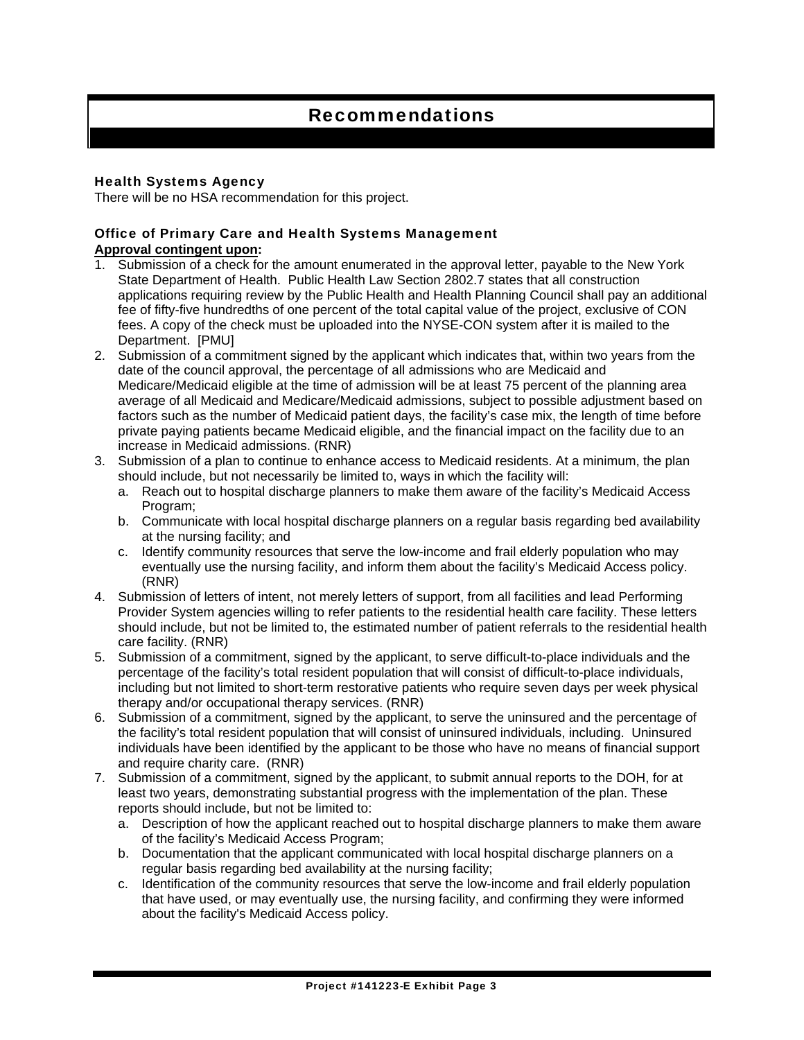## Recommendations

### Health Systems Agency

There will be no HSA recommendation for this project.

#### Office of Primary Care and Health Systems Management **Approval contingent upon:**

- 1. Submission of a check for the amount enumerated in the approval letter, payable to the New York State Department of Health. Public Health Law Section 2802.7 states that all construction applications requiring review by the Public Health and Health Planning Council shall pay an additional fee of fifty-five hundredths of one percent of the total capital value of the project, exclusive of CON fees. A copy of the check must be uploaded into the NYSE-CON system after it is mailed to the Department. [PMU]
- 2. Submission of a commitment signed by the applicant which indicates that, within two years from the date of the council approval, the percentage of all admissions who are Medicaid and Medicare/Medicaid eligible at the time of admission will be at least 75 percent of the planning area average of all Medicaid and Medicare/Medicaid admissions, subject to possible adjustment based on factors such as the number of Medicaid patient days, the facility's case mix, the length of time before private paying patients became Medicaid eligible, and the financial impact on the facility due to an increase in Medicaid admissions. (RNR)
- 3. Submission of a plan to continue to enhance access to Medicaid residents. At a minimum, the plan should include, but not necessarily be limited to, ways in which the facility will:
	- a. Reach out to hospital discharge planners to make them aware of the facility's Medicaid Access Program;
	- b. Communicate with local hospital discharge planners on a regular basis regarding bed availability at the nursing facility; and
	- c. Identify community resources that serve the low-income and frail elderly population who may eventually use the nursing facility, and inform them about the facility's Medicaid Access policy. (RNR)
- 4. Submission of letters of intent, not merely letters of support, from all facilities and lead Performing Provider System agencies willing to refer patients to the residential health care facility. These letters should include, but not be limited to, the estimated number of patient referrals to the residential health care facility. (RNR)
- 5. Submission of a commitment, signed by the applicant, to serve difficult-to-place individuals and the percentage of the facility's total resident population that will consist of difficult-to-place individuals, including but not limited to short-term restorative patients who require seven days per week physical therapy and/or occupational therapy services. (RNR)
- 6. Submission of a commitment, signed by the applicant, to serve the uninsured and the percentage of the facility's total resident population that will consist of uninsured individuals, including. Uninsured individuals have been identified by the applicant to be those who have no means of financial support and require charity care. (RNR)
- 7. Submission of a commitment, signed by the applicant, to submit annual reports to the DOH, for at least two years, demonstrating substantial progress with the implementation of the plan. These reports should include, but not be limited to:
	- a. Description of how the applicant reached out to hospital discharge planners to make them aware of the facility's Medicaid Access Program;
	- b. Documentation that the applicant communicated with local hospital discharge planners on a regular basis regarding bed availability at the nursing facility;
	- c. Identification of the community resources that serve the low-income and frail elderly population that have used, or may eventually use, the nursing facility, and confirming they were informed about the facility's Medicaid Access policy.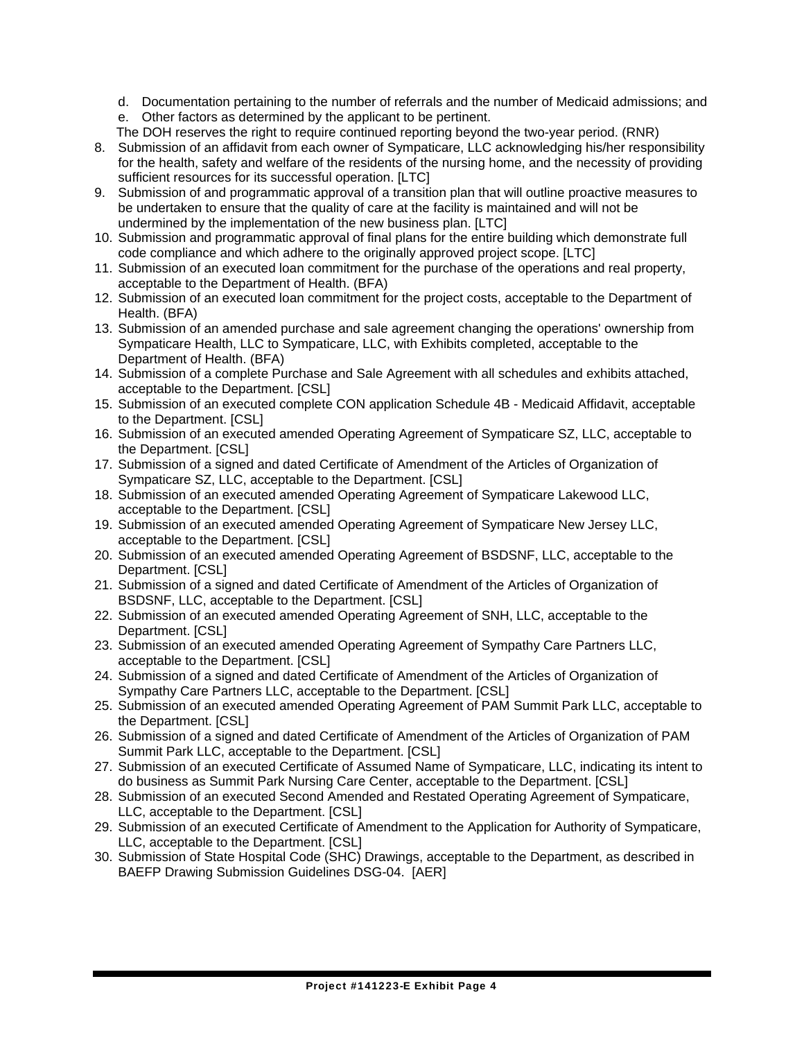d. Documentation pertaining to the number of referrals and the number of Medicaid admissions; and

- e. Other factors as determined by the applicant to be pertinent.
- The DOH reserves the right to require continued reporting beyond the two-year period. (RNR)
- 8. Submission of an affidavit from each owner of Sympaticare, LLC acknowledging his/her responsibility for the health, safety and welfare of the residents of the nursing home, and the necessity of providing sufficient resources for its successful operation. [LTC]
- 9. Submission of and programmatic approval of a transition plan that will outline proactive measures to be undertaken to ensure that the quality of care at the facility is maintained and will not be undermined by the implementation of the new business plan. [LTC]
- 10. Submission and programmatic approval of final plans for the entire building which demonstrate full code compliance and which adhere to the originally approved project scope. [LTC]
- 11. Submission of an executed loan commitment for the purchase of the operations and real property, acceptable to the Department of Health. (BFA)
- 12. Submission of an executed loan commitment for the project costs, acceptable to the Department of Health. (BFA)
- 13. Submission of an amended purchase and sale agreement changing the operations' ownership from Sympaticare Health, LLC to Sympaticare, LLC, with Exhibits completed, acceptable to the Department of Health. (BFA)
- 14. Submission of a complete Purchase and Sale Agreement with all schedules and exhibits attached, acceptable to the Department. [CSL]
- 15. Submission of an executed complete CON application Schedule 4B Medicaid Affidavit, acceptable to the Department. [CSL]
- 16. Submission of an executed amended Operating Agreement of Sympaticare SZ, LLC, acceptable to the Department. [CSL]
- 17. Submission of a signed and dated Certificate of Amendment of the Articles of Organization of Sympaticare SZ, LLC, acceptable to the Department. [CSL]
- 18. Submission of an executed amended Operating Agreement of Sympaticare Lakewood LLC, acceptable to the Department. [CSL]
- 19. Submission of an executed amended Operating Agreement of Sympaticare New Jersey LLC, acceptable to the Department. [CSL]
- 20. Submission of an executed amended Operating Agreement of BSDSNF, LLC, acceptable to the Department. [CSL]
- 21. Submission of a signed and dated Certificate of Amendment of the Articles of Organization of BSDSNF, LLC, acceptable to the Department. [CSL]
- 22. Submission of an executed amended Operating Agreement of SNH, LLC, acceptable to the Department. **[CSL]**
- 23. Submission of an executed amended Operating Agreement of Sympathy Care Partners LLC, acceptable to the Department. [CSL]
- 24. Submission of a signed and dated Certificate of Amendment of the Articles of Organization of Sympathy Care Partners LLC, acceptable to the Department. [CSL]
- 25. Submission of an executed amended Operating Agreement of PAM Summit Park LLC, acceptable to the Department. [CSL]
- 26. Submission of a signed and dated Certificate of Amendment of the Articles of Organization of PAM Summit Park LLC, acceptable to the Department. [CSL]
- 27. Submission of an executed Certificate of Assumed Name of Sympaticare, LLC, indicating its intent to do business as Summit Park Nursing Care Center, acceptable to the Department. [CSL]
- 28. Submission of an executed Second Amended and Restated Operating Agreement of Sympaticare, LLC, acceptable to the Department. [CSL]
- 29. Submission of an executed Certificate of Amendment to the Application for Authority of Sympaticare, LLC, acceptable to the Department. [CSL]
- 30. Submission of State Hospital Code (SHC) Drawings, acceptable to the Department, as described in BAEFP Drawing Submission Guidelines DSG-04. [AER]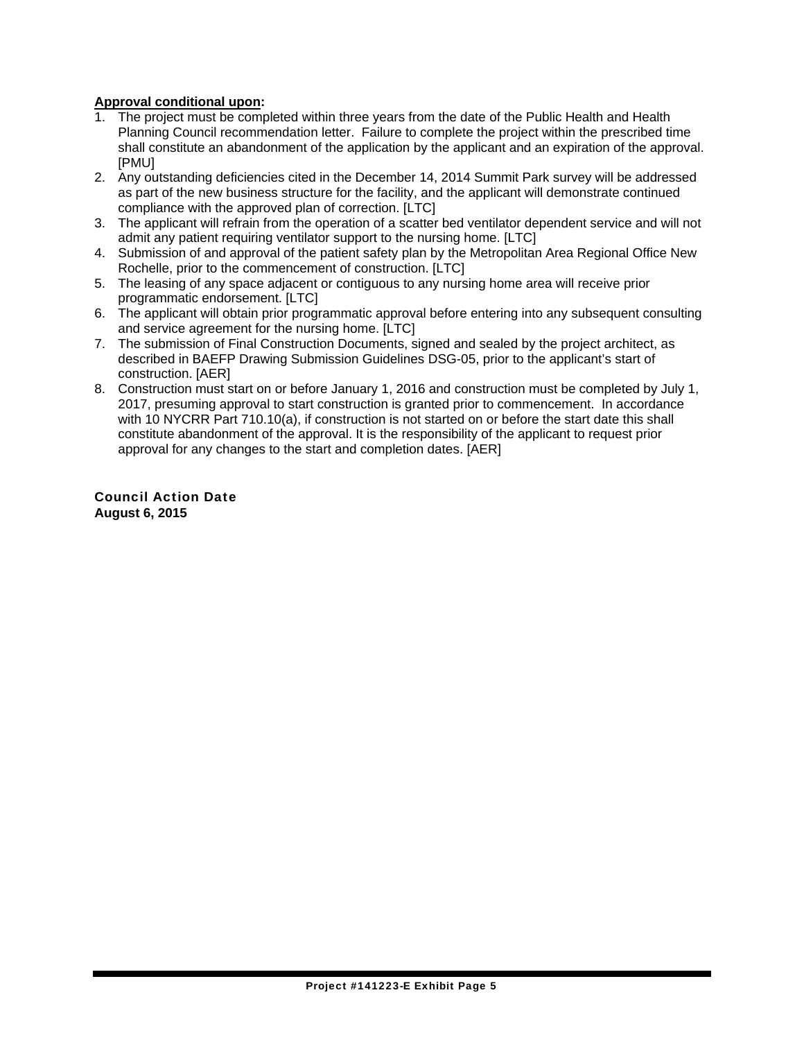### **Approval conditional upon:**

- 1. The project must be completed within three years from the date of the Public Health and Health Planning Council recommendation letter. Failure to complete the project within the prescribed time shall constitute an abandonment of the application by the applicant and an expiration of the approval. [PMU]
- 2. Any outstanding deficiencies cited in the December 14, 2014 Summit Park survey will be addressed as part of the new business structure for the facility, and the applicant will demonstrate continued compliance with the approved plan of correction. [LTC]
- 3. The applicant will refrain from the operation of a scatter bed ventilator dependent service and will not admit any patient requiring ventilator support to the nursing home. [LTC]
- 4. Submission of and approval of the patient safety plan by the Metropolitan Area Regional Office New Rochelle, prior to the commencement of construction. [LTC]
- 5. The leasing of any space adjacent or contiguous to any nursing home area will receive prior programmatic endorsement. [LTC]
- 6. The applicant will obtain prior programmatic approval before entering into any subsequent consulting and service agreement for the nursing home. [LTC]
- 7. The submission of Final Construction Documents, signed and sealed by the project architect, as described in BAEFP Drawing Submission Guidelines DSG-05, prior to the applicant's start of construction. [AER]
- 8. Construction must start on or before January 1, 2016 and construction must be completed by July 1, 2017, presuming approval to start construction is granted prior to commencement. In accordance with 10 NYCRR Part 710.10(a), if construction is not started on or before the start date this shall constitute abandonment of the approval. It is the responsibility of the applicant to request prior approval for any changes to the start and completion dates. [AER]

Council Action Date **August 6, 2015**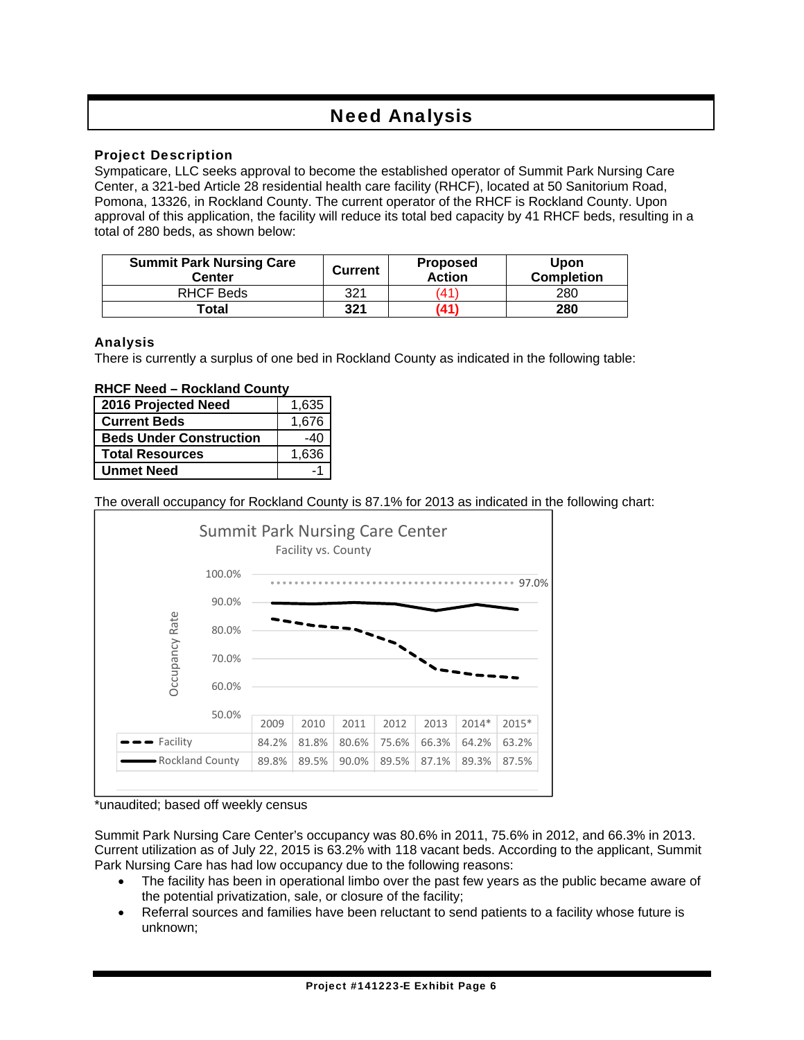## Need Analysis

### Project Description

Sympaticare, LLC seeks approval to become the established operator of Summit Park Nursing Care Center, a 321-bed Article 28 residential health care facility (RHCF), located at 50 Sanitorium Road, Pomona, 13326, in Rockland County. The current operator of the RHCF is Rockland County. Upon approval of this application, the facility will reduce its total bed capacity by 41 RHCF beds, resulting in a total of 280 beds, as shown below:

| <b>Summit Park Nursing Care</b><br>Center | <b>Current</b> | <b>Proposed</b><br><b>Action</b> | <b>Upon</b><br><b>Completion</b> |
|-------------------------------------------|----------------|----------------------------------|----------------------------------|
| RHCF Beds                                 | 321            | 41                               | 280                              |
| Total                                     | 321            | '41                              | 280                              |

### Analysis

There is currently a surplus of one bed in Rockland County as indicated in the following table:

#### **RHCF Need – Rockland County**

| 2016 Projected Need            | 1,635  |
|--------------------------------|--------|
| <b>Current Beds</b>            | 1,676  |
| <b>Beds Under Construction</b> | $-4()$ |
| <b>Total Resources</b>         | 1,636  |
| <b>Unmet Need</b>              |        |

The overall occupancy for Rockland County is 87.1% for 2013 as indicated in the following chart:



#### \*unaudited; based off weekly census

Summit Park Nursing Care Center's occupancy was 80.6% in 2011, 75.6% in 2012, and 66.3% in 2013. Current utilization as of July 22, 2015 is 63.2% with 118 vacant beds. According to the applicant, Summit Park Nursing Care has had low occupancy due to the following reasons:

- The facility has been in operational limbo over the past few years as the public became aware of the potential privatization, sale, or closure of the facility;
- Referral sources and families have been reluctant to send patients to a facility whose future is unknown;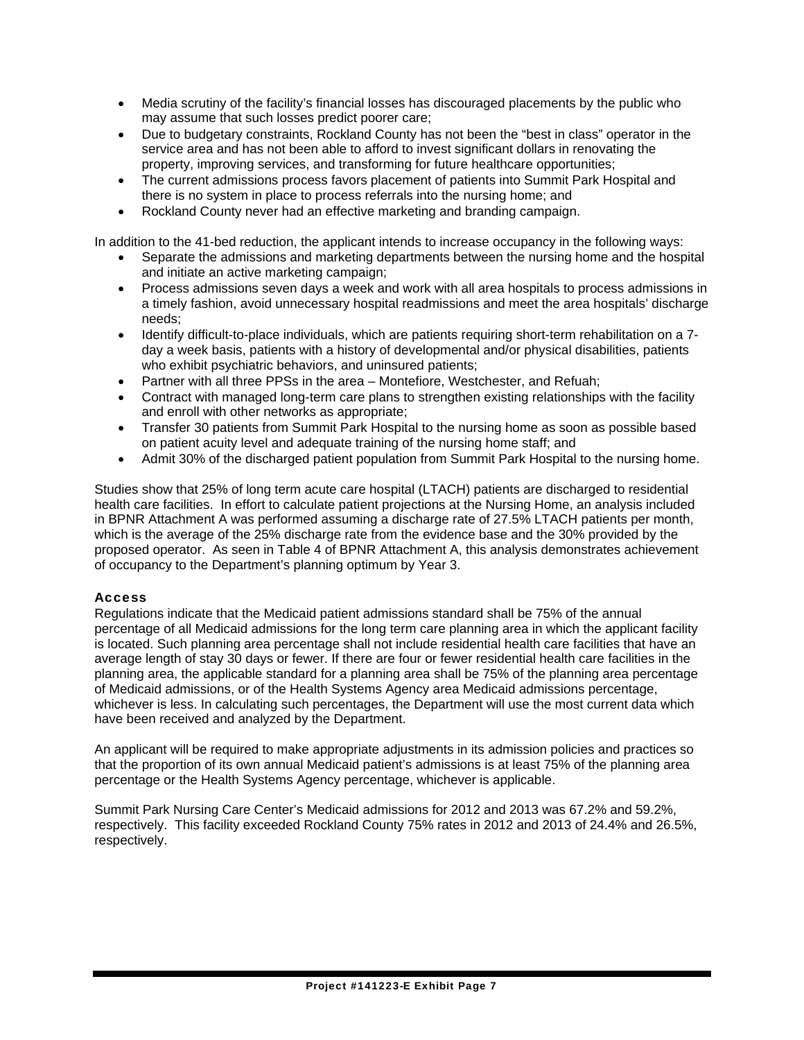- Media scrutiny of the facility's financial losses has discouraged placements by the public who may assume that such losses predict poorer care;
- Due to budgetary constraints, Rockland County has not been the "best in class" operator in the service area and has not been able to afford to invest significant dollars in renovating the property, improving services, and transforming for future healthcare opportunities;
- The current admissions process favors placement of patients into Summit Park Hospital and there is no system in place to process referrals into the nursing home; and
- Rockland County never had an effective marketing and branding campaign.

In addition to the 41-bed reduction, the applicant intends to increase occupancy in the following ways:

- Separate the admissions and marketing departments between the nursing home and the hospital and initiate an active marketing campaign;
- Process admissions seven days a week and work with all area hospitals to process admissions in a timely fashion, avoid unnecessary hospital readmissions and meet the area hospitals' discharge needs;
- Identify difficult-to-place individuals, which are patients requiring short-term rehabilitation on a 7 day a week basis, patients with a history of developmental and/or physical disabilities, patients who exhibit psychiatric behaviors, and uninsured patients;
- Partner with all three PPSs in the area Montefiore, Westchester, and Refuah;
- Contract with managed long-term care plans to strengthen existing relationships with the facility and enroll with other networks as appropriate;
- Transfer 30 patients from Summit Park Hospital to the nursing home as soon as possible based on patient acuity level and adequate training of the nursing home staff; and
- Admit 30% of the discharged patient population from Summit Park Hospital to the nursing home.

Studies show that 25% of long term acute care hospital (LTACH) patients are discharged to residential health care facilities. In effort to calculate patient projections at the Nursing Home, an analysis included in BPNR Attachment A was performed assuming a discharge rate of 27.5% LTACH patients per month, which is the average of the 25% discharge rate from the evidence base and the 30% provided by the proposed operator. As seen in Table 4 of BPNR Attachment A, this analysis demonstrates achievement of occupancy to the Department's planning optimum by Year 3.

### **Access**

Regulations indicate that the Medicaid patient admissions standard shall be 75% of the annual percentage of all Medicaid admissions for the long term care planning area in which the applicant facility is located. Such planning area percentage shall not include residential health care facilities that have an average length of stay 30 days or fewer. If there are four or fewer residential health care facilities in the planning area, the applicable standard for a planning area shall be 75% of the planning area percentage of Medicaid admissions, or of the Health Systems Agency area Medicaid admissions percentage, whichever is less. In calculating such percentages, the Department will use the most current data which have been received and analyzed by the Department.

An applicant will be required to make appropriate adjustments in its admission policies and practices so that the proportion of its own annual Medicaid patient's admissions is at least 75% of the planning area percentage or the Health Systems Agency percentage, whichever is applicable.

Summit Park Nursing Care Center's Medicaid admissions for 2012 and 2013 was 67.2% and 59.2%, respectively. This facility exceeded Rockland County 75% rates in 2012 and 2013 of 24.4% and 26.5%, respectively.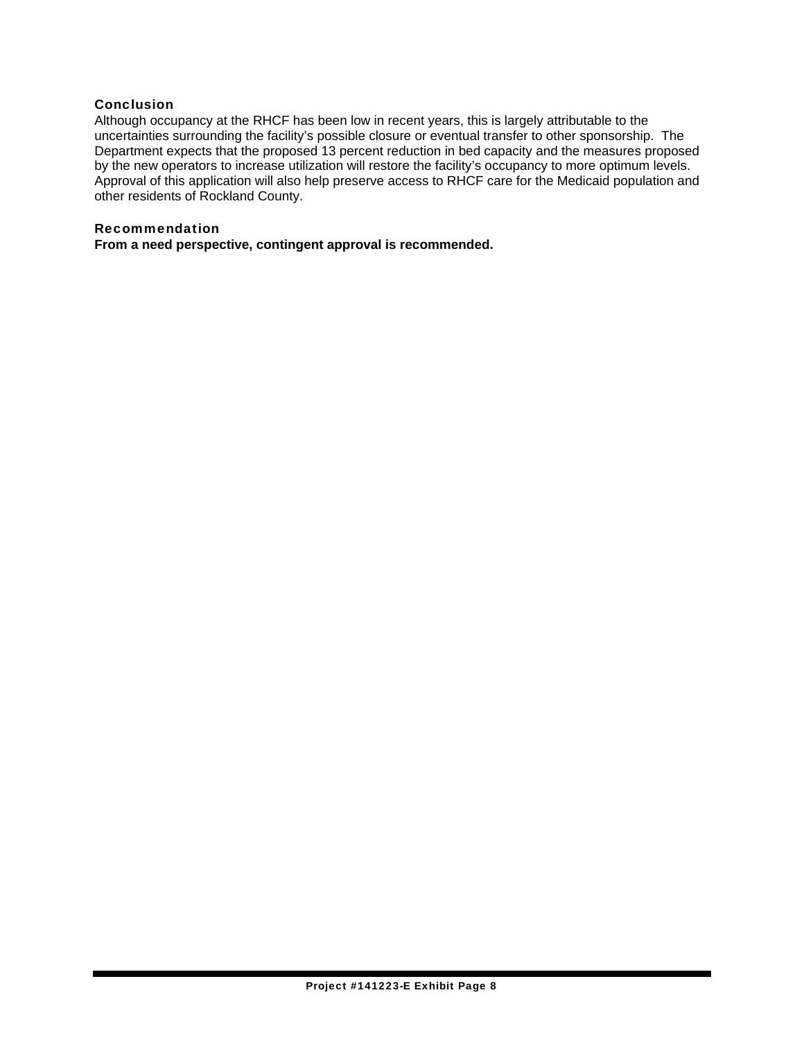#### Conclusion

Although occupancy at the RHCF has been low in recent years, this is largely attributable to the uncertainties surrounding the facility's possible closure or eventual transfer to other sponsorship. The Department expects that the proposed 13 percent reduction in bed capacity and the measures proposed by the new operators to increase utilization will restore the facility's occupancy to more optimum levels. Approval of this application will also help preserve access to RHCF care for the Medicaid population and other residents of Rockland County.

#### Recommendation

**From a need perspective, contingent approval is recommended.**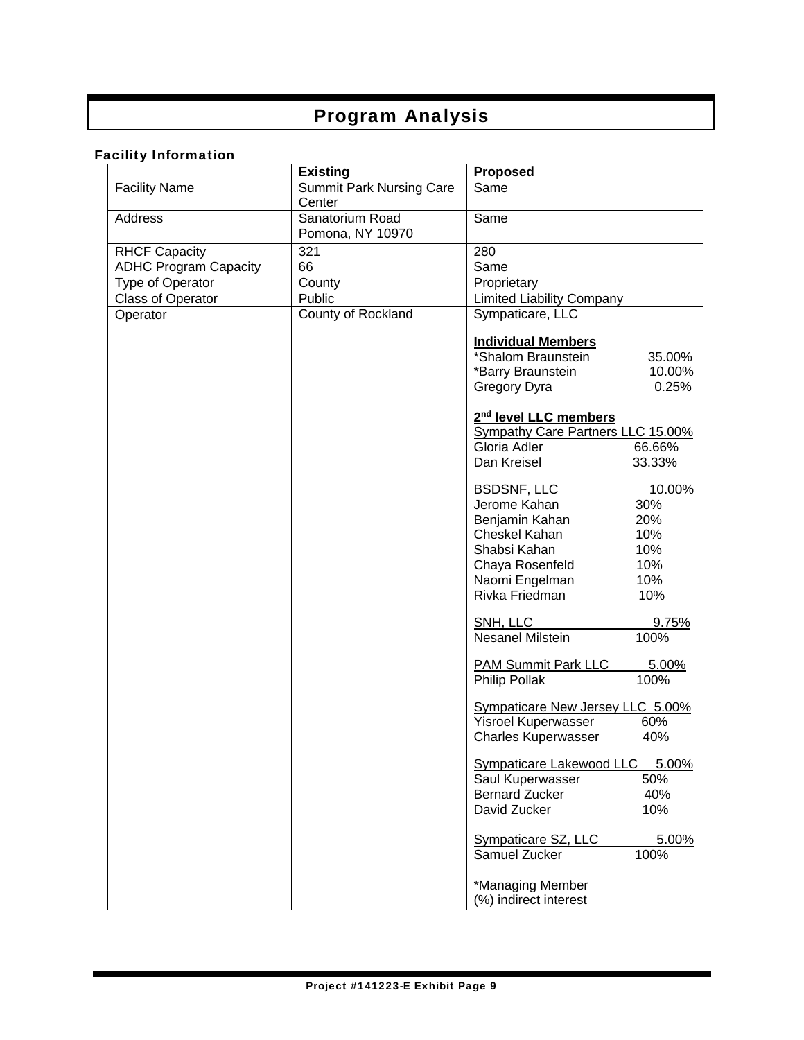## Program Analysis

## Facility Information

|                              | <b>Existing</b>                 | <b>Proposed</b>                                                        |  |
|------------------------------|---------------------------------|------------------------------------------------------------------------|--|
| <b>Facility Name</b>         | <b>Summit Park Nursing Care</b> | Same                                                                   |  |
|                              | Center                          |                                                                        |  |
| Address                      | Sanatorium Road                 | Same                                                                   |  |
|                              | Pomona, NY 10970                |                                                                        |  |
| <b>RHCF Capacity</b>         | 321                             | 280                                                                    |  |
| <b>ADHC Program Capacity</b> | 66                              | Same                                                                   |  |
| Type of Operator             | County                          | Proprietary                                                            |  |
| <b>Class of Operator</b>     | Public                          | <b>Limited Liability Company</b>                                       |  |
| Operator                     | County of Rockland              | Sympaticare, LLC                                                       |  |
|                              |                                 |                                                                        |  |
|                              |                                 | <b>Individual Members</b>                                              |  |
|                              |                                 | *Shalom Braunstein<br>35.00%                                           |  |
|                              |                                 | 10.00%<br>*Barry Braunstein                                            |  |
|                              |                                 | 0.25%<br>Gregory Dyra                                                  |  |
|                              |                                 |                                                                        |  |
|                              |                                 | 2 <sup>nd</sup> level LLC members<br>Sympathy Care Partners LLC 15.00% |  |
|                              |                                 | Gloria Adler<br>66.66%                                                 |  |
|                              |                                 | Dan Kreisel<br>33.33%                                                  |  |
|                              |                                 |                                                                        |  |
|                              |                                 | <b>BSDSNF, LLC</b><br>10.00%                                           |  |
|                              |                                 | Jerome Kahan<br>30%                                                    |  |
|                              |                                 | Benjamin Kahan<br>20%                                                  |  |
|                              |                                 | 10%<br>Cheskel Kahan                                                   |  |
|                              |                                 | 10%<br>Shabsi Kahan                                                    |  |
|                              |                                 | 10%<br>Chaya Rosenfeld                                                 |  |
|                              |                                 | Naomi Engelman<br>10%                                                  |  |
|                              |                                 | Rivka Friedman<br>10%                                                  |  |
|                              |                                 | SNH, LLC<br>9.75%                                                      |  |
|                              |                                 | <b>Nesanel Milstein</b><br>100%                                        |  |
|                              |                                 |                                                                        |  |
|                              |                                 | <b>PAM Summit Park LLC</b><br>5.00%                                    |  |
|                              |                                 | <b>Philip Pollak</b><br>100%                                           |  |
|                              |                                 | Sympaticare New Jersey LLC 5.00%                                       |  |
|                              |                                 | Yisroel Kuperwasser<br>60%                                             |  |
|                              |                                 | <b>Charles Kuperwasser</b><br>40%                                      |  |
|                              |                                 |                                                                        |  |
|                              |                                 | Sympaticare Lakewood LLC<br>5.00%                                      |  |
|                              |                                 | 50%<br>Saul Kuperwasser<br><b>Bernard Zucker</b><br>40%                |  |
|                              |                                 | David Zucker<br>10%                                                    |  |
|                              |                                 |                                                                        |  |
|                              |                                 | Sympaticare SZ, LLC<br>5.00%                                           |  |
|                              |                                 | Samuel Zucker<br>100%                                                  |  |
|                              |                                 |                                                                        |  |
|                              |                                 | *Managing Member                                                       |  |
|                              |                                 | (%) indirect interest                                                  |  |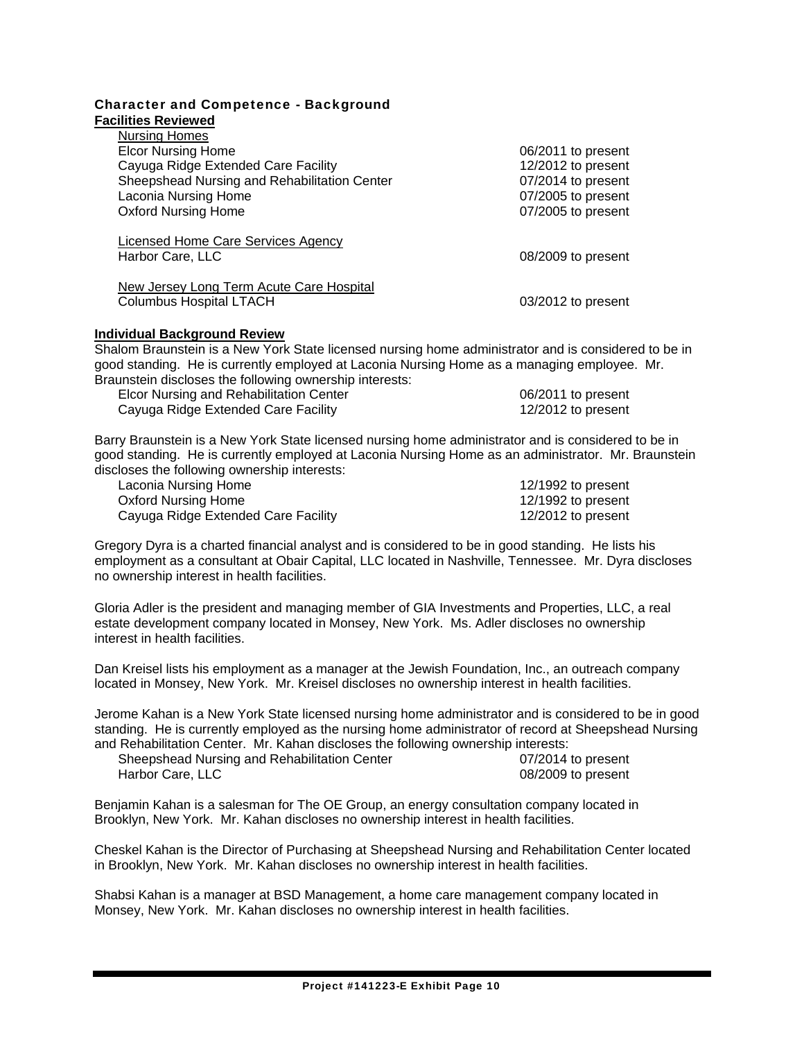|                            | <b>Character and Competence - Background</b> |
|----------------------------|----------------------------------------------|
| <b>Facilities Reviewed</b> |                                              |

| <b>Nursing Homes</b>                                                              |                    |
|-----------------------------------------------------------------------------------|--------------------|
| <b>Elcor Nursing Home</b>                                                         | 06/2011 to present |
| Cayuga Ridge Extended Care Facility                                               | 12/2012 to present |
| Sheepshead Nursing and Rehabilitation Center                                      | 07/2014 to present |
| Laconia Nursing Home                                                              | 07/2005 to present |
| <b>Oxford Nursing Home</b>                                                        | 07/2005 to present |
| <b>Licensed Home Care Services Agency</b><br>Harbor Care, LLC                     | 08/2009 to present |
| <b>New Jersey Long Term Acute Care Hospital</b><br><b>Columbus Hospital LTACH</b> | 03/2012 to present |
| <b>Individual Background Review</b>                                               |                    |

Shalom Braunstein is a New York State licensed nursing home administrator and is considered to be in good standing. He is currently employed at Laconia Nursing Home as a managing employee. Mr. Braunstein discloses the following ownership interests:

| Elcor Nursing and Rehabilitation Center | 06/2011 to present |
|-----------------------------------------|--------------------|
| Cayuga Ridge Extended Care Facility     | 12/2012 to present |

Barry Braunstein is a New York State licensed nursing home administrator and is considered to be in good standing. He is currently employed at Laconia Nursing Home as an administrator. Mr. Braunstein discloses the following ownership interests:

| Laconia Nursing Home                | 12/1992 to present |
|-------------------------------------|--------------------|
| Oxford Nursing Home                 | 12/1992 to present |
| Cayuga Ridge Extended Care Facility | 12/2012 to present |

| 12/1992 to present |  |
|--------------------|--|
| 12/1992 to present |  |
| 12/2012 to present |  |

Gregory Dyra is a charted financial analyst and is considered to be in good standing. He lists his employment as a consultant at Obair Capital, LLC located in Nashville, Tennessee. Mr. Dyra discloses no ownership interest in health facilities.

Gloria Adler is the president and managing member of GIA Investments and Properties, LLC, a real estate development company located in Monsey, New York. Ms. Adler discloses no ownership interest in health facilities.

Dan Kreisel lists his employment as a manager at the Jewish Foundation, Inc., an outreach company located in Monsey, New York. Mr. Kreisel discloses no ownership interest in health facilities.

Jerome Kahan is a New York State licensed nursing home administrator and is considered to be in good standing. He is currently employed as the nursing home administrator of record at Sheepshead Nursing and Rehabilitation Center. Mr. Kahan discloses the following ownership interests:

Sheepshead Nursing and Rehabilitation Center 07/2014 to present<br>
Harbor Care, LLC<br>
08/2009 to present

 $08/2009$  to present

Benjamin Kahan is a salesman for The OE Group, an energy consultation company located in Brooklyn, New York. Mr. Kahan discloses no ownership interest in health facilities.

Cheskel Kahan is the Director of Purchasing at Sheepshead Nursing and Rehabilitation Center located in Brooklyn, New York. Mr. Kahan discloses no ownership interest in health facilities.

Shabsi Kahan is a manager at BSD Management, a home care management company located in Monsey, New York. Mr. Kahan discloses no ownership interest in health facilities.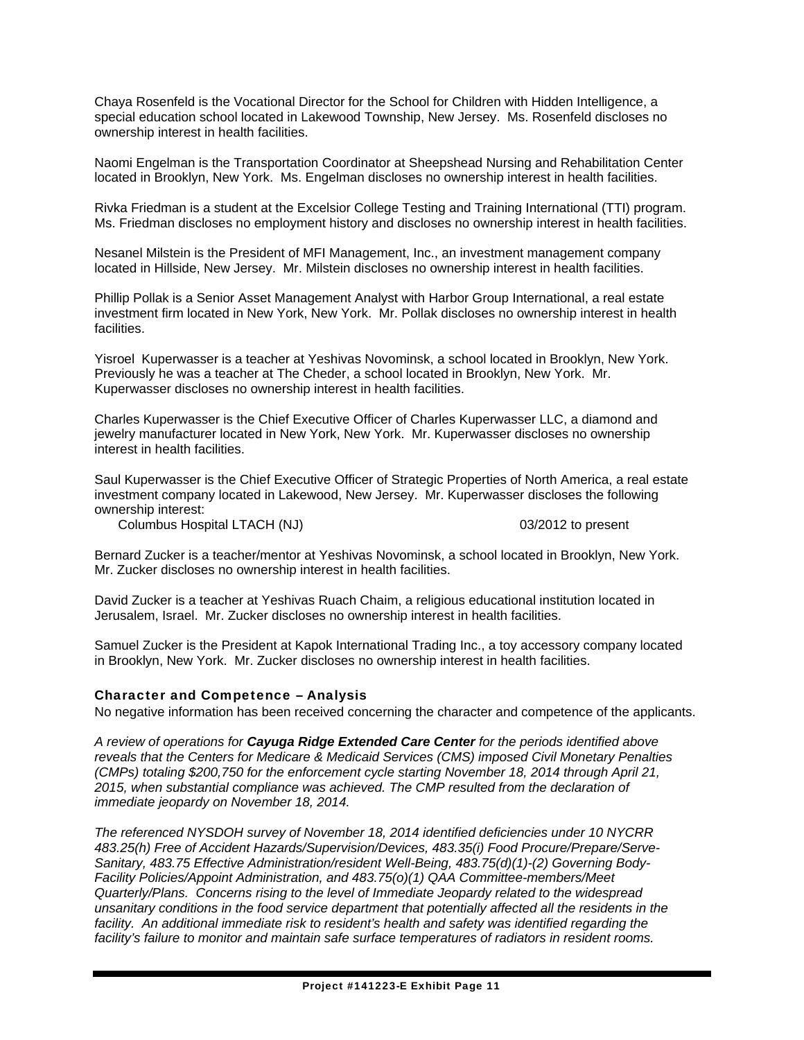Chaya Rosenfeld is the Vocational Director for the School for Children with Hidden Intelligence, a special education school located in Lakewood Township, New Jersey. Ms. Rosenfeld discloses no ownership interest in health facilities.

Naomi Engelman is the Transportation Coordinator at Sheepshead Nursing and Rehabilitation Center located in Brooklyn, New York. Ms. Engelman discloses no ownership interest in health facilities.

Rivka Friedman is a student at the Excelsior College Testing and Training International (TTI) program. Ms. Friedman discloses no employment history and discloses no ownership interest in health facilities.

Nesanel Milstein is the President of MFI Management, Inc., an investment management company located in Hillside, New Jersey. Mr. Milstein discloses no ownership interest in health facilities.

Phillip Pollak is a Senior Asset Management Analyst with Harbor Group International, a real estate investment firm located in New York, New York. Mr. Pollak discloses no ownership interest in health facilities.

Yisroel Kuperwasser is a teacher at Yeshivas Novominsk, a school located in Brooklyn, New York. Previously he was a teacher at The Cheder, a school located in Brooklyn, New York. Mr. Kuperwasser discloses no ownership interest in health facilities.

Charles Kuperwasser is the Chief Executive Officer of Charles Kuperwasser LLC, a diamond and jewelry manufacturer located in New York, New York. Mr. Kuperwasser discloses no ownership interest in health facilities.

Saul Kuperwasser is the Chief Executive Officer of Strategic Properties of North America, a real estate investment company located in Lakewood, New Jersey. Mr. Kuperwasser discloses the following ownership interest:

Columbus Hospital LTACH (NJ) 03/2012 to present

Bernard Zucker is a teacher/mentor at Yeshivas Novominsk, a school located in Brooklyn, New York. Mr. Zucker discloses no ownership interest in health facilities.

David Zucker is a teacher at Yeshivas Ruach Chaim, a religious educational institution located in Jerusalem, Israel. Mr. Zucker discloses no ownership interest in health facilities.

Samuel Zucker is the President at Kapok International Trading Inc., a toy accessory company located in Brooklyn, New York. Mr. Zucker discloses no ownership interest in health facilities.

#### Character and Competence – Analysis

No negative information has been received concerning the character and competence of the applicants.

*A review of operations for Cayuga Ridge Extended Care Center for the periods identified above reveals that the Centers for Medicare & Medicaid Services (CMS) imposed Civil Monetary Penalties (CMPs) totaling \$200,750 for the enforcement cycle starting November 18, 2014 through April 21, 2015, when substantial compliance was achieved. The CMP resulted from the declaration of immediate jeopardy on November 18, 2014.* 

*The referenced NYSDOH survey of November 18, 2014 identified deficiencies under 10 NYCRR 483.25(h) Free of Accident Hazards/Supervision/Devices, 483.35(i) Food Procure/Prepare/Serve-Sanitary, 483.75 Effective Administration/resident Well-Being, 483.75(d)(1)-(2) Governing Body-Facility Policies/Appoint Administration, and 483.75(o)(1) QAA Committee-members/Meet Quarterly/Plans. Concerns rising to the level of Immediate Jeopardy related to the widespread unsanitary conditions in the food service department that potentially affected all the residents in the*  facility. An additional immediate risk to resident's health and safety was identified regarding the *facility's failure to monitor and maintain safe surface temperatures of radiators in resident rooms.*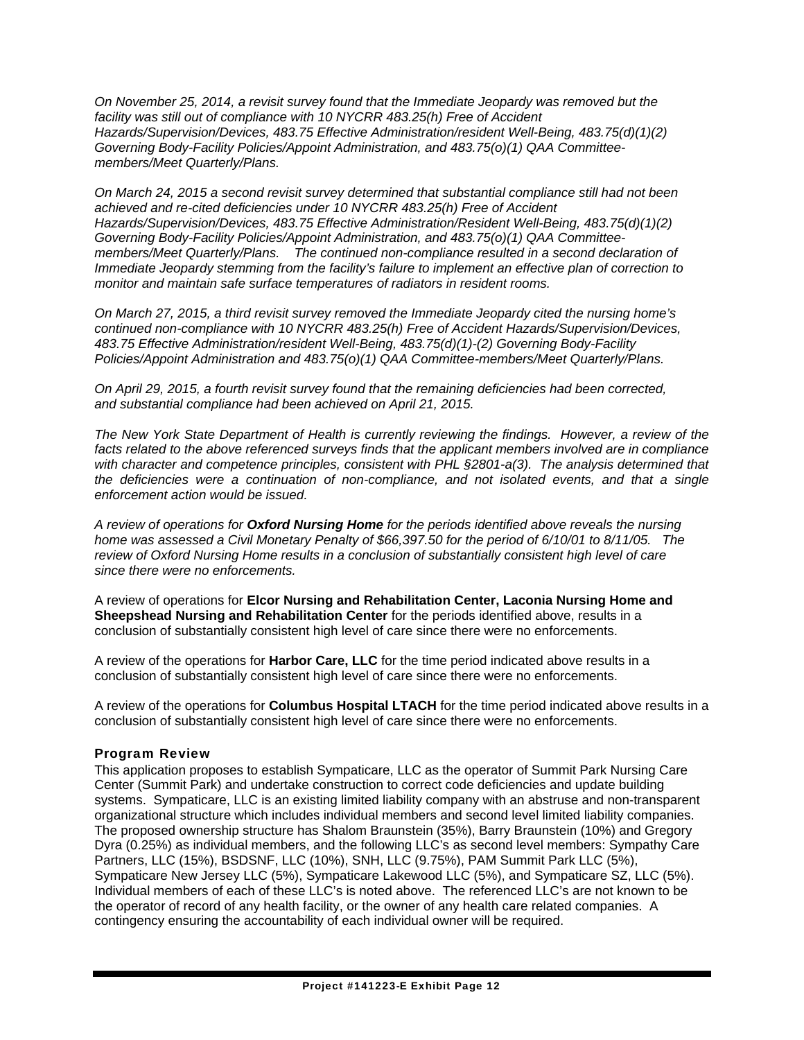*On November 25, 2014, a revisit survey found that the Immediate Jeopardy was removed but the facility was still out of compliance with 10 NYCRR 483.25(h) Free of Accident Hazards/Supervision/Devices, 483.75 Effective Administration/resident Well-Being, 483.75(d)(1)(2) Governing Body-Facility Policies/Appoint Administration, and 483.75(o)(1) QAA Committeemembers/Meet Quarterly/Plans.* 

*On March 24, 2015 a second revisit survey determined that substantial compliance still had not been achieved and re-cited deficiencies under 10 NYCRR 483.25(h) Free of Accident Hazards/Supervision/Devices, 483.75 Effective Administration/Resident Well-Being, 483.75(d)(1)(2) Governing Body-Facility Policies/Appoint Administration, and 483.75(o)(1) QAA Committeemembers/Meet Quarterly/Plans. The continued non-compliance resulted in a second declaration of Immediate Jeopardy stemming from the facility's failure to implement an effective plan of correction to monitor and maintain safe surface temperatures of radiators in resident rooms.* 

*On March 27, 2015, a third revisit survey removed the Immediate Jeopardy cited the nursing home's continued non-compliance with 10 NYCRR 483.25(h) Free of Accident Hazards/Supervision/Devices, 483.75 Effective Administration/resident Well-Being, 483.75(d)(1)-(2) Governing Body-Facility Policies/Appoint Administration and 483.75(o)(1) QAA Committee-members/Meet Quarterly/Plans.* 

*On April 29, 2015, a fourth revisit survey found that the remaining deficiencies had been corrected, and substantial compliance had been achieved on April 21, 2015.* 

*The New York State Department of Health is currently reviewing the findings. However, a review of the facts related to the above referenced surveys finds that the applicant members involved are in compliance with character and competence principles, consistent with PHL §2801-a(3). The analysis determined that the deficiencies were a continuation of non-compliance, and not isolated events, and that a single enforcement action would be issued.* 

*A review of operations for Oxford Nursing Home for the periods identified above reveals the nursing home was assessed a Civil Monetary Penalty of \$66,397.50 for the period of 6/10/01 to 8/11/05. The review of Oxford Nursing Home results in a conclusion of substantially consistent high level of care since there were no enforcements.* 

A review of operations for **Elcor Nursing and Rehabilitation Center, Laconia Nursing Home and Sheepshead Nursing and Rehabilitation Center** for the periods identified above, results in a conclusion of substantially consistent high level of care since there were no enforcements.

A review of the operations for **Harbor Care, LLC** for the time period indicated above results in a conclusion of substantially consistent high level of care since there were no enforcements.

A review of the operations for **Columbus Hospital LTACH** for the time period indicated above results in a conclusion of substantially consistent high level of care since there were no enforcements.

#### Program Review

This application proposes to establish Sympaticare, LLC as the operator of Summit Park Nursing Care Center (Summit Park) and undertake construction to correct code deficiencies and update building systems. Sympaticare, LLC is an existing limited liability company with an abstruse and non-transparent organizational structure which includes individual members and second level limited liability companies. The proposed ownership structure has Shalom Braunstein (35%), Barry Braunstein (10%) and Gregory Dyra (0.25%) as individual members, and the following LLC's as second level members: Sympathy Care Partners, LLC (15%), BSDSNF, LLC (10%), SNH, LLC (9.75%), PAM Summit Park LLC (5%), Sympaticare New Jersey LLC (5%), Sympaticare Lakewood LLC (5%), and Sympaticare SZ, LLC (5%). Individual members of each of these LLC's is noted above. The referenced LLC's are not known to be the operator of record of any health facility, or the owner of any health care related companies. A contingency ensuring the accountability of each individual owner will be required.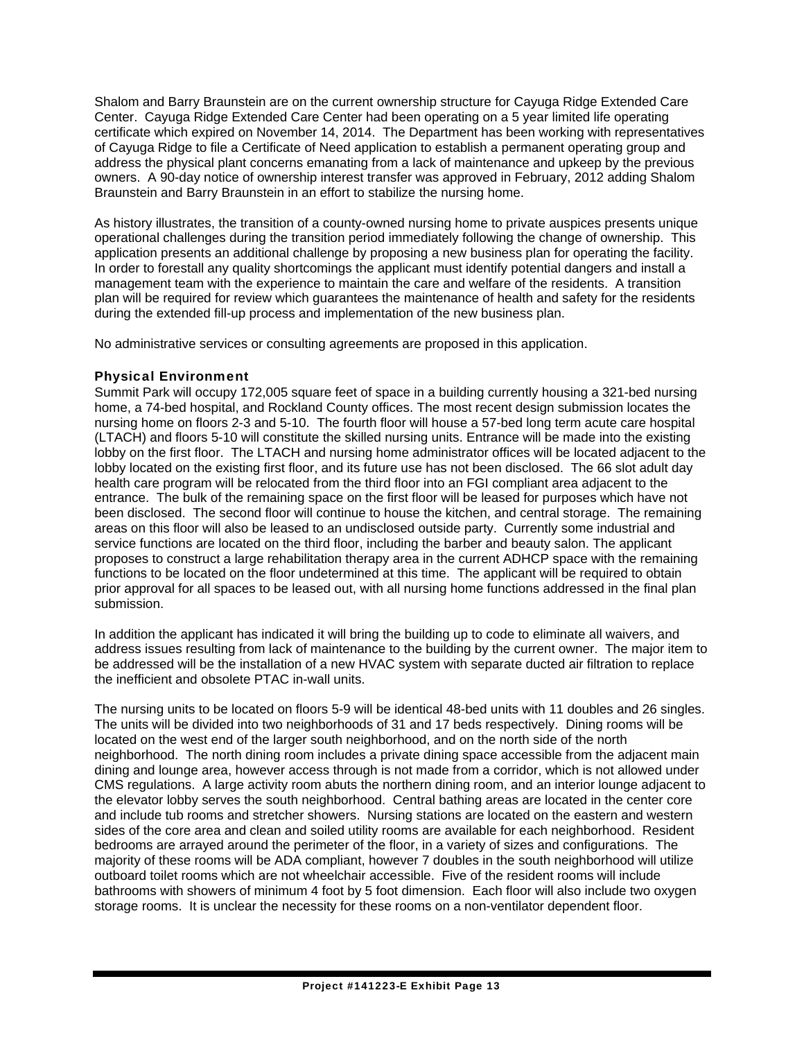Shalom and Barry Braunstein are on the current ownership structure for Cayuga Ridge Extended Care Center. Cayuga Ridge Extended Care Center had been operating on a 5 year limited life operating certificate which expired on November 14, 2014. The Department has been working with representatives of Cayuga Ridge to file a Certificate of Need application to establish a permanent operating group and address the physical plant concerns emanating from a lack of maintenance and upkeep by the previous owners. A 90-day notice of ownership interest transfer was approved in February, 2012 adding Shalom Braunstein and Barry Braunstein in an effort to stabilize the nursing home.

As history illustrates, the transition of a county-owned nursing home to private auspices presents unique operational challenges during the transition period immediately following the change of ownership. This application presents an additional challenge by proposing a new business plan for operating the facility. In order to forestall any quality shortcomings the applicant must identify potential dangers and install a management team with the experience to maintain the care and welfare of the residents. A transition plan will be required for review which guarantees the maintenance of health and safety for the residents during the extended fill-up process and implementation of the new business plan.

No administrative services or consulting agreements are proposed in this application.

### Physical Environment

Summit Park will occupy 172,005 square feet of space in a building currently housing a 321-bed nursing home, a 74-bed hospital, and Rockland County offices. The most recent design submission locates the nursing home on floors 2-3 and 5-10. The fourth floor will house a 57-bed long term acute care hospital (LTACH) and floors 5-10 will constitute the skilled nursing units. Entrance will be made into the existing lobby on the first floor. The LTACH and nursing home administrator offices will be located adjacent to the lobby located on the existing first floor, and its future use has not been disclosed. The 66 slot adult day health care program will be relocated from the third floor into an FGI compliant area adjacent to the entrance. The bulk of the remaining space on the first floor will be leased for purposes which have not been disclosed. The second floor will continue to house the kitchen, and central storage. The remaining areas on this floor will also be leased to an undisclosed outside party. Currently some industrial and service functions are located on the third floor, including the barber and beauty salon. The applicant proposes to construct a large rehabilitation therapy area in the current ADHCP space with the remaining functions to be located on the floor undetermined at this time. The applicant will be required to obtain prior approval for all spaces to be leased out, with all nursing home functions addressed in the final plan submission.

In addition the applicant has indicated it will bring the building up to code to eliminate all waivers, and address issues resulting from lack of maintenance to the building by the current owner. The major item to be addressed will be the installation of a new HVAC system with separate ducted air filtration to replace the inefficient and obsolete PTAC in-wall units.

The nursing units to be located on floors 5-9 will be identical 48-bed units with 11 doubles and 26 singles. The units will be divided into two neighborhoods of 31 and 17 beds respectively. Dining rooms will be located on the west end of the larger south neighborhood, and on the north side of the north neighborhood. The north dining room includes a private dining space accessible from the adjacent main dining and lounge area, however access through is not made from a corridor, which is not allowed under CMS regulations. A large activity room abuts the northern dining room, and an interior lounge adjacent to the elevator lobby serves the south neighborhood. Central bathing areas are located in the center core and include tub rooms and stretcher showers. Nursing stations are located on the eastern and western sides of the core area and clean and soiled utility rooms are available for each neighborhood. Resident bedrooms are arrayed around the perimeter of the floor, in a variety of sizes and configurations. The majority of these rooms will be ADA compliant, however 7 doubles in the south neighborhood will utilize outboard toilet rooms which are not wheelchair accessible. Five of the resident rooms will include bathrooms with showers of minimum 4 foot by 5 foot dimension. Each floor will also include two oxygen storage rooms. It is unclear the necessity for these rooms on a non-ventilator dependent floor.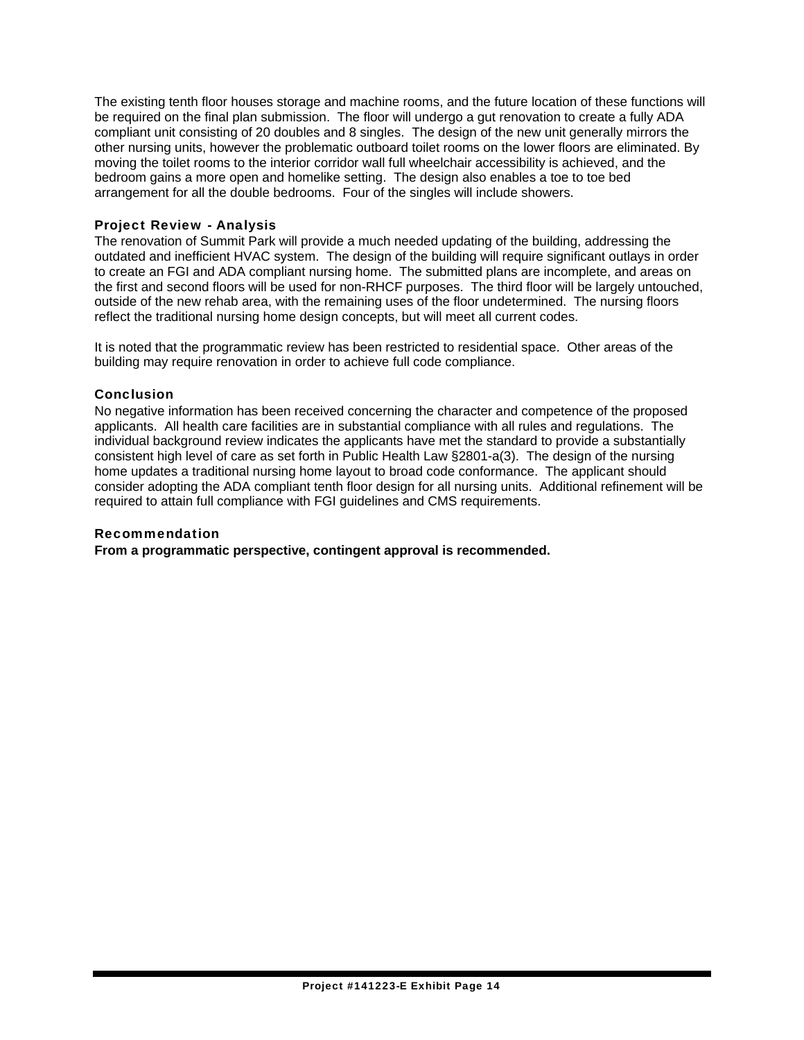The existing tenth floor houses storage and machine rooms, and the future location of these functions will be required on the final plan submission. The floor will undergo a gut renovation to create a fully ADA compliant unit consisting of 20 doubles and 8 singles. The design of the new unit generally mirrors the other nursing units, however the problematic outboard toilet rooms on the lower floors are eliminated. By moving the toilet rooms to the interior corridor wall full wheelchair accessibility is achieved, and the bedroom gains a more open and homelike setting. The design also enables a toe to toe bed arrangement for all the double bedrooms. Four of the singles will include showers.

### Project Review - Analysis

The renovation of Summit Park will provide a much needed updating of the building, addressing the outdated and inefficient HVAC system. The design of the building will require significant outlays in order to create an FGI and ADA compliant nursing home. The submitted plans are incomplete, and areas on the first and second floors will be used for non-RHCF purposes. The third floor will be largely untouched, outside of the new rehab area, with the remaining uses of the floor undetermined. The nursing floors reflect the traditional nursing home design concepts, but will meet all current codes.

It is noted that the programmatic review has been restricted to residential space. Other areas of the building may require renovation in order to achieve full code compliance.

#### **Conclusion**

No negative information has been received concerning the character and competence of the proposed applicants. All health care facilities are in substantial compliance with all rules and regulations. The individual background review indicates the applicants have met the standard to provide a substantially consistent high level of care as set forth in Public Health Law §2801-a(3). The design of the nursing home updates a traditional nursing home layout to broad code conformance. The applicant should consider adopting the ADA compliant tenth floor design for all nursing units. Additional refinement will be required to attain full compliance with FGI guidelines and CMS requirements.

#### Recommendation

**From a programmatic perspective, contingent approval is recommended.**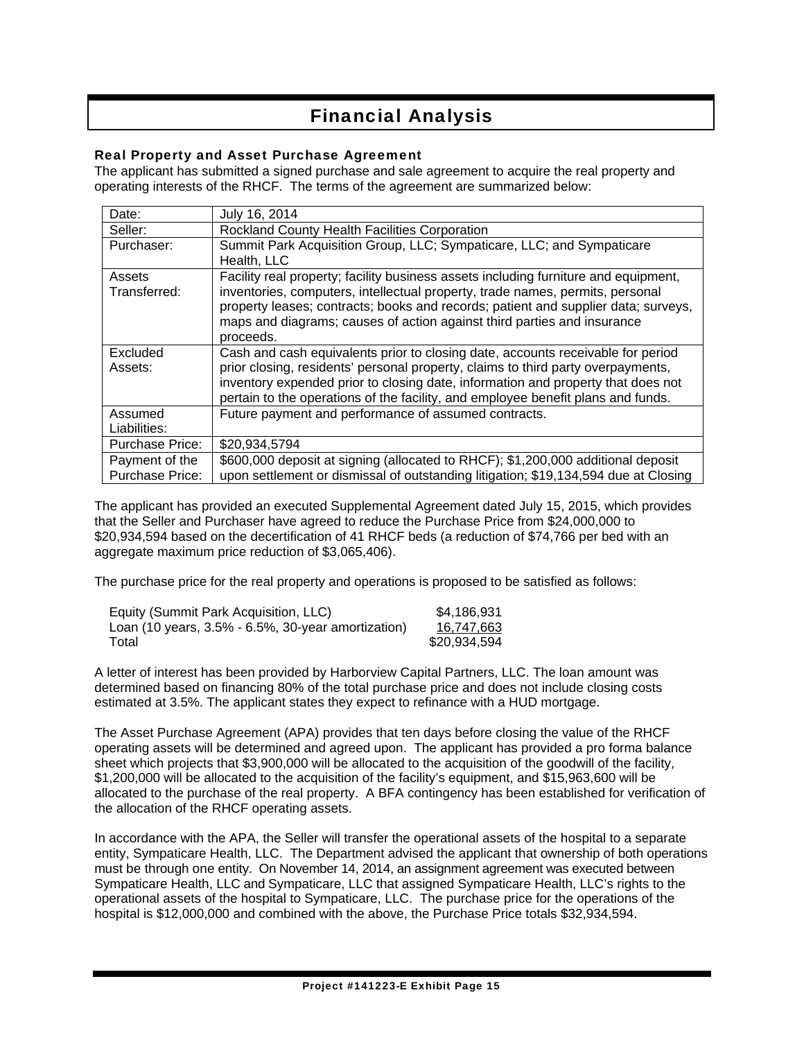## Financial Analysis

### Real Property and Asset Purchase Agreement

The applicant has submitted a signed purchase and sale agreement to acquire the real property and operating interests of the RHCF. The terms of the agreement are summarized below:

| Date:                  | July 16, 2014                                                                       |
|------------------------|-------------------------------------------------------------------------------------|
| Seller:                | Rockland County Health Facilities Corporation                                       |
| Purchaser:             | Summit Park Acquisition Group, LLC; Sympaticare, LLC; and Sympaticare               |
|                        | Health, LLC                                                                         |
| Assets                 | Facility real property; facility business assets including furniture and equipment, |
| Transferred:           | inventories, computers, intellectual property, trade names, permits, personal       |
|                        | property leases; contracts; books and records; patient and supplier data; surveys,  |
|                        | maps and diagrams; causes of action against third parties and insurance             |
|                        | proceeds.                                                                           |
| Excluded               | Cash and cash equivalents prior to closing date, accounts receivable for period     |
| Assets:                | prior closing, residents' personal property, claims to third party overpayments,    |
|                        | inventory expended prior to closing date, information and property that does not    |
|                        | pertain to the operations of the facility, and employee benefit plans and funds.    |
| Assumed                | Future payment and performance of assumed contracts.                                |
| Liabilities:           |                                                                                     |
| Purchase Price:        | \$20,934,5794                                                                       |
| Payment of the         | \$600,000 deposit at signing (allocated to RHCF); \$1,200,000 additional deposit    |
| <b>Purchase Price:</b> | upon settlement or dismissal of outstanding litigation; \$19,134,594 due at Closing |

The applicant has provided an executed Supplemental Agreement dated July 15, 2015, which provides that the Seller and Purchaser have agreed to reduce the Purchase Price from \$24,000,000 to \$20,934,594 based on the decertification of 41 RHCF beds (a reduction of \$74,766 per bed with an aggregate maximum price reduction of \$3,065,406).

The purchase price for the real property and operations is proposed to be satisfied as follows:

| Equity (Summit Park Acquisition, LLC)                        | \$4,186,931  |
|--------------------------------------------------------------|--------------|
| Loan (10 years, $3.5\%$ - $6.5\%$ , $30$ -year amortization) | 16,747,663   |
| Total                                                        | \$20,934,594 |

A letter of interest has been provided by Harborview Capital Partners, LLC. The loan amount was determined based on financing 80% of the total purchase price and does not include closing costs estimated at 3.5%. The applicant states they expect to refinance with a HUD mortgage.

The Asset Purchase Agreement (APA) provides that ten days before closing the value of the RHCF operating assets will be determined and agreed upon. The applicant has provided a pro forma balance sheet which projects that \$3,900,000 will be allocated to the acquisition of the goodwill of the facility, \$1,200,000 will be allocated to the acquisition of the facility's equipment, and \$15,963,600 will be allocated to the purchase of the real property. A BFA contingency has been established for verification of the allocation of the RHCF operating assets.

In accordance with the APA, the Seller will transfer the operational assets of the hospital to a separate entity, Sympaticare Health, LLC. The Department advised the applicant that ownership of both operations must be through one entity. On November 14, 2014, an assignment agreement was executed between Sympaticare Health, LLC and Sympaticare, LLC that assigned Sympaticare Health, LLC's rights to the operational assets of the hospital to Sympaticare, LLC. The purchase price for the operations of the hospital is \$12,000,000 and combined with the above, the Purchase Price totals \$32,934,594.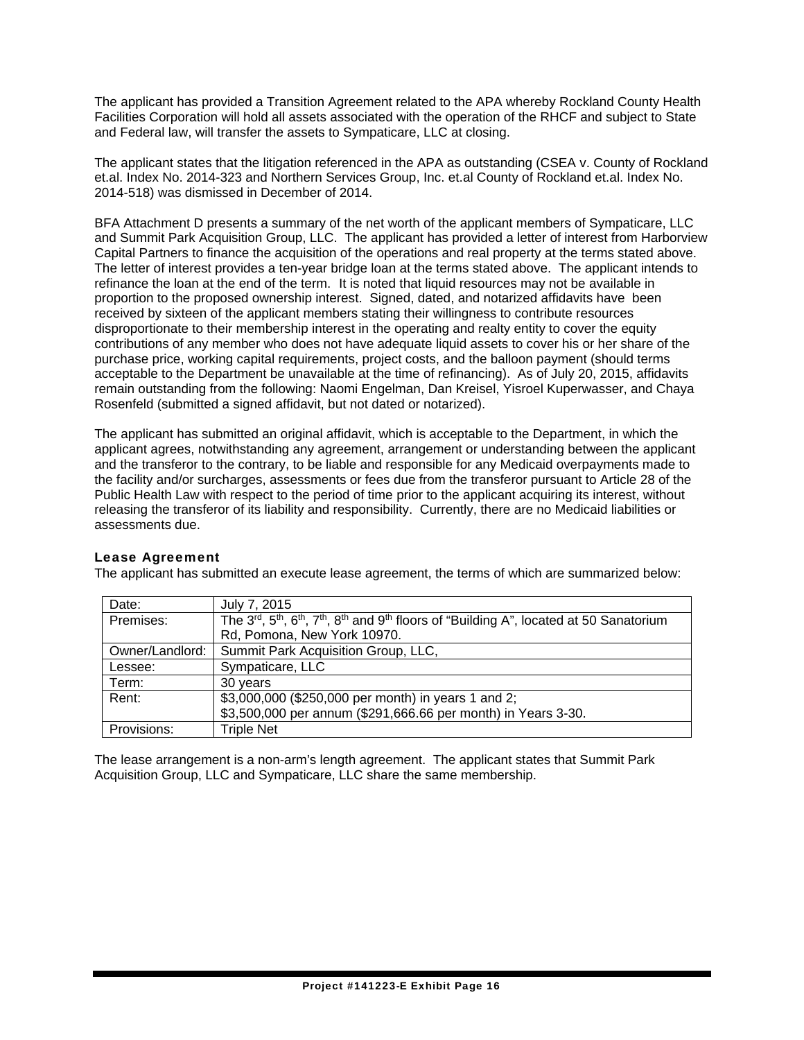The applicant has provided a Transition Agreement related to the APA whereby Rockland County Health Facilities Corporation will hold all assets associated with the operation of the RHCF and subject to State and Federal law, will transfer the assets to Sympaticare, LLC at closing.

The applicant states that the litigation referenced in the APA as outstanding (CSEA v. County of Rockland et.al. Index No. 2014-323 and Northern Services Group, Inc. et.al County of Rockland et.al. Index No. 2014-518) was dismissed in December of 2014.

BFA Attachment D presents a summary of the net worth of the applicant members of Sympaticare, LLC and Summit Park Acquisition Group, LLC. The applicant has provided a letter of interest from Harborview Capital Partners to finance the acquisition of the operations and real property at the terms stated above. The letter of interest provides a ten-year bridge loan at the terms stated above. The applicant intends to refinance the loan at the end of the term. It is noted that liquid resources may not be available in proportion to the proposed ownership interest. Signed, dated, and notarized affidavits have been received by sixteen of the applicant members stating their willingness to contribute resources disproportionate to their membership interest in the operating and realty entity to cover the equity contributions of any member who does not have adequate liquid assets to cover his or her share of the purchase price, working capital requirements, project costs, and the balloon payment (should terms acceptable to the Department be unavailable at the time of refinancing). As of July 20, 2015, affidavits remain outstanding from the following: Naomi Engelman, Dan Kreisel, Yisroel Kuperwasser, and Chaya Rosenfeld (submitted a signed affidavit, but not dated or notarized).

The applicant has submitted an original affidavit, which is acceptable to the Department, in which the applicant agrees, notwithstanding any agreement, arrangement or understanding between the applicant and the transferor to the contrary, to be liable and responsible for any Medicaid overpayments made to the facility and/or surcharges, assessments or fees due from the transferor pursuant to Article 28 of the Public Health Law with respect to the period of time prior to the applicant acquiring its interest, without releasing the transferor of its liability and responsibility. Currently, there are no Medicaid liabilities or assessments due.

### Lease Agreement

The applicant has submitted an execute lease agreement, the terms of which are summarized below:

| Date:           | July 7, 2015                                                                                                                                                     |
|-----------------|------------------------------------------------------------------------------------------------------------------------------------------------------------------|
| Premises:       | The 3 <sup>rd</sup> , 5 <sup>th</sup> , 6 <sup>th</sup> , 7 <sup>th</sup> , 8 <sup>th</sup> and 9 <sup>th</sup> floors of "Building A", located at 50 Sanatorium |
|                 | Rd, Pomona, New York 10970.                                                                                                                                      |
| Owner/Landlord: | Summit Park Acquisition Group, LLC,                                                                                                                              |
| Lessee:         | Sympaticare, LLC                                                                                                                                                 |
| Term:           | 30 years                                                                                                                                                         |
| Rent:           | \$3,000,000 (\$250,000 per month) in years 1 and 2;                                                                                                              |
|                 | \$3,500,000 per annum (\$291,666.66 per month) in Years 3-30.                                                                                                    |
| Provisions:     | <b>Triple Net</b>                                                                                                                                                |

The lease arrangement is a non-arm's length agreement. The applicant states that Summit Park Acquisition Group, LLC and Sympaticare, LLC share the same membership.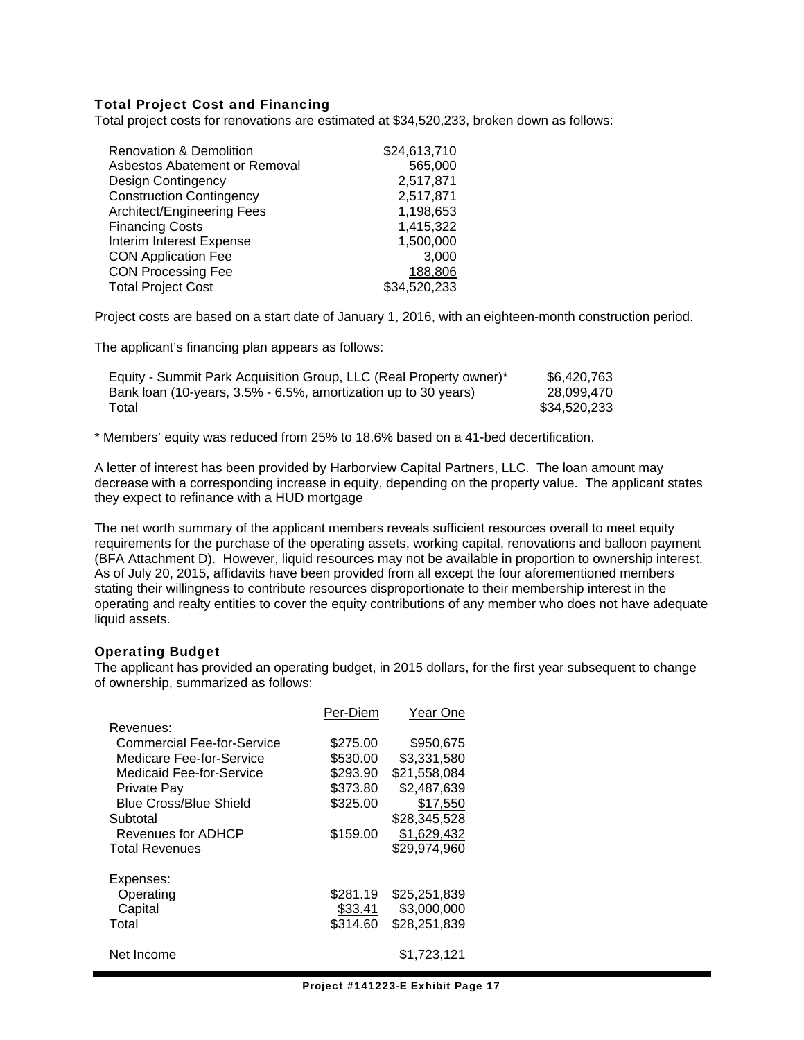#### Total Project Cost and Financing

Total project costs for renovations are estimated at \$34,520,233, broken down as follows:

| <b>Renovation &amp; Demolition</b> | \$24,613,710 |
|------------------------------------|--------------|
| Asbestos Abatement or Removal      | 565,000      |
| Design Contingency                 | 2,517,871    |
| <b>Construction Contingency</b>    | 2,517,871    |
| Architect/Engineering Fees         | 1,198,653    |
| <b>Financing Costs</b>             | 1,415,322    |
| Interim Interest Expense           | 1,500,000    |
| <b>CON Application Fee</b>         | 3,000        |
| <b>CON Processing Fee</b>          | 188,806      |
| <b>Total Project Cost</b>          | \$34,520,233 |

Project costs are based on a start date of January 1, 2016, with an eighteen-month construction period.

The applicant's financing plan appears as follows:

| Equity - Summit Park Acquisition Group, LLC (Real Property owner)* | \$6.420.763  |
|--------------------------------------------------------------------|--------------|
| Bank loan (10-years, 3.5% - 6.5%, amortization up to 30 years)     | 28.099.470   |
| Total                                                              | \$34.520.233 |

\* Members' equity was reduced from 25% to 18.6% based on a 41-bed decertification.

A letter of interest has been provided by Harborview Capital Partners, LLC. The loan amount may decrease with a corresponding increase in equity, depending on the property value. The applicant states they expect to refinance with a HUD mortgage

The net worth summary of the applicant members reveals sufficient resources overall to meet equity requirements for the purchase of the operating assets, working capital, renovations and balloon payment (BFA Attachment D). However, liquid resources may not be available in proportion to ownership interest. As of July 20, 2015, affidavits have been provided from all except the four aforementioned members stating their willingness to contribute resources disproportionate to their membership interest in the operating and realty entities to cover the equity contributions of any member who does not have adequate liquid assets.

#### Operating Budget

The applicant has provided an operating budget, in 2015 dollars, for the first year subsequent to change of ownership, summarized as follows:

|                               | Per-Diem | Year One     |
|-------------------------------|----------|--------------|
| Revenues:                     |          |              |
| Commercial Fee-for-Service    | \$275.00 | \$950,675    |
| Medicare Fee-for-Service      | \$530.00 | \$3,331,580  |
| Medicaid Fee-for-Service      | \$293.90 | \$21,558,084 |
| <b>Private Pay</b>            | \$373.80 | \$2,487,639  |
| <b>Blue Cross/Blue Shield</b> | \$325.00 | \$17,550     |
| Subtotal                      |          | \$28,345,528 |
| Revenues for ADHCP            | \$159.00 | \$1,629,432  |
| <b>Total Revenues</b>         |          | \$29,974,960 |
| Expenses:                     |          |              |
| Operating                     | \$281.19 | \$25,251,839 |
| Capital                       | \$33.41  | \$3,000,000  |
| Total                         | \$314.60 | \$28,251,839 |
| Net Income                    |          | \$1.723.121  |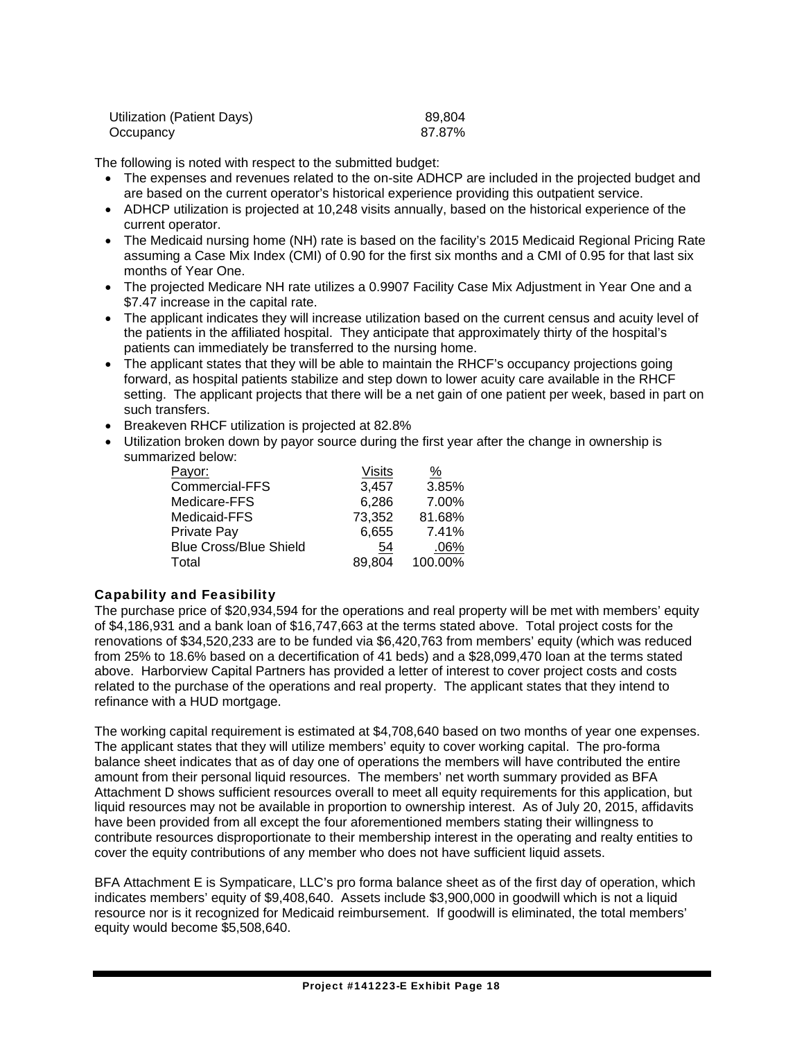| Utilization (Patient Days) | 89.804 |
|----------------------------|--------|
| Occupancy                  | 87.87% |

The following is noted with respect to the submitted budget:

- The expenses and revenues related to the on-site ADHCP are included in the projected budget and are based on the current operator's historical experience providing this outpatient service.
- ADHCP utilization is projected at 10,248 visits annually, based on the historical experience of the current operator.
- The Medicaid nursing home (NH) rate is based on the facility's 2015 Medicaid Regional Pricing Rate assuming a Case Mix Index (CMI) of 0.90 for the first six months and a CMI of 0.95 for that last six months of Year One.
- The projected Medicare NH rate utilizes a 0.9907 Facility Case Mix Adjustment in Year One and a \$7.47 increase in the capital rate.
- The applicant indicates they will increase utilization based on the current census and acuity level of the patients in the affiliated hospital. They anticipate that approximately thirty of the hospital's patients can immediately be transferred to the nursing home.
- The applicant states that they will be able to maintain the RHCF's occupancy projections going forward, as hospital patients stabilize and step down to lower acuity care available in the RHCF setting. The applicant projects that there will be a net gain of one patient per week, based in part on such transfers.
- **Breakeven RHCF utilization is projected at 82.8%**
- Utilization broken down by payor source during the first year after the change in ownership is summarized below:

| Payor:                        | <b>Visits</b> | %       |
|-------------------------------|---------------|---------|
| Commercial-FFS                | 3,457         | 3.85%   |
| Medicare-FFS                  | 6,286         | 7.00%   |
| Medicaid-FFS                  | 73,352        | 81.68%  |
| Private Pay                   | 6,655         | 7.41%   |
| <b>Blue Cross/Blue Shield</b> | 54            | .06%    |
| Total                         | 89,804        | 100.00% |

### Capability and Feasibility

The purchase price of \$20,934,594 for the operations and real property will be met with members' equity of \$4,186,931 and a bank loan of \$16,747,663 at the terms stated above. Total project costs for the renovations of \$34,520,233 are to be funded via \$6,420,763 from members' equity (which was reduced from 25% to 18.6% based on a decertification of 41 beds) and a \$28,099,470 loan at the terms stated above. Harborview Capital Partners has provided a letter of interest to cover project costs and costs related to the purchase of the operations and real property. The applicant states that they intend to refinance with a HUD mortgage.

The working capital requirement is estimated at \$4,708,640 based on two months of year one expenses. The applicant states that they will utilize members' equity to cover working capital. The pro-forma balance sheet indicates that as of day one of operations the members will have contributed the entire amount from their personal liquid resources. The members' net worth summary provided as BFA Attachment D shows sufficient resources overall to meet all equity requirements for this application, but liquid resources may not be available in proportion to ownership interest. As of July 20, 2015, affidavits have been provided from all except the four aforementioned members stating their willingness to contribute resources disproportionate to their membership interest in the operating and realty entities to cover the equity contributions of any member who does not have sufficient liquid assets.

BFA Attachment E is Sympaticare, LLC's pro forma balance sheet as of the first day of operation, which indicates members' equity of \$9,408,640. Assets include \$3,900,000 in goodwill which is not a liquid resource nor is it recognized for Medicaid reimbursement. If goodwill is eliminated, the total members' equity would become \$5,508,640.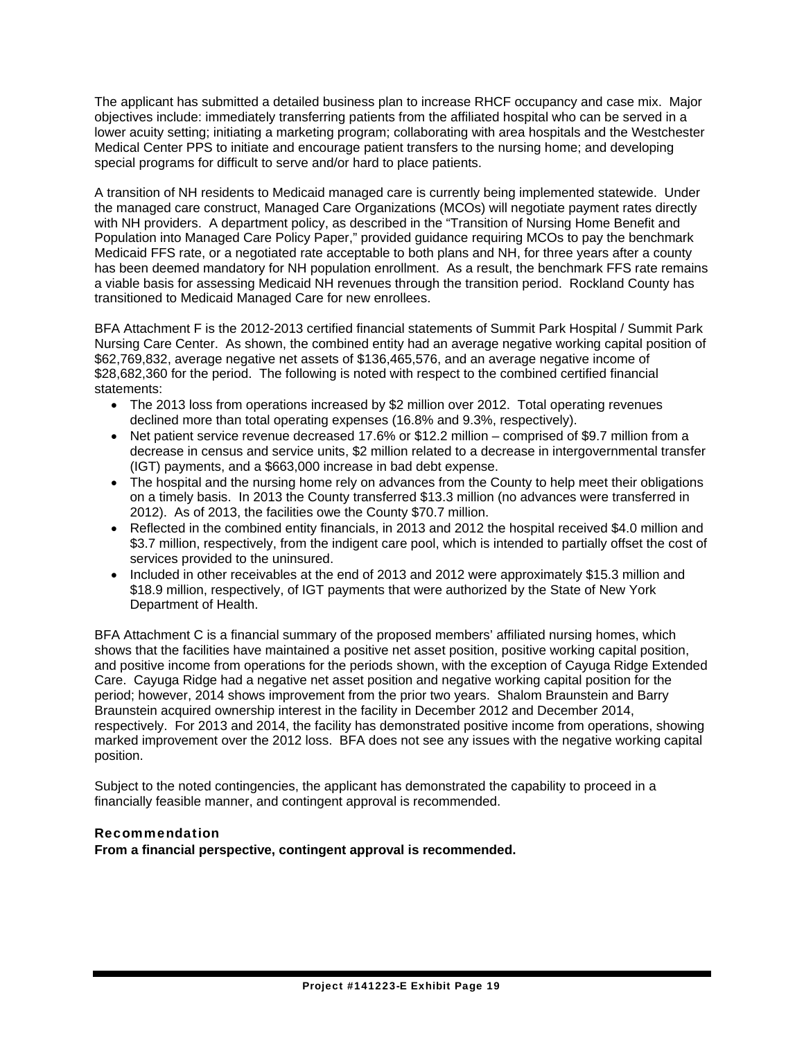The applicant has submitted a detailed business plan to increase RHCF occupancy and case mix. Major objectives include: immediately transferring patients from the affiliated hospital who can be served in a lower acuity setting; initiating a marketing program; collaborating with area hospitals and the Westchester Medical Center PPS to initiate and encourage patient transfers to the nursing home; and developing special programs for difficult to serve and/or hard to place patients.

A transition of NH residents to Medicaid managed care is currently being implemented statewide. Under the managed care construct, Managed Care Organizations (MCOs) will negotiate payment rates directly with NH providers. A department policy, as described in the "Transition of Nursing Home Benefit and Population into Managed Care Policy Paper," provided guidance requiring MCOs to pay the benchmark Medicaid FFS rate, or a negotiated rate acceptable to both plans and NH, for three years after a county has been deemed mandatory for NH population enrollment. As a result, the benchmark FFS rate remains a viable basis for assessing Medicaid NH revenues through the transition period. Rockland County has transitioned to Medicaid Managed Care for new enrollees.

BFA Attachment F is the 2012-2013 certified financial statements of Summit Park Hospital / Summit Park Nursing Care Center. As shown, the combined entity had an average negative working capital position of \$62,769,832, average negative net assets of \$136,465,576, and an average negative income of \$28,682,360 for the period. The following is noted with respect to the combined certified financial statements:

- The 2013 loss from operations increased by \$2 million over 2012. Total operating revenues declined more than total operating expenses (16.8% and 9.3%, respectively).
- Net patient service revenue decreased 17.6% or \$12.2 million comprised of \$9.7 million from a decrease in census and service units, \$2 million related to a decrease in intergovernmental transfer (IGT) payments, and a \$663,000 increase in bad debt expense.
- The hospital and the nursing home rely on advances from the County to help meet their obligations on a timely basis. In 2013 the County transferred \$13.3 million (no advances were transferred in 2012). As of 2013, the facilities owe the County \$70.7 million.
- Reflected in the combined entity financials, in 2013 and 2012 the hospital received \$4.0 million and \$3.7 million, respectively, from the indigent care pool, which is intended to partially offset the cost of services provided to the uninsured.
- Included in other receivables at the end of 2013 and 2012 were approximately \$15.3 million and \$18.9 million, respectively, of IGT payments that were authorized by the State of New York Department of Health.

BFA Attachment C is a financial summary of the proposed members' affiliated nursing homes, which shows that the facilities have maintained a positive net asset position, positive working capital position, and positive income from operations for the periods shown, with the exception of Cayuga Ridge Extended Care. Cayuga Ridge had a negative net asset position and negative working capital position for the period; however, 2014 shows improvement from the prior two years. Shalom Braunstein and Barry Braunstein acquired ownership interest in the facility in December 2012 and December 2014, respectively. For 2013 and 2014, the facility has demonstrated positive income from operations, showing marked improvement over the 2012 loss. BFA does not see any issues with the negative working capital position.

Subject to the noted contingencies, the applicant has demonstrated the capability to proceed in a financially feasible manner, and contingent approval is recommended.

### Recommendation

**From a financial perspective, contingent approval is recommended.**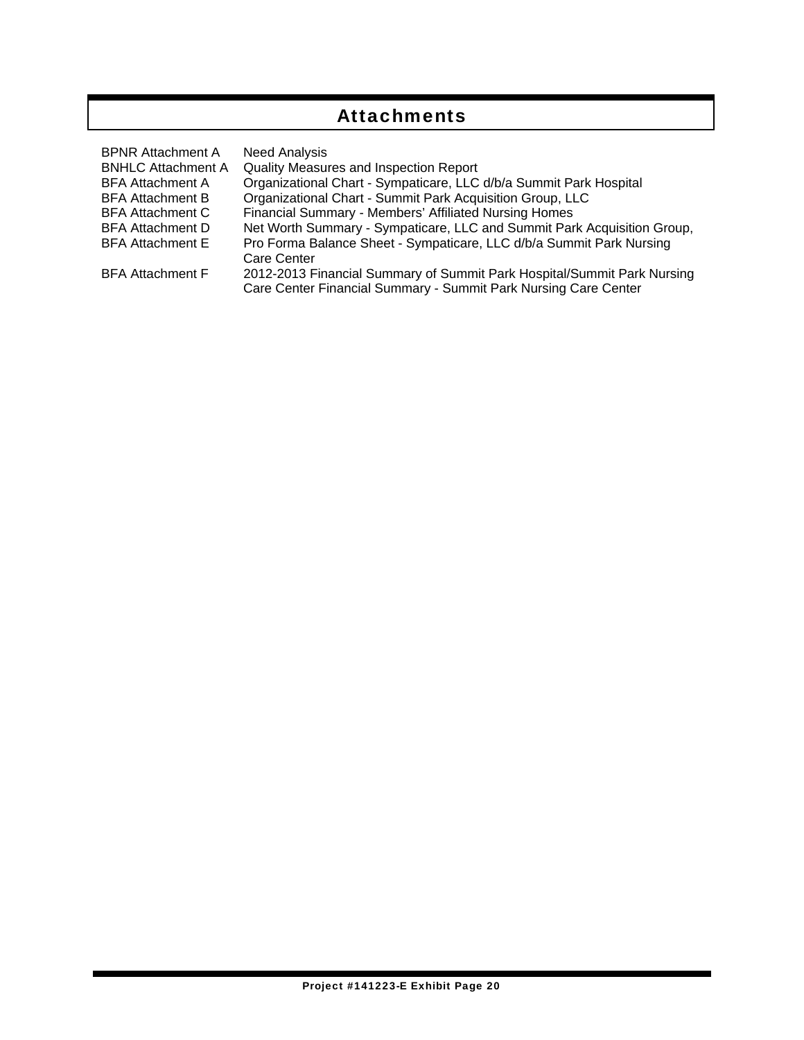## Attachments

| <b>BPNR Attachment A</b>  | <b>Need Analysis</b>                                                                                                                       |
|---------------------------|--------------------------------------------------------------------------------------------------------------------------------------------|
| <b>BNHLC Attachment A</b> | Quality Measures and Inspection Report                                                                                                     |
| <b>BFA Attachment A</b>   | Organizational Chart - Sympaticare, LLC d/b/a Summit Park Hospital                                                                         |
| <b>BFA Attachment B</b>   | Organizational Chart - Summit Park Acquisition Group, LLC                                                                                  |
| <b>BFA Attachment C</b>   | Financial Summary - Members' Affiliated Nursing Homes                                                                                      |
| <b>BFA Attachment D</b>   | Net Worth Summary - Sympaticare, LLC and Summit Park Acquisition Group,                                                                    |
| <b>BFA Attachment E</b>   | Pro Forma Balance Sheet - Sympaticare, LLC d/b/a Summit Park Nursing                                                                       |
|                           | Care Center                                                                                                                                |
| <b>BFA Attachment F</b>   | 2012-2013 Financial Summary of Summit Park Hospital/Summit Park Nursing<br>Care Center Financial Summary - Summit Park Nursing Care Center |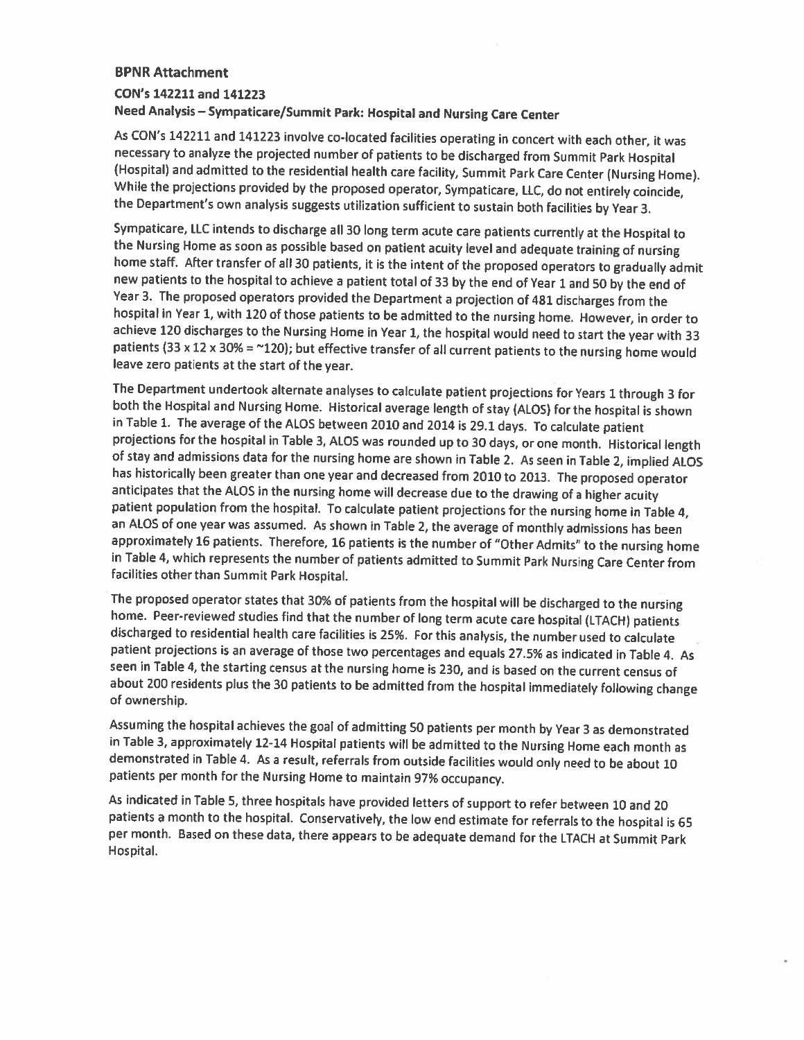### **BPNR Attachment** CON's 142211 and 141223 Need Analysis - Sympaticare/Summit Park: Hospital and Nursing Care Center

As CON's 142211 and 141223 involve co-located facilities operating in concert with each other, it was necessary to analyze the projected number of patients to be discharged from Summit Park Hospital (Hospital) and admitted to the residential health care facility, Summit Park Care Center (Nursing Home). While the projections provided by the proposed operator, Sympaticare, LLC, do not entirely coincide, the Department's own analysis suggests utilization sufficient to sustain both facilities by Year 3.

Sympaticare, LLC intends to discharge all 30 long term acute care patients currently at the Hospital to the Nursing Home as soon as possible based on patient acuity level and adequate training of nursing home staff. After transfer of all 30 patients, it is the intent of the proposed operators to gradually admit new patients to the hospital to achieve a patient total of 33 by the end of Year 1 and 50 by the end of Year 3. The proposed operators provided the Department a projection of 481 discharges from the hospital in Year 1, with 120 of those patients to be admitted to the nursing home. However, in order to achieve 120 discharges to the Nursing Home in Year 1, the hospital would need to start the year with 33 patients (33 x 12 x 30% = ~120); but effective transfer of all current patients to the nursing home would leave zero patients at the start of the year.

The Department undertook alternate analyses to calculate patient projections for Years 1 through 3 for both the Hospital and Nursing Home. Historical average length of stay (ALOS) for the hospital is shown in Table 1. The average of the ALOS between 2010 and 2014 is 29.1 days. To calculate patient projections for the hospital in Table 3, ALOS was rounded up to 30 days, or one month. Historical length of stay and admissions data for the nursing home are shown in Table 2. As seen in Table 2, implied ALOS has historically been greater than one year and decreased from 2010 to 2013. The proposed operator anticipates that the ALOS in the nursing home will decrease due to the drawing of a higher acuity patient population from the hospital. To calculate patient projections for the nursing home in Table 4, an ALOS of one year was assumed. As shown in Table 2, the average of monthly admissions has been approximately 16 patients. Therefore, 16 patients is the number of "Other Admits" to the nursing home in Table 4, which represents the number of patients admitted to Summit Park Nursing Care Center from facilities other than Summit Park Hospital.

The proposed operator states that 30% of patients from the hospital will be discharged to the nursing home. Peer-reviewed studies find that the number of long term acute care hospital (LTACH) patients discharged to residential health care facilities is 25%. For this analysis, the number used to calculate patient projections is an average of those two percentages and equals 27.5% as indicated in Table 4. As seen in Table 4, the starting census at the nursing home is 230, and is based on the current census of about 200 residents plus the 30 patients to be admitted from the hospital immediately following change of ownership.

Assuming the hospital achieves the goal of admitting 50 patients per month by Year 3 as demonstrated in Table 3, approximately 12-14 Hospital patients will be admitted to the Nursing Home each month as demonstrated in Table 4. As a result, referrals from outside facilities would only need to be about 10 patients per month for the Nursing Home to maintain 97% occupancy.

As indicated in Table 5, three hospitals have provided letters of support to refer between 10 and 20 patients a month to the hospital. Conservatively, the low end estimate for referrals to the hospital is 65 per month. Based on these data, there appears to be adequate demand for the LTACH at Summit Park Hospital.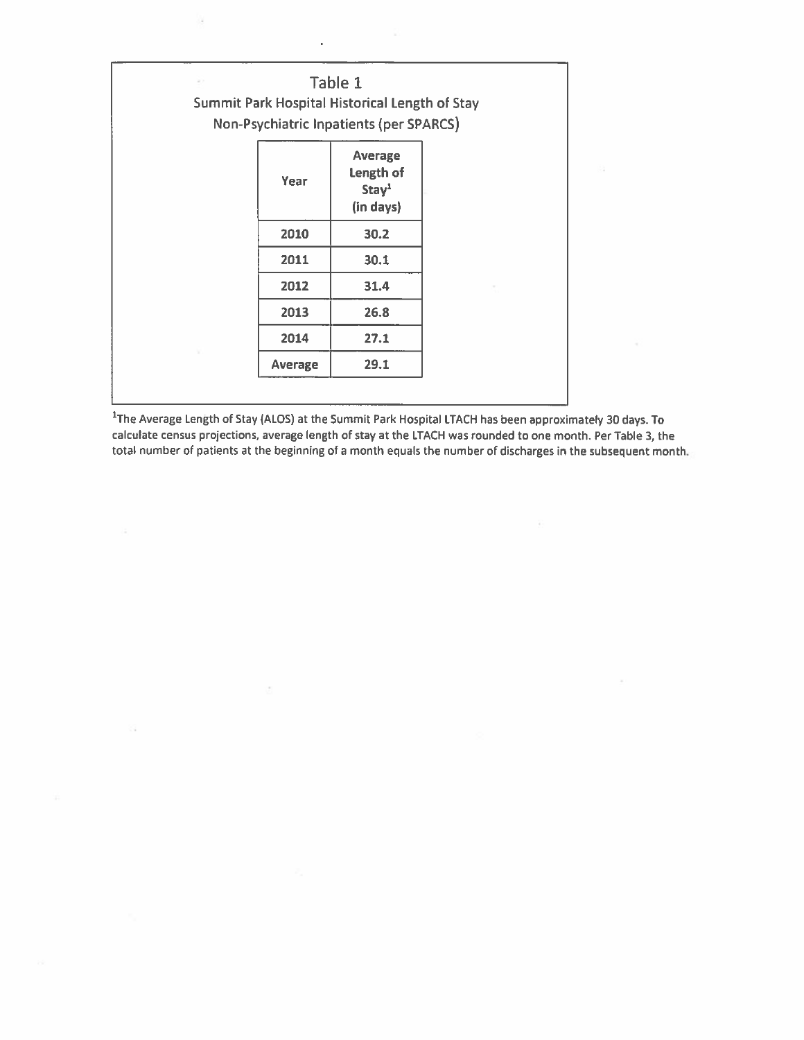| $\omega >$ |         | Table 1<br>Summit Park Hospital Historical Length of Stay<br><b>Non-Psychiatric Inpatients (per SPARCS)</b> |  |
|------------|---------|-------------------------------------------------------------------------------------------------------------|--|
|            | Year    | <b>Average</b><br>Length of<br>Stay <sup>1</sup><br>(in days)                                               |  |
|            | 2010    | 30.2                                                                                                        |  |
|            | 2011    | 30.1                                                                                                        |  |
|            | 2012    | 31.4                                                                                                        |  |
|            | 2013    | 26.8                                                                                                        |  |
|            | 2014    | 27.1                                                                                                        |  |
|            | Average | 29.1                                                                                                        |  |

 $\sim$ 

b.

<sup>1</sup>The Average Length of Stay (ALOS) at the Summit Park Hospital LTACH has been approximately 30 days. To calculate census projections, average length of stay at the LTACH was rounded to one month. Per Table 3, the total number of patients at the beginning of a month equals the number of discharges in the subsequent month.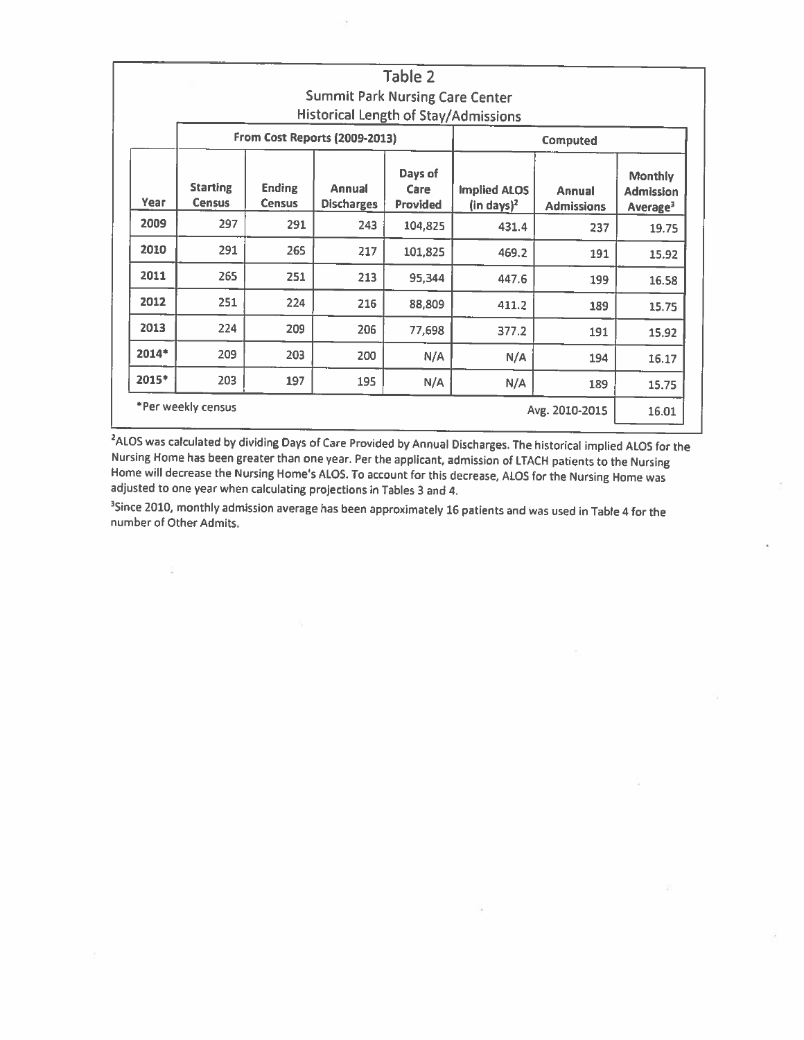|       |                                  |                                |                                        | Table 2                     |                                               |                             |                                                            |
|-------|----------------------------------|--------------------------------|----------------------------------------|-----------------------------|-----------------------------------------------|-----------------------------|------------------------------------------------------------|
|       |                                  |                                | <b>Summit Park Nursing Care Center</b> |                             |                                               |                             |                                                            |
|       |                                  |                                |                                        |                             | Historical Length of Stay/Admissions          |                             |                                                            |
|       |                                  |                                | From Cost Reports (2009-2013)          |                             |                                               | <b>Computed</b>             |                                                            |
| Year  | <b>Starting</b><br><b>Census</b> | <b>Ending</b><br><b>Census</b> | Annual<br><b>Discharges</b>            | Days of<br>Care<br>Provided | <b>Implied ALOS</b><br>(in days) <sup>2</sup> | Annual<br><b>Admissions</b> | <b>Monthly</b><br><b>Admission</b><br>Average <sup>3</sup> |
| 2009  | 297                              | 291                            | 243                                    | 104,825                     | 431.4                                         | 237                         | 19.75                                                      |
| 2010  | 291                              | 265                            | 217                                    | 101,825                     | 469.2                                         | 191                         | 15.92                                                      |
| 2011  | 265                              | 251                            | 213                                    | 95,344                      | 447.6                                         | 199                         | 16.58                                                      |
| 2012  | 251                              | 224                            | 216                                    | 88,809                      | 411.2                                         | 189                         | 15.75                                                      |
| 2013  | 224                              | 209                            | 206                                    | 77,698                      | 377.2                                         | 191                         | 15.92                                                      |
| 2014* | 209                              | 203                            | 200                                    | N/A                         | N/A                                           | 194                         | 16.17                                                      |
| 2015* | 203                              | 197                            | 195                                    | N/A                         | N/A                                           | 189                         | 15.75                                                      |
|       | *Per weekly census               |                                |                                        |                             |                                               | Avg. 2010-2015              | 16.01                                                      |

<sup>2</sup>ALOS was calculated by dividing Days of Care Provided by Annual Discharges. The historical implied ALOS for the Nursing Home has been greater than one year. Per the applicant, admission of LTACH patients to the Nursing Home will decrease the Nursing Home's ALOS. To account for this decrease, ALOS for the Nursing Home was adjusted to one year when calculating projections in Tables 3 and 4.

<sup>3</sup>Since 2010, monthly admission average has been approximately 16 patients and was used in Table 4 for the number of Other Admits.

s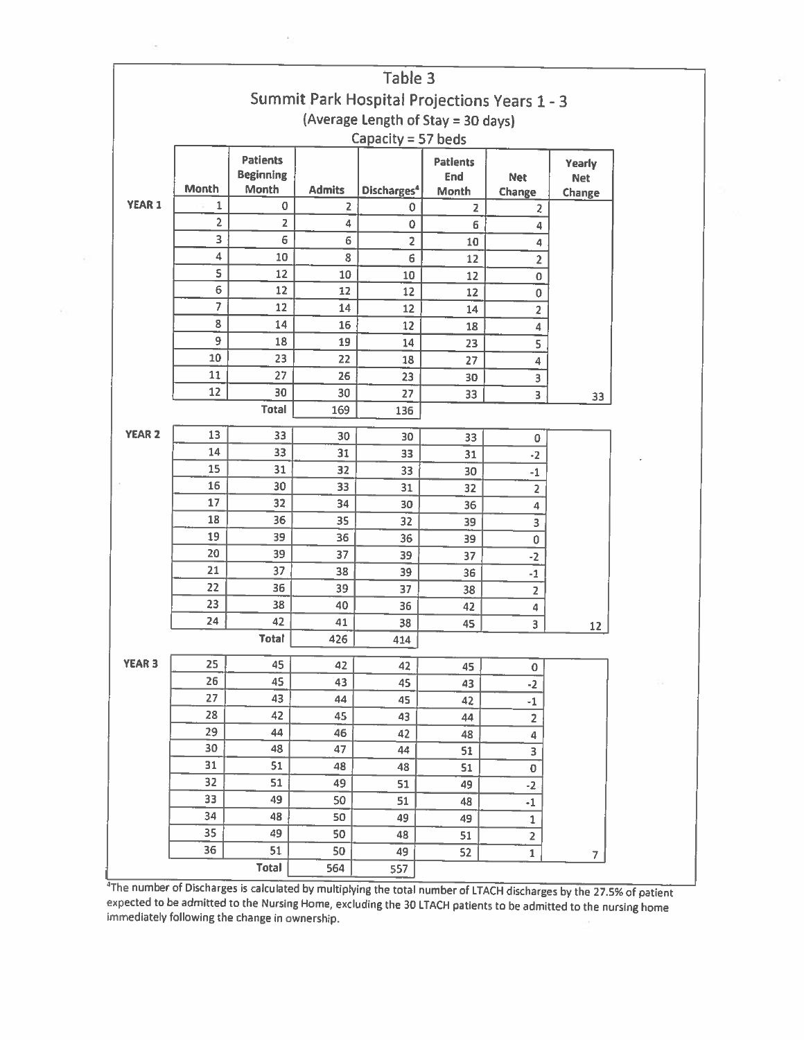|                    |                         |                                     |                         | Table 3                                      |                     |                          |                |  |  |
|--------------------|-------------------------|-------------------------------------|-------------------------|----------------------------------------------|---------------------|--------------------------|----------------|--|--|
|                    |                         |                                     |                         | Summit Park Hospital Projections Years 1 - 3 |                     |                          |                |  |  |
|                    |                         |                                     |                         | (Average Length of Stay = 30 days)           |                     |                          |                |  |  |
|                    |                         |                                     |                         |                                              |                     |                          |                |  |  |
| Capacity = 57 beds |                         |                                     |                         |                                              |                     |                          |                |  |  |
|                    |                         | <b>Patients</b><br><b>Beginning</b> |                         |                                              | <b>Patients</b>     |                          | Yearly         |  |  |
|                    | <b>Month</b>            | Month                               | <b>Admits</b>           | Discharges <sup>4</sup>                      | <b>End</b><br>Month | <b>Net</b>               | <b>Net</b>     |  |  |
| <b>YEAR 1</b>      | $\mathbf{1}$            | 0                                   | $\overline{\mathbf{2}}$ | 0                                            | $\overline{2}$      | Change<br>$\overline{z}$ | Change         |  |  |
|                    | $\overline{\mathbf{c}}$ | $\mathsf{Z}$                        | 4                       | 0                                            | 6                   | $\overline{4}$           |                |  |  |
|                    | 3                       | 6                                   | 6                       | $\overline{2}$                               | 10                  | 4                        |                |  |  |
|                    | 4                       | 10                                  | 8                       | $\mathsf{6}$                                 | 12                  | $\overline{2}$           |                |  |  |
|                    | S                       | 12                                  | 10                      | 10                                           | 12                  | 0                        |                |  |  |
|                    | 6                       | 12                                  | 12                      | 12                                           | 12                  | $\mathbf 0$              |                |  |  |
|                    | $\overline{7}$          | 12                                  | 14                      | 12                                           | 14                  | $\overline{\mathbf{c}}$  |                |  |  |
|                    | 8                       | 14                                  | 16                      | 12                                           | 18                  | 4                        |                |  |  |
|                    | 9                       | 18                                  | 19                      | 14                                           | 23                  | 5                        |                |  |  |
|                    | $10\,$                  | 23                                  | 22                      | 18                                           | 27                  | $\overline{\mathbf{4}}$  |                |  |  |
|                    | 11                      | 27                                  | 26                      | 23                                           | 30                  | 3                        |                |  |  |
|                    | 12                      | 30                                  | 30                      | 27                                           | 33                  | $\overline{\mathbf{3}}$  | 33             |  |  |
|                    |                         | <b>Total</b>                        | 169                     | 136                                          |                     |                          |                |  |  |
| <b>YEAR 2</b>      | 13                      |                                     |                         |                                              |                     |                          |                |  |  |
|                    | 14                      | 33                                  | 30                      | 30                                           | 33                  | 0                        |                |  |  |
|                    | 15                      | 33<br>31                            | 31                      | 33                                           | 31                  | $-2$                     |                |  |  |
|                    | 16                      | 30                                  | 32<br>33                | 33                                           | 30                  | $-1$                     |                |  |  |
|                    | 17                      | 32                                  | 34                      | 31                                           | 32                  | $\overline{\mathbf{2}}$  |                |  |  |
|                    | 18                      | 36                                  | 35                      | 30<br>32                                     | 36                  | 4                        |                |  |  |
|                    | 19                      | 39                                  | 36                      | 36                                           | 39<br>39            | 3                        |                |  |  |
|                    | 20                      | 39                                  | 37                      | 39                                           | 37                  | $\pmb{0}$                |                |  |  |
|                    | 21                      | 37                                  | 38                      | 39                                           | 36                  | $-2$<br>$^{\rm -1}$      |                |  |  |
|                    | 22                      | 36                                  | 39                      | 37                                           | 38                  | $\overline{2}$           |                |  |  |
|                    | 23                      | 38                                  | 40                      | 36                                           | 42                  | 4                        |                |  |  |
|                    | 24                      | 42                                  | 41                      | 38                                           | 45                  | 3                        |                |  |  |
|                    |                         | <b>Total</b>                        | 426                     | 414                                          |                     |                          | 12             |  |  |
| <b>YEAR 3</b>      | 25                      | 45                                  | 42                      | 42                                           | 45                  | 0                        |                |  |  |
|                    | 26                      | 45                                  | 43                      | 45                                           | 43                  | $-2$                     |                |  |  |
|                    | 27                      | 43                                  | 44                      | 45                                           | 42                  | $^{\rm -1}$              |                |  |  |
|                    | 28                      | 42                                  | 45                      | 43                                           | 44                  | $\overline{\mathbf{2}}$  |                |  |  |
|                    | 29                      | 44                                  | 46                      | 42                                           | 48                  | 4                        |                |  |  |
|                    | 30                      | 48                                  | 47                      | 44                                           | 51                  | 3                        |                |  |  |
|                    | 31                      | 51                                  | 48                      | 48                                           | 51                  | 0                        |                |  |  |
|                    | 32                      | 51                                  | 49                      | 51                                           | 49                  | $-2$                     |                |  |  |
|                    | 33                      | 49                                  | 50                      | 51                                           | 48                  | $^{\rm -1}$              |                |  |  |
|                    | 34                      | 48                                  | 50                      | 49                                           | 49                  | $\mathbf 1$              |                |  |  |
|                    | 35                      | 49                                  | 50                      | 48                                           | 51                  | $\overline{2}$           |                |  |  |
|                    | 36                      | 51                                  | 50                      | 49                                           | 52                  | $\mathbf 1$              | $\overline{7}$ |  |  |
|                    |                         | Total                               | 564                     | 557                                          |                     |                          |                |  |  |

The number of Discharges is calculated by multiplying the total number of LTACH discharges by the 27.5% of patient expected to be admitted to the Nursing Home, excluding the 30 LTACH patients to be admitted to the nursing home immediately following the change in ownership.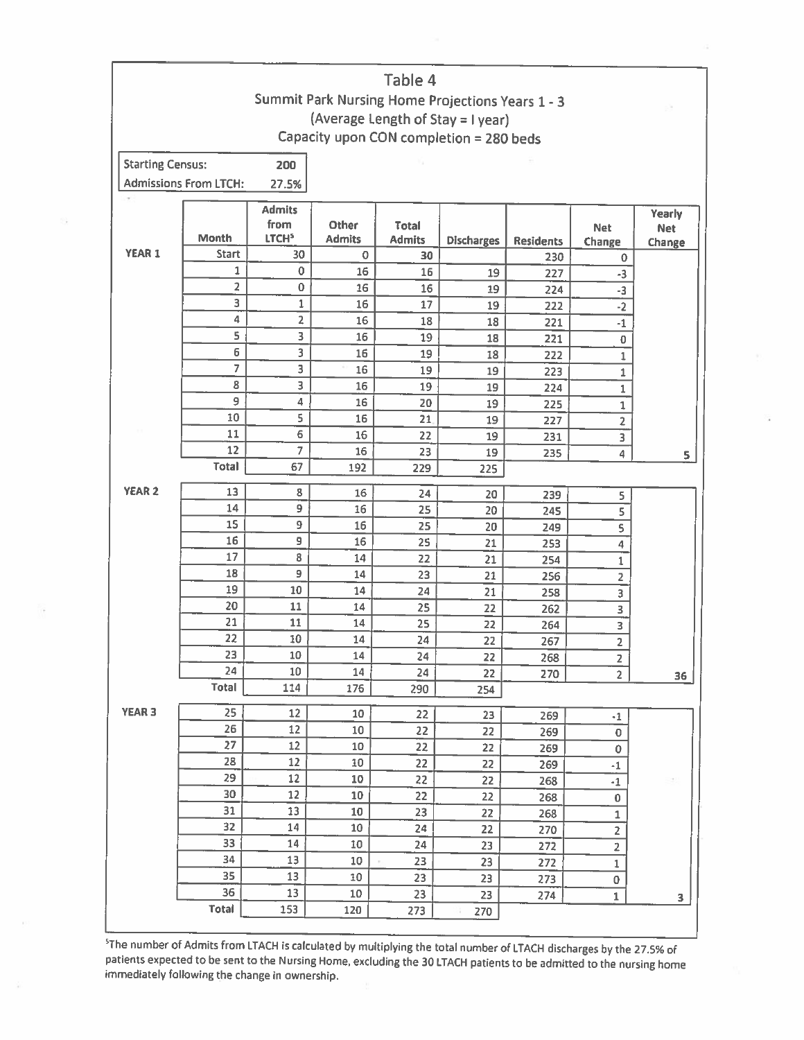|                         |                              |                   |               | Table 4       |                                                  |                  |                               |            |
|-------------------------|------------------------------|-------------------|---------------|---------------|--------------------------------------------------|------------------|-------------------------------|------------|
|                         |                              |                   |               |               | Summit Park Nursing Home Projections Years 1 - 3 |                  |                               |            |
|                         |                              |                   |               |               | (Average Length of Stay = I year)                |                  |                               |            |
|                         |                              |                   |               |               | Capacity upon CON completion = 280 beds          |                  |                               |            |
| <b>Starting Census:</b> |                              | 200               |               |               |                                                  |                  |                               |            |
|                         | <b>Admissions From LTCH:</b> | 27.5%             |               |               |                                                  |                  |                               |            |
|                         |                              |                   |               |               |                                                  |                  |                               |            |
|                         |                              | <b>Admits</b>     |               |               |                                                  |                  |                               | Yearly     |
|                         |                              | from              | Other         | <b>Total</b>  |                                                  |                  | <b>Net</b>                    | <b>Net</b> |
| <b>YEAR 1</b>           | <b>Month</b><br><b>Start</b> | LTCH <sup>5</sup> | <b>Admits</b> | <b>Admits</b> | <b>Discharges</b>                                | <b>Residents</b> | Change                        | Change     |
|                         | 1                            | 30<br>$\mathbf 0$ | $\mathbf 0$   | 30            |                                                  | 230              | 0                             |            |
|                         | 2                            | $\bf{0}$          | 16            | 16            | 19                                               | 227              | $-3$                          |            |
|                         | 3                            | 1                 | 16<br>16      | 16<br>17      | 19                                               | 224              | -3                            |            |
|                         | 4                            | 2                 | 16            | 18            | 19                                               | 222              | $-2$                          |            |
|                         | 5                            | 3                 | 16            | 19            | 18                                               | 221              | $-1$                          |            |
|                         | 6                            | 3                 | 16            | 19            | 18<br>18                                         | 221<br>222       | $\bf{0}$                      |            |
|                         | $\overline{7}$               | 3                 | 16            | 19            | 19                                               |                  | $\mathbf 1$                   |            |
|                         | 8                            | 3                 | 16            | 19            | 19                                               | 223<br>224       | $\mathbf{1}$                  |            |
|                         | 9                            | 4                 | 16            | 20            | 19                                               | 225              | 1                             |            |
|                         | 10                           | 5                 | 16            | 21            | 19                                               | 227              | $\mathbf 1$<br>$\overline{2}$ |            |
|                         | 11                           | 6                 | 16            | 22            | 19                                               | 231              | 3                             |            |
|                         | 12                           | 7                 | 16            | 23            | 19                                               | 235              | $\overline{4}$                |            |
|                         | <b>Total</b>                 | 67                | 192           | 229           | 225                                              |                  |                               | 5          |
|                         |                              |                   |               |               |                                                  |                  |                               |            |
| <b>YEAR 2</b>           | 13                           | 8                 | 16            | 24            | 20                                               | 239              | 5                             |            |
|                         | 14                           | 9                 | 16            | 25            | 20                                               | 245              | 5                             |            |
|                         | 15                           | 9                 | 16            | 25            | 20                                               | 249              |                               |            |
|                         | 16<br>17                     | 9<br>8            | 16            | 25            | 21                                               | 253              | $\overline{4}$                |            |
|                         | 18                           | 9                 | 14            | 22            | 21                                               | 254              | $\mathbf 1$                   |            |
|                         | 19                           | 10                | 14            | 23            | 21                                               | 256              | $\overline{2}$                |            |
|                         | 20                           | 11                | 14<br>14      | 24            | 21                                               | 258              | 3                             |            |
|                         | 21                           | 11                | 14            | 25<br>25      | 22                                               | 262              | 3                             |            |
|                         | 22                           | 10                | 14            | 24            | 22<br>22                                         | 264              | 3                             |            |
|                         | 23                           | $10\,$            | 14            | 24            | 22                                               | 267              | $\overline{2}$                |            |
|                         | 24                           | $10\,$            | 14            | 24            | 22                                               | 268<br>270       | 2<br>$\overline{2}$           |            |
|                         | <b>Total</b>                 | 114               | 176           | 290           | 254                                              |                  |                               | 36         |
|                         |                              |                   |               |               |                                                  |                  |                               |            |
| <b>YEAR 3</b>           | 25                           | 12                | 10            | 22            | 23                                               | 269              | $-1$                          |            |
|                         | 26                           | 12                | 10            | 22            | 22                                               | 269              | 0                             |            |
|                         | 27                           | $12 \,$           | 10            | 22            | 22                                               | 269              | 0                             |            |
|                         | 28                           | 12                | 10            | 22            | 22                                               | 269              | $^{\rm -1}$                   |            |
|                         | 29                           | $12\,$            | 10            | 22            | 22                                               | 268              | $\cdot 1$                     |            |
|                         | 30<br>31                     | 12                | 10            | 22            | 22                                               | 268              | 0                             |            |
|                         | 32                           | 13                | 10            | 23            | 22                                               | 268              | $\mathbf 1$                   |            |
|                         | 33                           | 14<br>14          | 10            | 24            | 22                                               | 270              | $\overline{2}$                |            |
|                         | 34                           | 13                | 10            | 24            | 23                                               | 272              | $\overline{2}$                |            |
|                         |                              | 13                | 10<br>10      | 23<br>23      | 23<br>23                                         | 272<br>273       | 1                             |            |
|                         |                              |                   |               |               |                                                  |                  | 0                             |            |
|                         | 35<br>36                     | 13                | 10            | 23            | 23                                               | 274              | $\mathbf{1}$                  | 3          |

<sup>5</sup>The number of Admits from LTACH is calculated by multiplying the total number of LTACH discharges by the 27.5% of patients expected to be sent to the Nursing Home, excluding the 30 LTACH patients to be admitted to the n immediately following the change in ownership.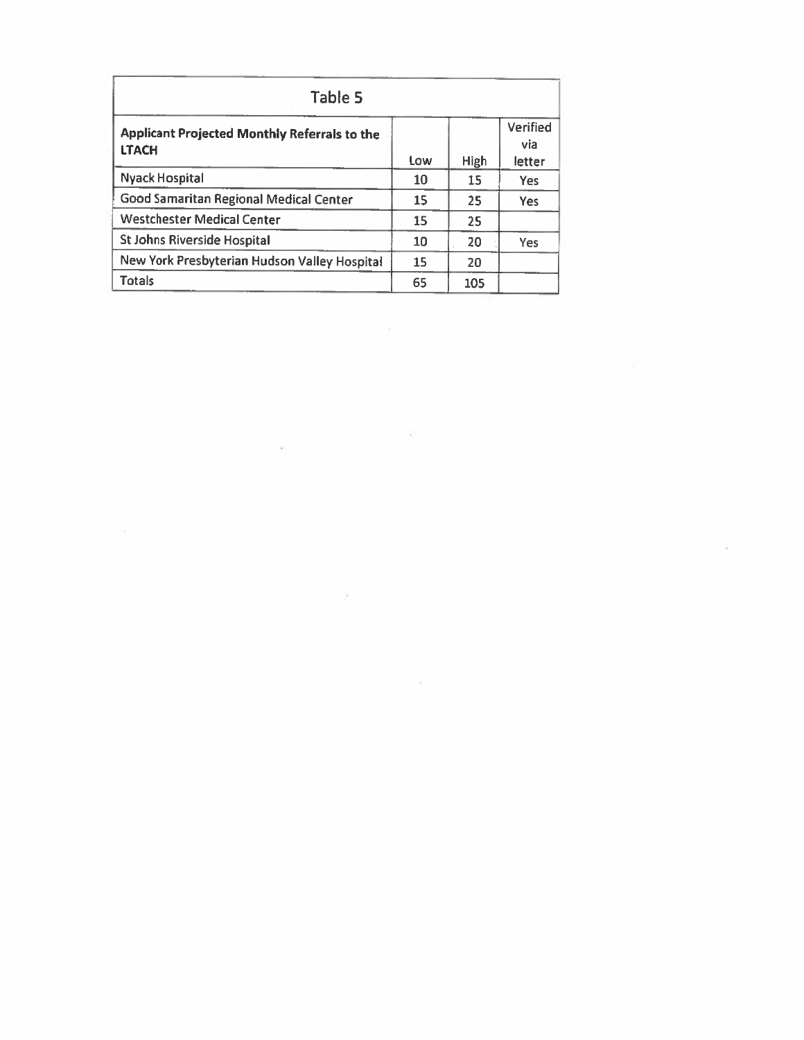| Table 5                                                      |     |             |                                  |
|--------------------------------------------------------------|-----|-------------|----------------------------------|
| Applicant Projected Monthly Referrals to the<br><b>LTACH</b> | Low | <b>High</b> | <b>Verified</b><br>via<br>letter |
| <b>Nyack Hospital</b>                                        | 10  | 15          | Yes.                             |
| Good Samaritan Regional Medical Center                       | 15  | 25          | <b>Yes</b>                       |
| <b>Westchester Medical Center</b>                            | 15  | 25          |                                  |
| <b>St Johns Riverside Hospital</b>                           | 10  | 20          | Yes.                             |
| New York Presbyterian Hudson Valley Hospital                 | 15  | 20          |                                  |
| <b>Totals</b>                                                | 65  | 105         |                                  |

 $\mathcal{L}(\mathcal{L})$ 

 $\frac{1}{\left\vert \mathbf{k} \right\vert ^{2}}$  . The set of  $\mathbf{k}$ 

 $\sim 100$   $M_{\odot}$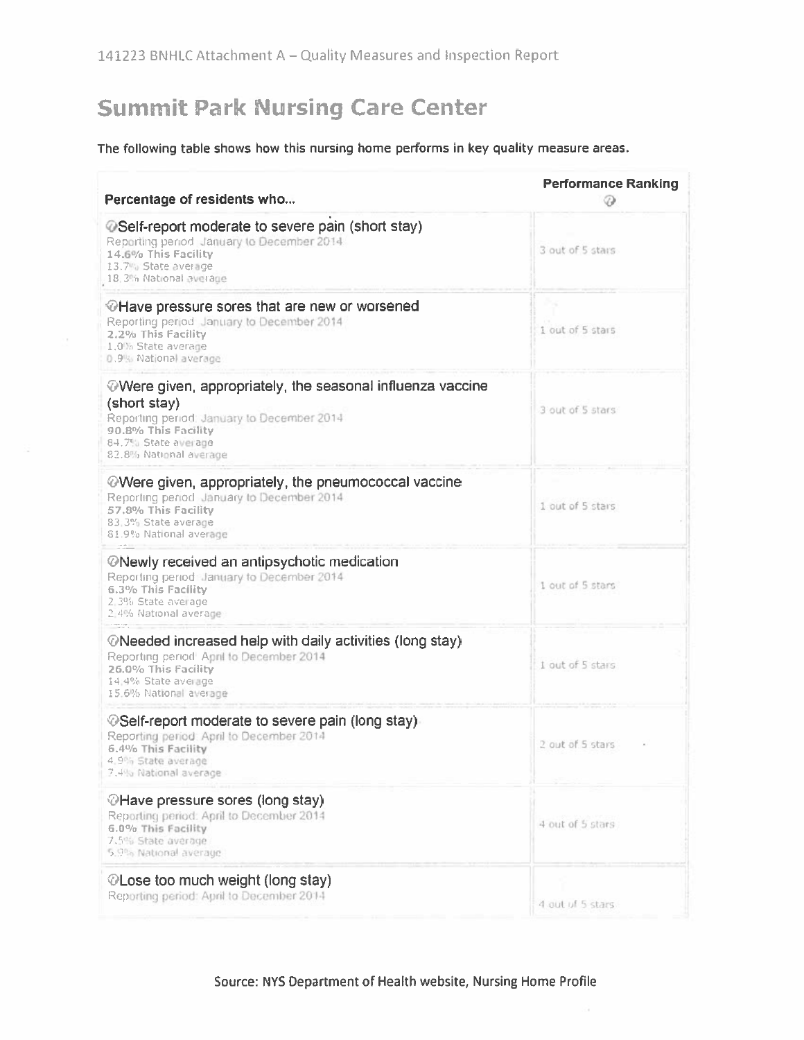# **Summit Park Nursing Care Center**

### The following table shows how this nursing home performs in key quality measure areas.

| Percentage of residents who                                                                                                                                                                               | <b>Performance Ranking</b><br>℗ |
|-----------------------------------------------------------------------------------------------------------------------------------------------------------------------------------------------------------|---------------------------------|
| @Self-report moderate to severe pain (short stay)<br>Reporting period January to December 2014<br>14.6% This Facility<br>13.7% State average<br>18,3% National average                                    | 3 out of 5 stars                |
| <b><i></i></b> Have pressure sores that are new or worsened<br>Reporting period January to December 2014<br>2.2% This Facility<br>1.0% State average<br>0.9% National average                             | 1 out of 5 stars                |
| $\oslash$ Were given, appropriately, the seasonal influenza vaccine<br>(short stay)<br>Reporting period: January to December 2014<br>90.8% This Facility<br>84.7% State average<br>82.8% National average | 3 out of 5 stars                |
| <b>Were given, appropriately, the pneumococcal vaccine</b><br>Reporting period January to December 2014<br>57.8% This Facility<br>83.3% State average<br>81.9% National average                           | 1 out of 5 stars                |
| <b><i>ONewly received an antipsychotic medication</i></b><br>Reporting period January to December 2014<br>6.3% This Facility<br>2.3% State average<br>2.4% National average                               | 1 out of 5 stars                |
| <b><i>©</i>Needed increased help with daily activities (long stay)</b><br>Reporting period <sup>1</sup> April to December 2014<br>26.0% This Facility<br>14:4% State average<br>15.6% National average    | 1 out of 5 stars                |
| <b><i></i></b> ©Self-report moderate to severe pain (long stay)<br>Reporting period: April to December 2014<br>6.4% This Facility<br>4.9% State average<br>7.4% National average                          | 2 out of 5 stars                |
| <b><i>OHave pressure sores (long stay)</i></b><br>Reporting period: April to December 2014<br>6.0% This Facility<br>7.5% State average<br>5.9% National average.                                          | 4 out of 5 stars                |
| <b><i>OLose too much weight (long stay)</i></b><br>Reporting period: April to December 2014                                                                                                               | 4 out of 5 stars.               |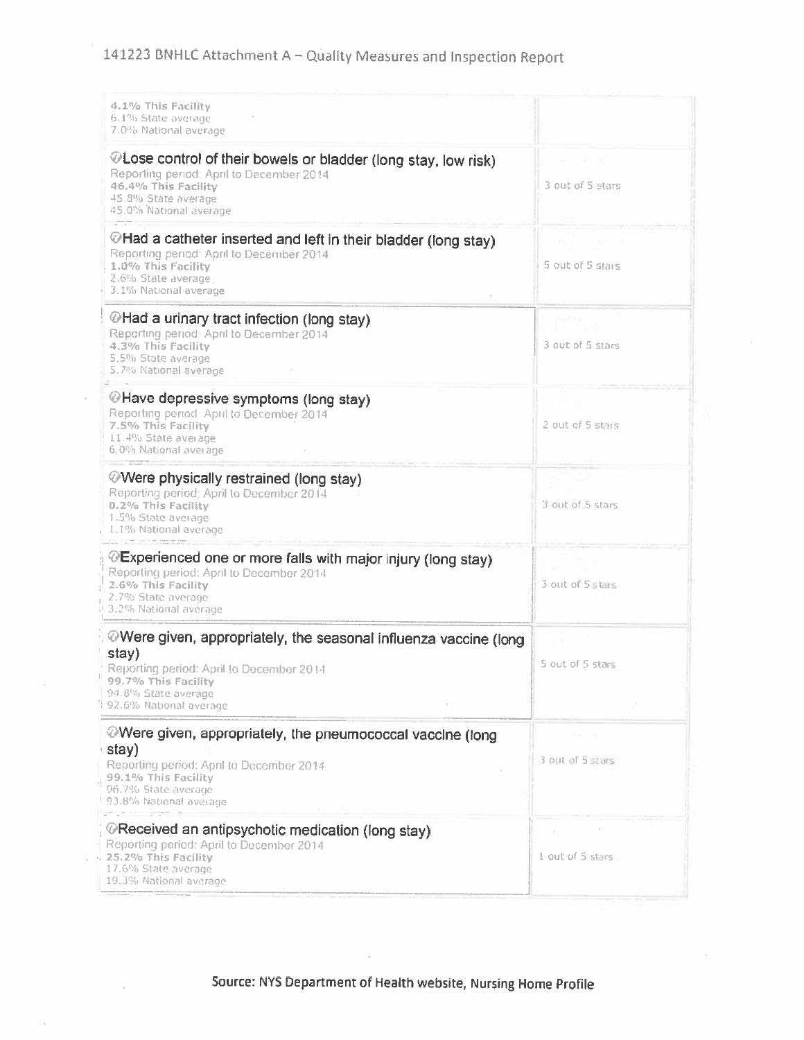| 4.1% This Facility<br>6.1% State average<br>7.0% National average                                                                                                                                   |                  |
|-----------------------------------------------------------------------------------------------------------------------------------------------------------------------------------------------------|------------------|
| @Lose control of their bowels or bladder (long stay, low risk)<br>Reporting period: April to December 2014<br>46.4% This Facility<br>45.8% State average<br>45.0% National average                  | 3 out of 5 stars |
| $\oslash$ Had a catheter inserted and left in their bladder (long stay)<br>Reporting period April to December 2014<br>1.0% This Facility<br>2.6% State average<br>3.1% National average             | 5 out of 5 stars |
| <b><i>©Had a urinary tract infection (long stay)</i></b><br>Reporting period: April to December 2014<br>4.3% This Facility<br>5.5% State average<br>5.7% National average                           | 3 out of 5 stars |
| <b><i>©Have depressive symptoms (long stay)</i></b><br>Reporting period: April to December 2014<br>7.5% This Facility<br>11:4% State average<br>6.0% National average                               | 2 out of 5 stars |
| Were physically restrained (long stay)<br>Reporting period: April to December 2014<br>0.2% This Facility<br>1.5% State average<br>1.1% National average                                             | 3 out of 5 stars |
| <i></i> ⊙Experienced one or more falls with major injury (long stay)<br>Reporting period: April to December 2014<br>2.6% This Facility<br>2.7% State average<br>3.2% National average               | 3 out of 5 stars |
| Were given, appropriately, the seasonal influenza vaccine (long<br>stay)<br>Reporting period: April to December 2014<br>99.7% This Facility<br>94.8% State average<br>#92.6% National average       | 5 out of 5 stars |
| Were given, appropriately, the pneumococcal vaccine (long<br>stay)<br>Reporting period: April to December 2014<br>99.1% This Facility<br>96.7% State average<br><sup>1</sup> 93.8% National average | 3 out of 5 stars |
| @Received an antipsychotic medication (long stay)<br>Reporting period: April to December 2014<br>25.2% This Facility<br>17.6% State average<br>19.3% National average                               | 1 out of 5 stars |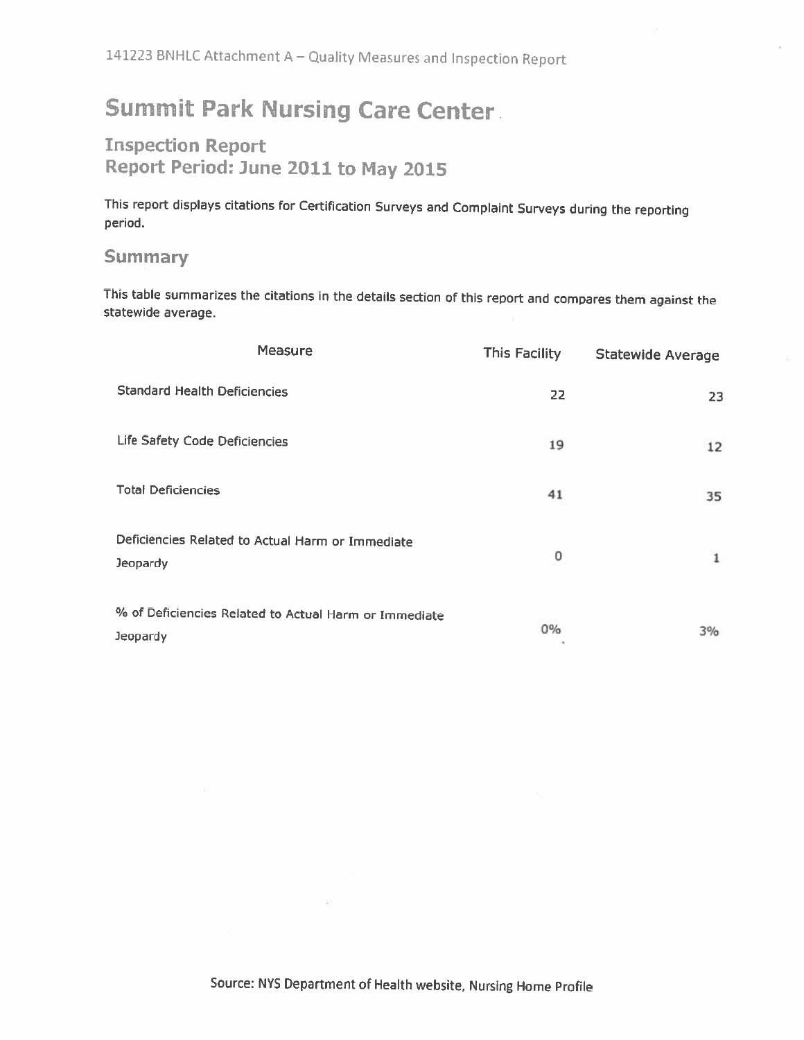# **Summit Park Nursing Care Center.**

## **Inspection Report** Report Period: June 2011 to May 2015

This report displays citations for Certification Surveys and Complaint Surveys during the reporting period.

## **Summary**

This table summarizes the citations in the details section of this report and compares them against the statewide average.

| <b>Measure</b>                                                    | <b>This Facility</b> | <b>Statewide Average</b> |
|-------------------------------------------------------------------|----------------------|--------------------------|
| <b>Standard Health Deficiencies</b>                               | 22                   | 23                       |
| Life Safety Code Deficiencies                                     | 19                   | 12                       |
| <b>Total Deficiencies</b>                                         | 41                   | 35                       |
| Deficiencies Related to Actual Harm or Immediate<br>Jeopardy      | 0                    | $\mathbf{1}$             |
| % of Deficiencies Related to Actual Harm or Immediate<br>Jeopardy | $0\%$                | 3%                       |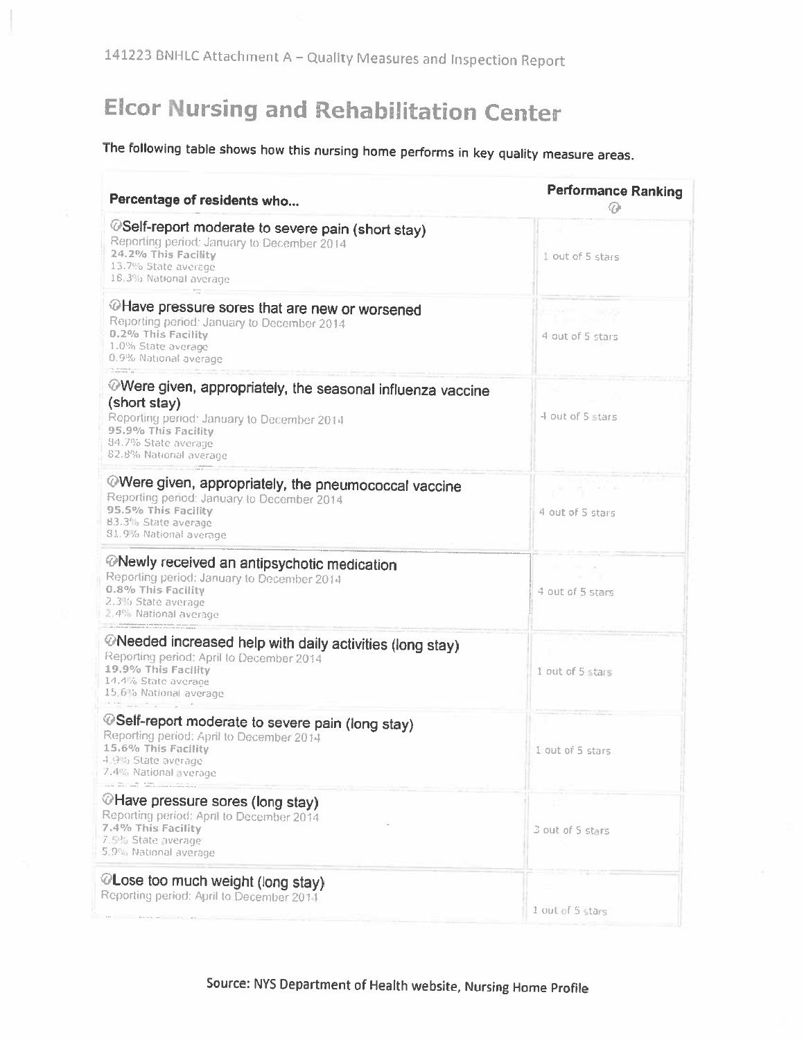# **Elcor Nursing and Rehabilitation Center**

The following table shows how this nursing home performs in key quality measure areas.

| Percentage of residents who                                                                                                                                                                      | <b>Performance Ranking</b> |
|--------------------------------------------------------------------------------------------------------------------------------------------------------------------------------------------------|----------------------------|
| @Self-report moderate to severe pain (short stay)<br>Reporting period: January to December 2014<br>24.2% This Facility<br>13.7% State average<br>16.3% National average                          | Liout of 5 stars           |
| @Have pressure sores that are new or worsened<br>Reporting period: January to December 2014<br>0.2% This Facility<br>1.0% State average<br>0.9% National average                                 | 4 out of 5 stars           |
| ⊘Were given, appropriately, the seasonal influenza vaccine<br>(short stay)<br>Reporting period: January to December 2014<br>95.9% This Facility<br>84.7% State average<br>62.8% National average | 4 out of 5 stars           |
| Were given, appropriately, the pneumococcal vaccine<br>Reporting period: January to December 2014<br>95.5% This Facility<br>B3.3% State average<br>81.9% National average                        | 4 out of 5 stars           |
| <b>Wewly received an antipsychotic medication</b><br>Reporting period: January to December 2014<br>0.8% This Facility<br>2.3% State average<br>2.4% National average                             | 4 out of 5 stars           |
| @Needed increased help with daily activities (long stay)<br>Reporting period: April to December 2014<br>19.9% This Facility<br>14.4% State average<br>15.6% National average                     | 1 out of 5 stars           |
| @Self-report moderate to severe pain (long stay)<br>Reporting period: April to December 2014<br>15.6% This Facility<br>4.9% State average<br>7.4% National everage                               | 1 out of 5 stars           |
| @Have pressure sores (long stay)<br>Reporting period: April to December 2014<br>7.4% This Facility<br>7.5% State average<br>5.9% National average                                                | 3 out of 5 stars           |
| @Lose too much weight (long stay)<br>Reporting period: April to December 2014                                                                                                                    | 1 out of 5 stars           |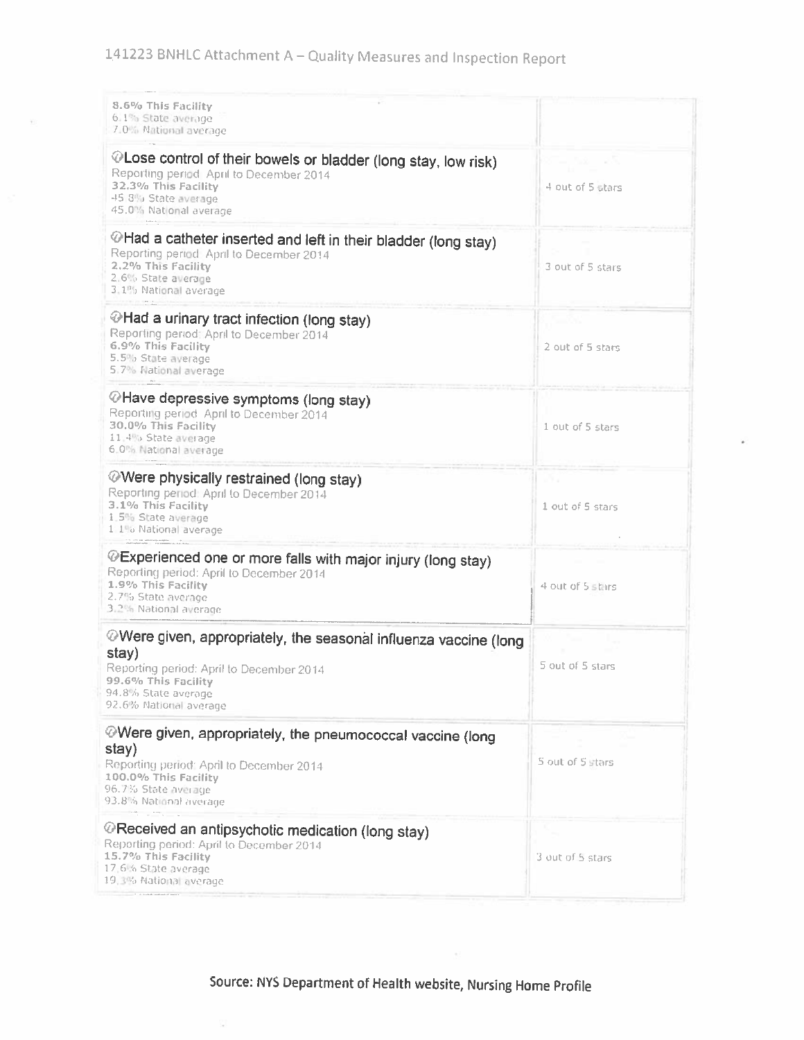| 8.6% This Facility<br>6.1% State average<br>7.0% National average                                                                                                                            |                  |
|----------------------------------------------------------------------------------------------------------------------------------------------------------------------------------------------|------------------|
| @Lose control of their bowels or bladder (long stay, low risk)<br>Reporting period April to December 2014<br>32.3% This Facility<br>45.8% State average<br>45.0% National average            | 4 out of 5 stars |
| $\oslash$ Had a catheter inserted and left in their bladder (long stay)<br>Reporting period April to December 2014<br>2.2% This Facility<br>2.6% State average<br>3.1% National average      | 3 out of 5 stars |
| ⊙Had a urinary tract infection (long stay)<br>Reporting period: April to December 2014<br>6.9% This Facility<br>5.5% State average<br>5.7% National average                                  | 2 out of 5 stars |
| @Have depressive symptoms (long stay)<br>Reporting period April to December 2014<br>30.0% This Facility<br>11,4% State average<br>6.0% National average                                      | 1 out of 5 stars |
| <b>Were physically restrained (long stay)</b><br>Reporting period: April to December 2014<br>3.1% This Facility<br>1.5% State average<br>1 1% National average                               | 1 out of 5 stars |
| @Experienced one or more falls with major injury (long stay)<br>Reporting period: April to December 2014<br>1.9% This Facility<br>2.7% State average<br>3.2% National average                | 4 out of 5 stars |
| Were given, appropriately, the seasonal influenza vaccine (long<br>stay)<br>Reporting period: April to December 2014<br>99.6% This Facility<br>94.8% State average<br>92.6% National average | 5 out of 5 stars |
| Were given, appropriately, the pneumococcal vaccine (long<br>stay)<br>Reporting period: April to December 2014<br>100.0% This Facility<br>96.7% State average<br>93.8% National average      | 5 out of 5 stars |
| @Received an antipsychotic medication (long stay)<br>Reporting period: April to December 2014<br>15.7% This Facility<br>17.6% State average<br>19.3% National average                        | 3 out of 5 stars |

았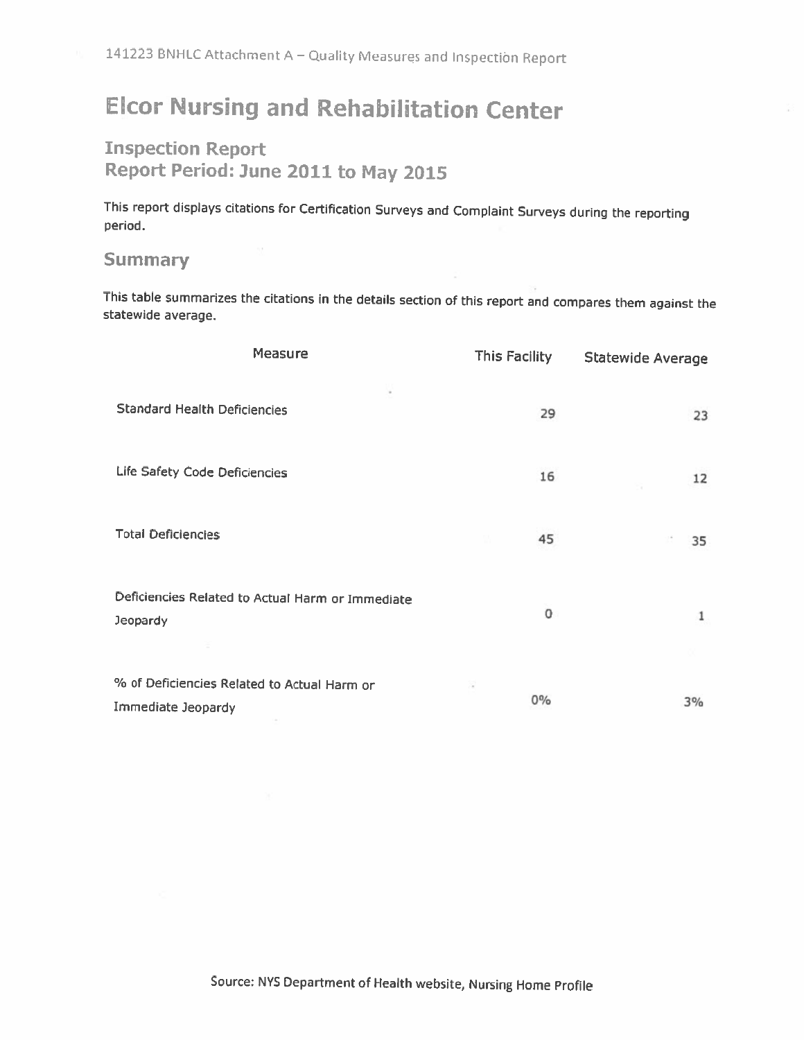# **Elcor Nursing and Rehabilitation Center**

## **Inspection Report** Report Period: June 2011 to May 2015

This report displays citations for Certification Surveys and Complaint Surveys during the reporting period.

## **Summary**

This table summarizes the citations in the details section of this report and compares them against the statewide average.

| Measure                                                             | This Facility | <b>Statewide Average</b> |
|---------------------------------------------------------------------|---------------|--------------------------|
| <b>Standard Health Deficiencies</b>                                 | 29            | 23                       |
| Life Safety Code Deficiencies                                       | 16            | 12                       |
| <b>Total Deficiencies</b>                                           | 45            | 35                       |
| Deficiencies Related to Actual Harm or Immediate<br><b>Jeopardy</b> | 0             | 1                        |
| % of Deficiencies Related to Actual Harm or<br>Immediate Jeopardy   | $0\%$         | 3%                       |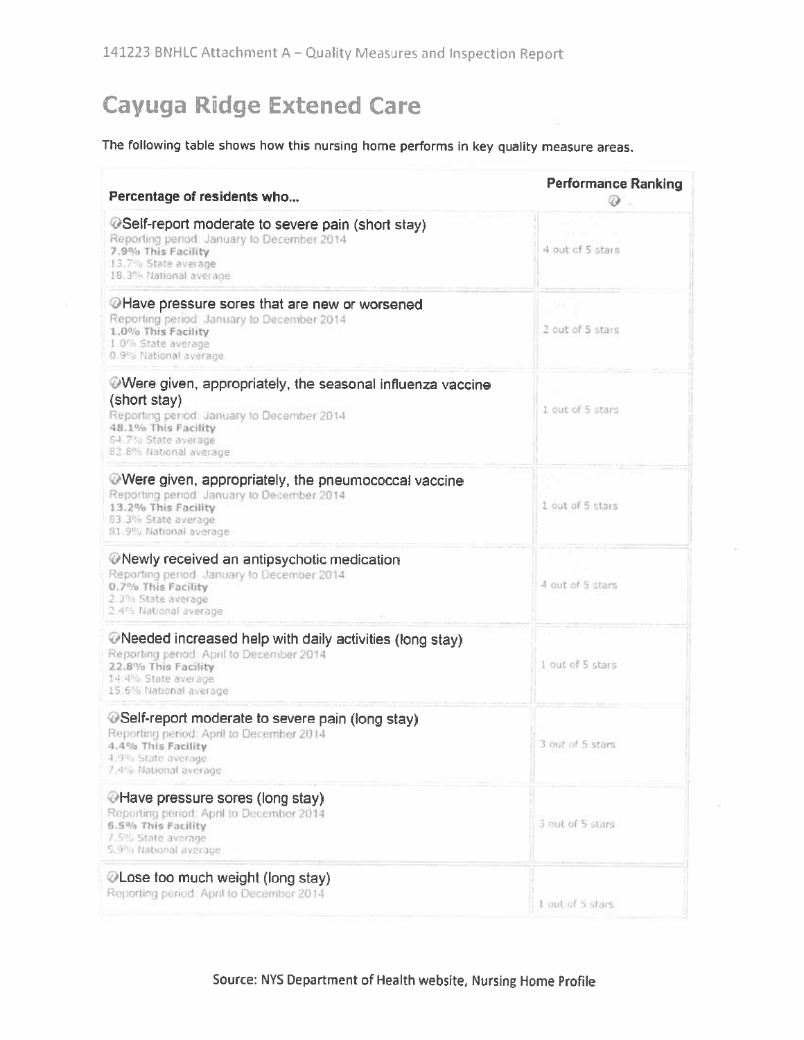# **Cayuga Ridge Extened Care**

## The following table shows how this nursing home performs in key quality measure areas.

| Percentage of residents who                                                                                                                                                                     | <b>Performance Ranking</b><br>⊕ |
|-------------------------------------------------------------------------------------------------------------------------------------------------------------------------------------------------|---------------------------------|
| @Self-report moderate to severe pain (short stay)<br>Reporting period: January to December 2014<br>7.9% This Facility<br>13.7% State average<br>18.3% National average                          | 4 out of 5 stars                |
| OHave pressure sores that are new or worsened<br>Reporting period: January to December 2014<br>1.0% This Facility<br>1.0% State average<br>0.9% National average                                | ωï<br>2 out of 5 stars          |
| Were given, appropriately, the seasonal influenza vaccine<br>(short stay)<br>Reporting period. January to December 2014<br>48.1% This Facility<br>84.7% State average<br>82.8% National average | I out of 5 stars                |
| Were given, appropriately, the pneumococcal vaccine<br>Reporting period: January to December 2014<br>13.2% This Facility<br>83.3% State average<br>81.9% National average                       | 1 out of 5 stars                |
| <b>ONewly received an antipsychotic medication</b><br>Reporting period. January to December 2014.<br>0.7% This Facility<br>2.3% State average<br>2.4% National average                          | 4 out of 5 stars                |
| ©Needed increased help with daily activities (long stay)<br>Reporting penod: April to December 2014<br>22.8% This Facility<br>14.4% State average<br>15.6% National average                     | 1 out of 5 stars                |
| @Self-report moderate to severe pain (long stay)<br>Reporting period: April to December 2014<br>4.4% This Facility<br>4.9% State average<br>7.4% National average                               | 3 out of 5 stars                |
| CHave pressure sores (long stay)<br>Reporting period: April to December 2014<br>6.5% This Facility<br>7.5% State average<br>5.9% National average                                               | 3 out of 5 stars                |
| ©Lose too much weight (long stay)<br>Reporting period. April to December 2014                                                                                                                   | 1 out of 5 stars                |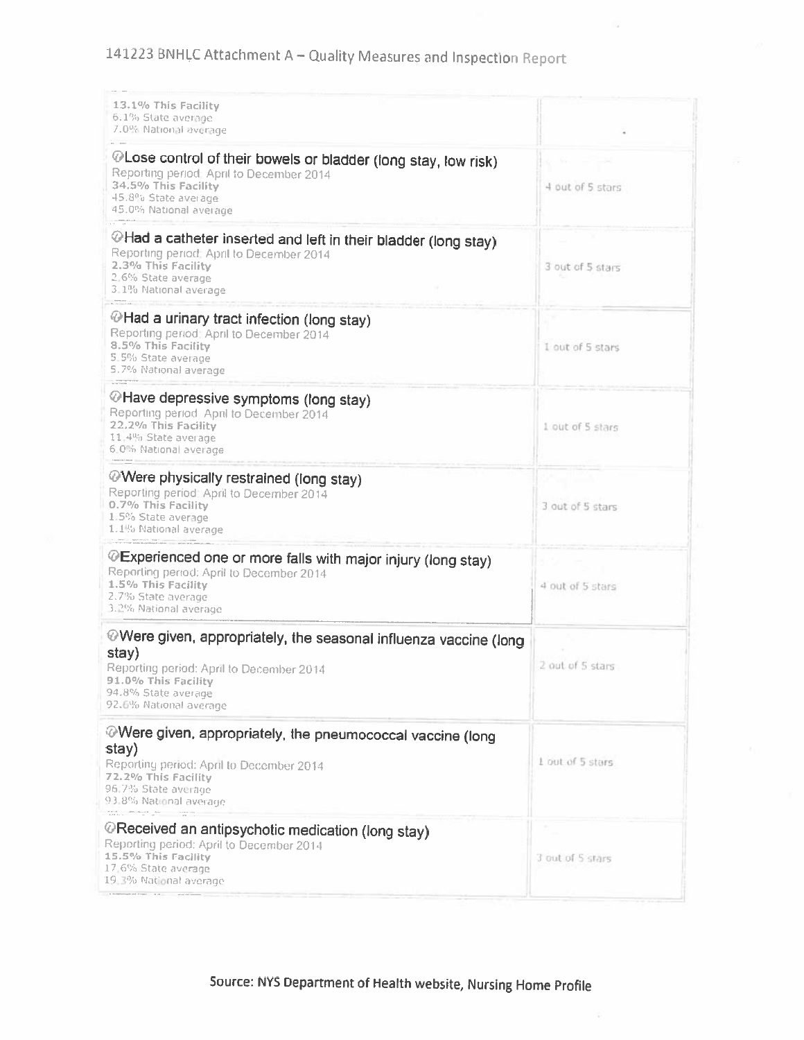# 141223 BNHLC Attachment A - Quality Measures and Inspection Report

| 13.1% This Facility<br>6.1% State average<br>7.0% National average                                                                                                                            |                  |
|-----------------------------------------------------------------------------------------------------------------------------------------------------------------------------------------------|------------------|
| @Lose control of their bowels or bladder (long stay, low risk)<br>Reporting period: April to December 2014<br>34.5% This Facility<br>45.8% State average<br>45.0% National average            | 4 out of 5 stars |
| @Had a catheter inserted and left in their bladder (long stay)<br>Reporting period: April to December 2014<br>2.3% This Facility<br>2,6% State average<br>3.1% National average               | 3 out of 5 stars |
| $\circledcirc$ Had a urinary tract infection (long stay)<br>Reporting period: April to December 2014<br>8.5% This Facility<br>5.5% State average<br>5.7% National average                     | 1 out of 5 stars |
| @Have depressive symptoms (long stay)<br>Reporting period. April to December 2014<br>22.2% This Facility<br>11:4% State average<br>6.0% National average                                      | 1 out of 5 stars |
| <b>Were physically restrained (long stay)</b><br>Reporting period: April to December 2014<br>0.7% This Facility<br>1.5% State average<br>1.1% National average                                | 3 out of 5 stars |
| @Experienced one or more falls with major injury (long stay)<br>Reporting period: April to December 2014<br>1.5% This Facility<br>2.7% State average<br>3.2% National average                 | 4 out of 5 stars |
| ©Were given, appropriately, the seasonal influenza vaccine (long<br>stay)<br>Reporting period: April to December 2014<br>91.0% This Facility<br>94.8% State average<br>92.6% National average | 2 out of 5 stars |
| @Were given, appropriately, the pneumococcal vaccine (long<br>stay)<br>Reporting period: April to December 2014<br>72.2% This Facility<br>96/7% State average<br>93.8% National average       | 1 out of 5 stars |
| @Received an antipsychotic medication (long stay)<br>Reporting period: April to December 2014<br>15.5% This Facility<br>17,6% State average<br>19.3% National average                         | 3 out of 5 stars |
|                                                                                                                                                                                               |                  |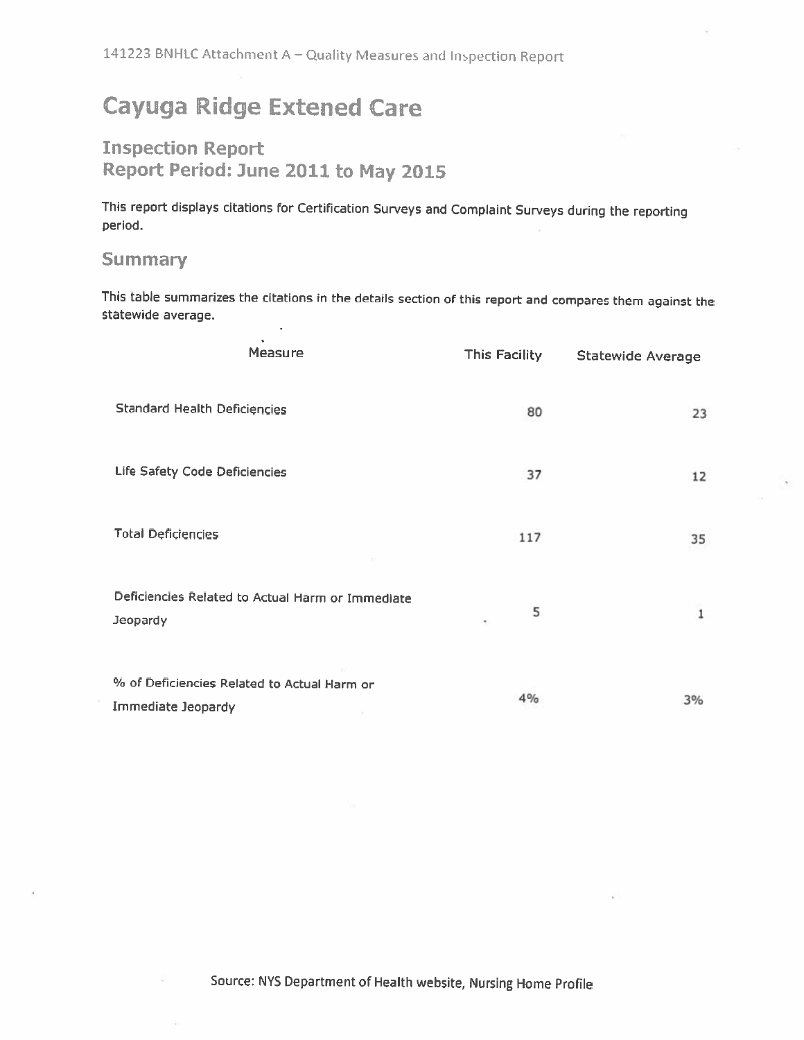141223 BNHLC Attachment A - Quality Measures and Inspection Report

# **Cayuga Ridge Extened Care**

## **Inspection Report** Report Period: June 2011 to May 2015

This report displays citations for Certification Surveys and Complaint Surveys during the reporting period.

## **Summary**

This table summarizes the citations in the details section of this report and compares them against the statewide average.

| Measure                                                           | This Facility | <b>Statewide Average</b> |
|-------------------------------------------------------------------|---------------|--------------------------|
| <b>Standard Health Deficiencies</b>                               | 80            | 23                       |
| Life Safety Code Deficiencies                                     | 37            | 12                       |
| <b>Total Deficiencies</b>                                         | 117           | 35                       |
| Deficiencies Related to Actual Harm or Immediate<br>Jeopardy      | 5<br>٠        | 1                        |
| % of Deficiencies Related to Actual Harm or<br>Immediate Jeopardy | 4%            | 3%                       |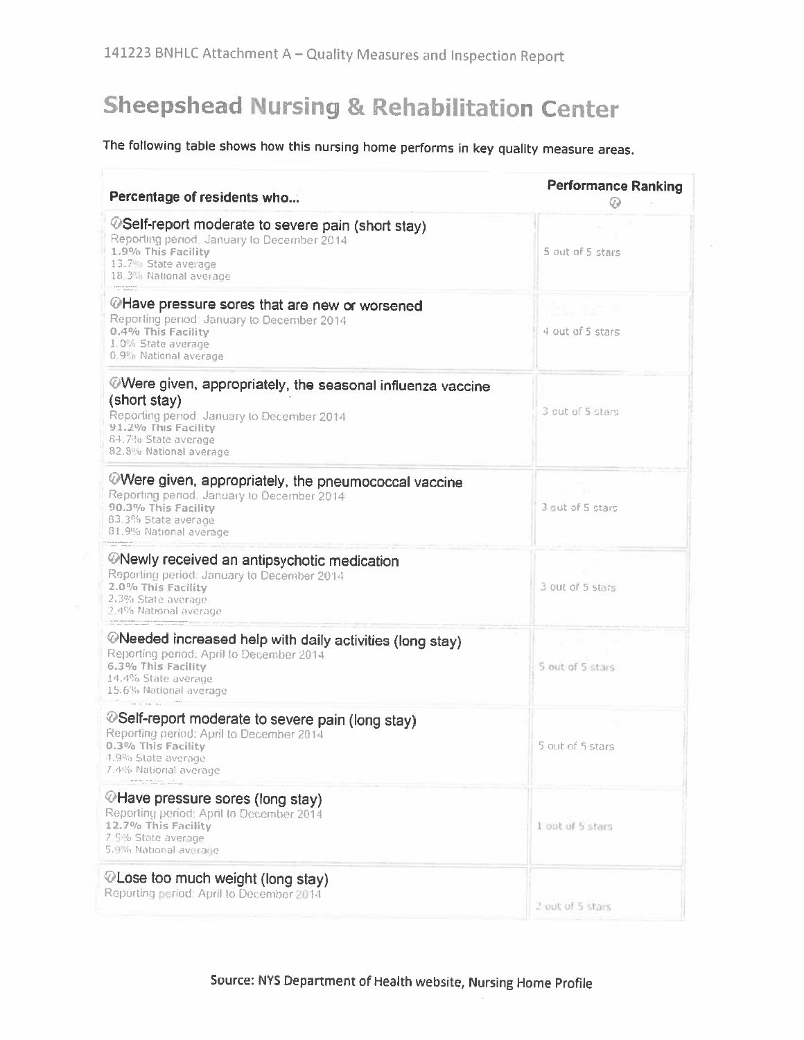# **Sheepshead Nursing & Rehabilitation Center**

## The following table shows how this nursing home performs in key quality measure areas.

| Percentage of residents who                                                                                                                                                                                                                                                                                                                                                                                                                                                                                                                                                                                                 | <b>Performance Ranking</b> |
|-----------------------------------------------------------------------------------------------------------------------------------------------------------------------------------------------------------------------------------------------------------------------------------------------------------------------------------------------------------------------------------------------------------------------------------------------------------------------------------------------------------------------------------------------------------------------------------------------------------------------------|----------------------------|
| ©Self-report moderate to severe pain (short stay)<br>Reporting period. January to December 2014<br>1.9% This Facility<br>13.7% State average<br>18,3% National average                                                                                                                                                                                                                                                                                                                                                                                                                                                      | 5 out of 5 stars           |
| terrainadans<br>P. manaru<br>@Have pressure sores that are new or worsened<br>Reporting period: January to December 2014<br>0.4% This Facility<br>1.0% State average<br>0.9% National average                                                                                                                                                                                                                                                                                                                                                                                                                               | 4 out of 5 stars           |
| Were given, appropriately, the seasonal influenza vaccine<br>(short stay)<br>Reporting period: January to December 2014<br>91.2% This Facility<br>64.7% State average<br>82.8% National average                                                                                                                                                                                                                                                                                                                                                                                                                             | 3 out of 5 stars           |
| Were given, appropriately, the pneumococcal vaccine<br>Reporting period, January to December 2014<br>90.3% This Facility<br>83,3% State average<br>81.9% National average                                                                                                                                                                                                                                                                                                                                                                                                                                                   | 3 out of 5 stars           |
| <b><i>@Newly received an antipsychotic medication</i></b><br>Reporting period: January to December 2014<br>2.0% This Facility<br>2.3% State average<br>2.4% National average                                                                                                                                                                                                                                                                                                                                                                                                                                                | 3 out of 5 stars           |
| and the contrast of the first term in the substitution and the contrast of the first term in the contrast of the $\alpha$<br><b><i>©</i>Needed increased help with daily activities (long stay)</b><br>Reporting period: April to December 2014<br>6.3% This Facility<br>14.4% State average<br>15.6% National average                                                                                                                                                                                                                                                                                                      | 5 out of 5 stars           |
| @Self-report moderate to severe pain (long stay)<br>Reporting period: April to December 2014<br>0.3% This Facility<br>4.9% State average.<br>7.4% National average                                                                                                                                                                                                                                                                                                                                                                                                                                                          | 5 out of 5 stars           |
| $\begin{tabular}{lcccccc} \texttt{MSE-1} & \texttt{MSE-1} & \texttt{MSE-1} & \texttt{MSE-1} & \texttt{MSE-1} \\ & \texttt{MSE-1} & \texttt{MSE-1} & \texttt{MSE-1} & \texttt{MSE-1} \\ \end{tabular} \vspace{-0.5em} \begin{tabular}{lcccccc} \multicolumn{2}{c}{} & \multicolumn{2}{c}{} & \multicolumn{2}{c}{} & \multicolumn{2}{c}{} & \multicolumn{2}{c}{} & \multicolumn{2}{c}{} & \multicolumn{2}{c}{} & \multicolumn{2}{c}{} & \multicolumn{2$<br><b><i></i></b> ⁄∂Have pressure sores (long stay)<br>Reporting period: April to December 2014<br>12.7% This Facility<br>7.5% State average<br>5.9% National average | I out of 5 stars           |
| ©Lose too much weight (long stay)<br>Reporting period: April to December 2014                                                                                                                                                                                                                                                                                                                                                                                                                                                                                                                                               | 2 out of 5 stars           |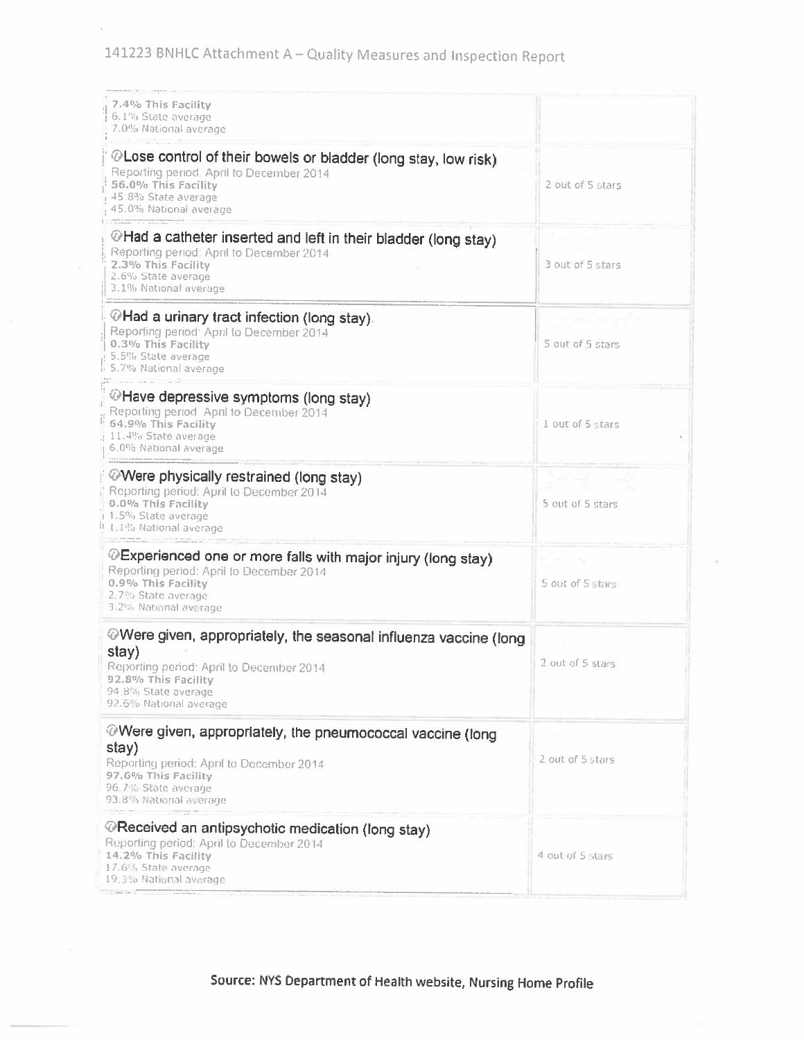141223 BNHLC Attachment A - Quality Measures and Inspection Report

| 7.4% This Facility<br>6.1% State average<br>7.0% National average                                                                                                                                |                  |
|--------------------------------------------------------------------------------------------------------------------------------------------------------------------------------------------------|------------------|
| @Lose control of their bowels or bladder (long stay, low risk)<br>Reporting period. April to December 2014<br>56.0% This Facility<br>45.8% State average<br>45.0% National average               | 2 out of 5 stars |
| @Had a catheter inserted and left in their bladder (long stay)<br>Reporting period: April to December 2014<br>2.3% This Facility<br>2.6% State average<br>3.1% National average                  | 3 out of 5 stars |
| MHad a urinary tract infection (long stay).<br>Reporting period: April to December 2014<br>0.3% This Facility<br>5.5% State average<br>5.7% National average                                     | 5 out of 5 stars |
| <sup>◎</sup> Have depressive symptoms (long stay)<br>Reporting period April to December 2014<br>64.9% This Facility<br>11.4% State average<br>6.0% National average                              | 1 out of 5 stars |
| <b>Were physically restrained (long stay)</b><br>Reporting period: April to December 2014<br>0.0% This Facility<br>1.5% State average<br>11.1.1% National average                                | 5 out of 5 stars |
| @Experienced one or more falls with major injury (long stay)<br>Reporting period: April to December 2014<br>0.9% This Facility<br>2.7% State average<br>3.2% National average                    | 5 out of 5 stars |
| @Were given, appropriately, the seasonal influenza vaccine (long<br>stay)<br>Reporting period: April to December 2014<br>92.8% This Facility<br>94.8% State average<br>92.6% National average    | 2 out of 5 stars |
| $\oslash$ Were given, appropriately, the pneumococcal vaccine (long<br>stay)<br>Reporting period: April to December 2014<br>97.6% This Facility<br>96.7% State average<br>93.8% National average | 2 out of 5 stars |
| <b><i>@Received an antipsychotic medication (long stay)</i></b><br>Reporting period: April to December 2014<br>14.2% This Facility<br>17.6% State average<br>19:35 National average              | 4 out of 5 stars |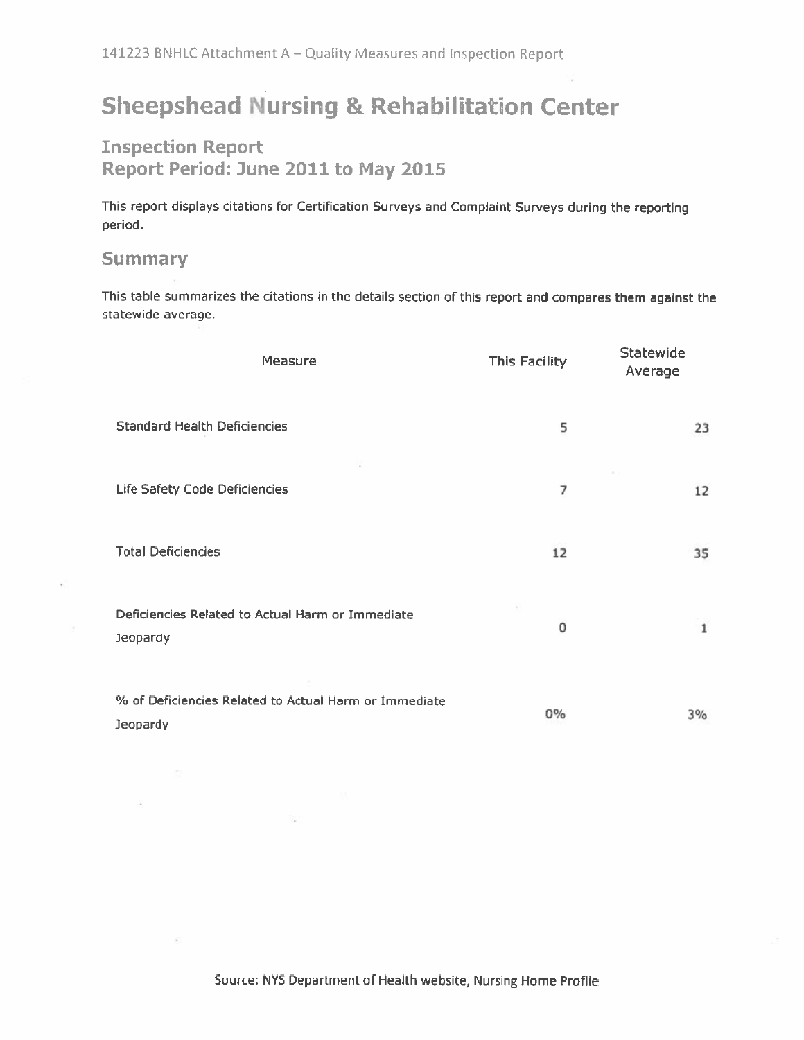# **Sheepshead Nursing & Rehabilitation Center**

## **Inspection Report** Report Period: June 2011 to May 2015

This report displays citations for Certification Surveys and Complaint Surveys during the reporting period.

## **Summary**

This table summarizes the citations in the details section of this report and compares them against the statewide average.

| Measure                                                           | <b>This Facility</b> | <b>Statewide</b><br>Average |
|-------------------------------------------------------------------|----------------------|-----------------------------|
| <b>Standard Health Deficiencies</b>                               | 5                    | 23                          |
| Life Safety Code Deficiencies                                     | 7                    | 12                          |
| <b>Total Deficiencies</b>                                         | 12                   | 35                          |
| Deficiencies Related to Actual Harm or Immediate<br>Jeopardy      | 0                    | $\mathbf{1}$                |
| % of Deficiencies Related to Actual Harm or Immediate<br>Jeopardy | 0%                   | 3%                          |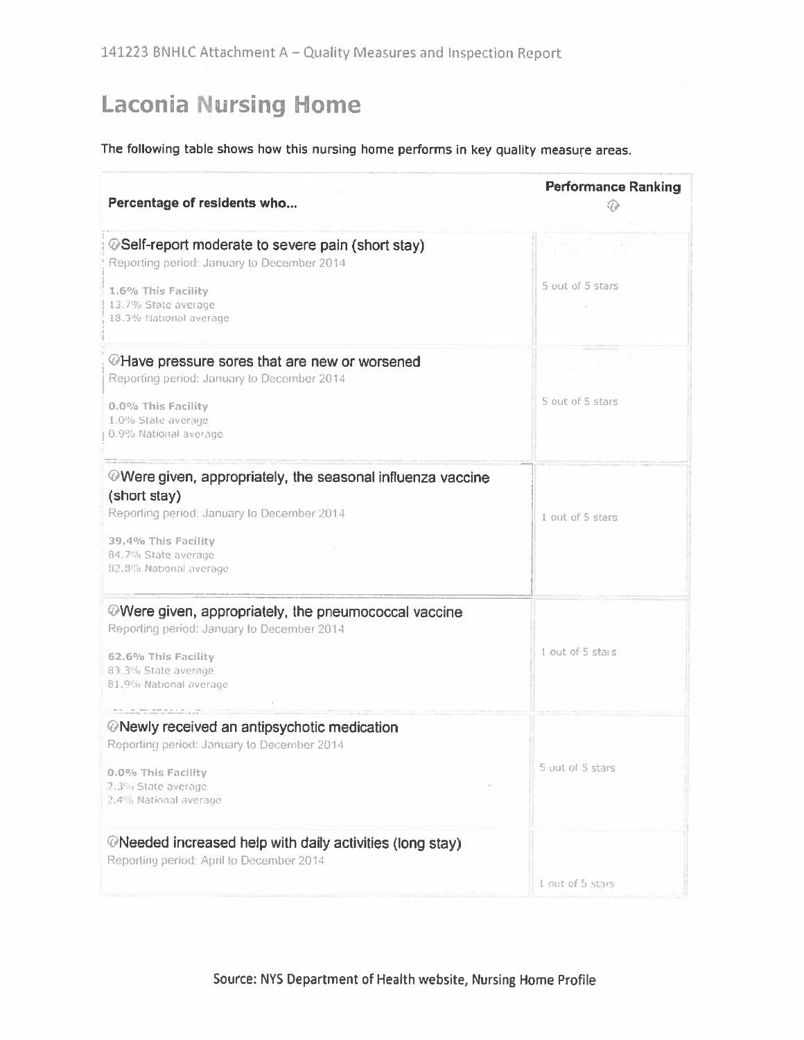# **Laconia Nursing Home**

## The following table shows how this nursing home performs in key quality measure areas.

| Percentage of residents who                                                                                        | <b>Performance Ranking</b> |
|--------------------------------------------------------------------------------------------------------------------|----------------------------|
| ©Self-report moderate to severe pain (short stay)<br>Reporting period: January to December 2014                    |                            |
| 1.6% This Facility<br>13.7% State average<br>18.3% National average                                                | 5 out of 5 stars           |
| @Have pressure sores that are new or worsened<br>Reporting period: January to December 2014                        |                            |
| 0.0% This Facility<br>1.0% State average<br>0.9% National average                                                  | 5 out of 5 stars           |
| <b>Were given, appropriately, the seasonal influenza vaccine</b><br>(short stay)                                   |                            |
| Reporting period: January to December 2014<br>39.4% This Facility<br>84,7% State average<br>82.8% National average | 1 out of 5 stars           |
| $\oslash$ Were given, appropriately, the pneumococcal vaccine<br>Reporting period: January to December 2014        |                            |
| 62.6% This Facility<br>83.3% State average<br>81.9% National average                                               | 1 out of 5 stalls          |
| <b><i>©</i>Newly received an antipsychotic medication</b><br>Reporting period: January to December 2014            |                            |
| 0.0% This Facility<br>2.3% State average<br>2.4% National average                                                  | 5 out of 5 stars           |
| $\oslash$ Needed increased help with daily activities (long stay)<br>Reporting period: April to December 2014      |                            |
|                                                                                                                    | 1 out of 5 stars           |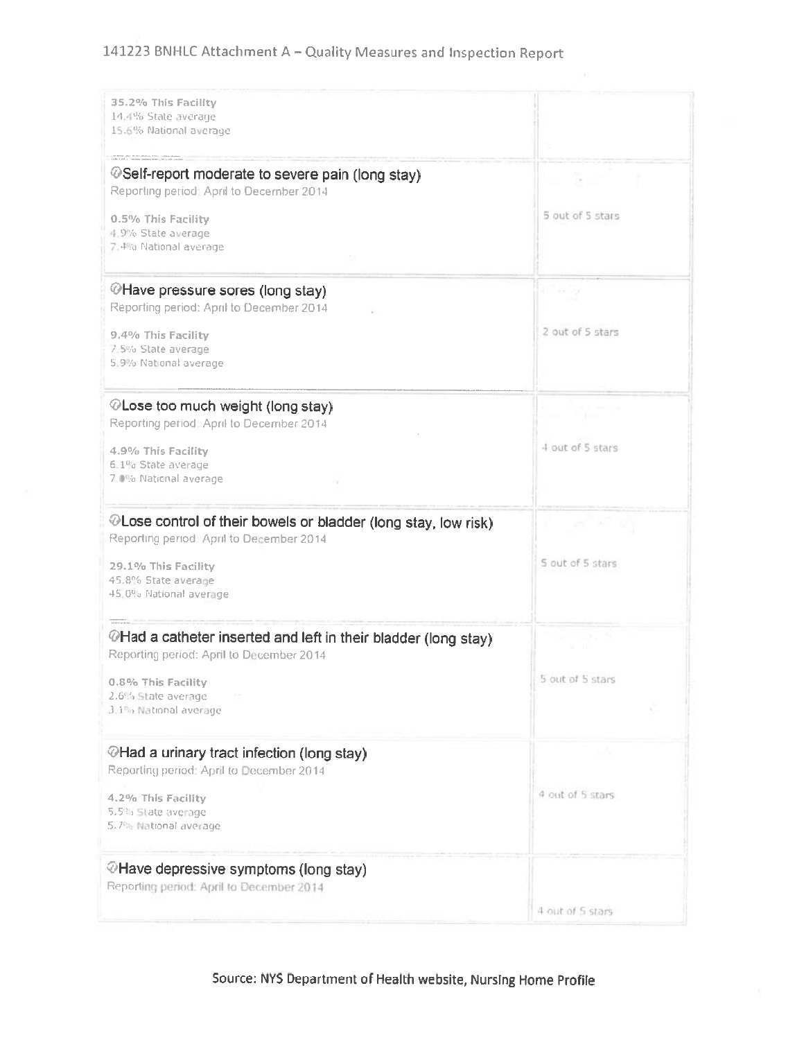## 141223 BNHLC Attachment A - Quality Measures and Inspection Report

| 35.2% This Facility<br>14,4% State average<br>15.6% National average                                        |                  |
|-------------------------------------------------------------------------------------------------------------|------------------|
| <b><i>@Self-report moderate to severe pain (long stay)</i></b><br>Reporting period: April to December 2014  | $-35 - 7$        |
| 0.5% This Facility<br>4.9% State average<br>7.4% National average                                           | 5 out of 5 stars |
| <b><i>OHave pressure sores (long stay)</i></b><br>Reporting period: April to December 2014                  |                  |
| 9.4% This Facility<br>7:5% State average<br>5.9% National average                                           | 2 out of 5 stars |
| $\circledcirc$ Lose too much weight (long stay)<br>Reporting period: April to December 2014                 | ing p            |
| 4.9% This Facility<br>6.1% State average<br>7.0% National average                                           | 4 out of 5 stars |
| © Lose control of their bowels or bladder (long stay, low risk)<br>Reporting period: April to December 2014 |                  |
| 29.1% This Facility<br>45.8% State average<br>45.0% National average                                        | 5 out of 5 stars |
| @Had a catheter inserted and left in their bladder (long stay)<br>Reporting period: April to December 2014  | $31 - 10$        |
| 0.8% This Facility<br>2.6% State average<br>3.1% National average                                           | 5 out of 5 stars |
| <b><i></i></b> ⁄∂Had a urinary tract infection (long stay)<br>Reporting period: April to December 2014      |                  |
| 4.2% This Facility<br>5.5% State average<br>5.7% National average                                           | 4 out of 5 stars |
| @Have depressive symptoms (long stay)<br>Reporting period: April to December 2014                           |                  |
|                                                                                                             | 4 out of 5 stars |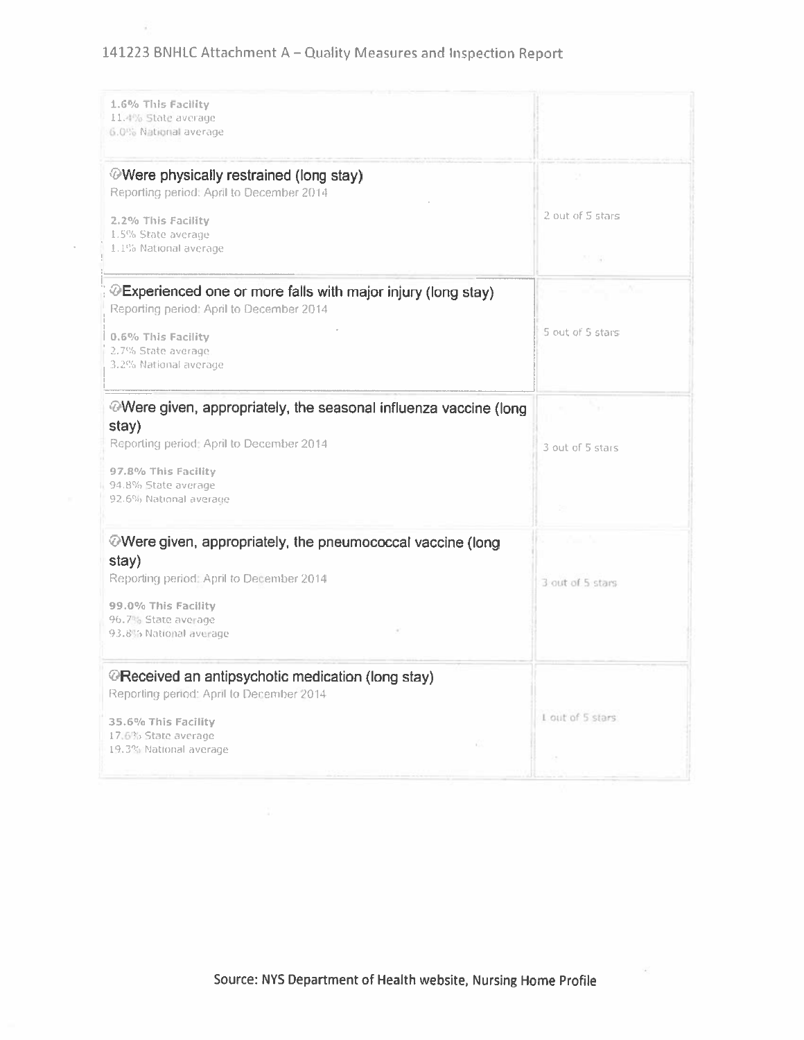## 141223 BNHLC Attachment A - Quality Measures and Inspection Report

ž.

| 1.6% This Facility<br>11.4% State average<br>6.0% National average                                                     |                   |
|------------------------------------------------------------------------------------------------------------------------|-------------------|
| <b><i>O</i>Were physically restrained (long stay)</b><br>Reporting period: April to December 2014                      |                   |
| 2.2% This Facility                                                                                                     | 2 out of 5 stars  |
| 1.5% State average<br>1.1% National average                                                                            | 四 扇               |
| <b><i>O</i>Experienced one or more falls with major injury (long stay)</b><br>Reporting period: April to December 2014 |                   |
| 0.6% This Facility                                                                                                     | 5 out of 5 stars  |
| 2.7% State average<br>3.2% National average                                                                            |                   |
| $\circledcirc$ Were given, appropriately, the seasonal influenza vaccine (long                                         |                   |
| stay)<br>Reporting period: April to December 2014                                                                      | 3 out of 5 stars  |
| 97.8% This Facility                                                                                                    |                   |
| 94.8% State average<br>92.6% National average                                                                          |                   |
| $\circledcirc$ Were given, appropriately, the pneumococcal vaccine (long                                               |                   |
| stay)<br>Reporting period: April to December 2014                                                                      | 3 out of 5 stars  |
| 99.0% This Facility                                                                                                    |                   |
| 96.7% State average<br>93.8% National average                                                                          |                   |
| <b><i>@Received an antipsychotic medication (long stay)</i></b><br>Reporting period: April to December 2014            |                   |
|                                                                                                                        | 1 out of 5 stars. |
| 35.6% This Facility<br>17:6% State average<br>Đ.                                                                       |                   |
| 19.3% National average                                                                                                 | $\lambda$         |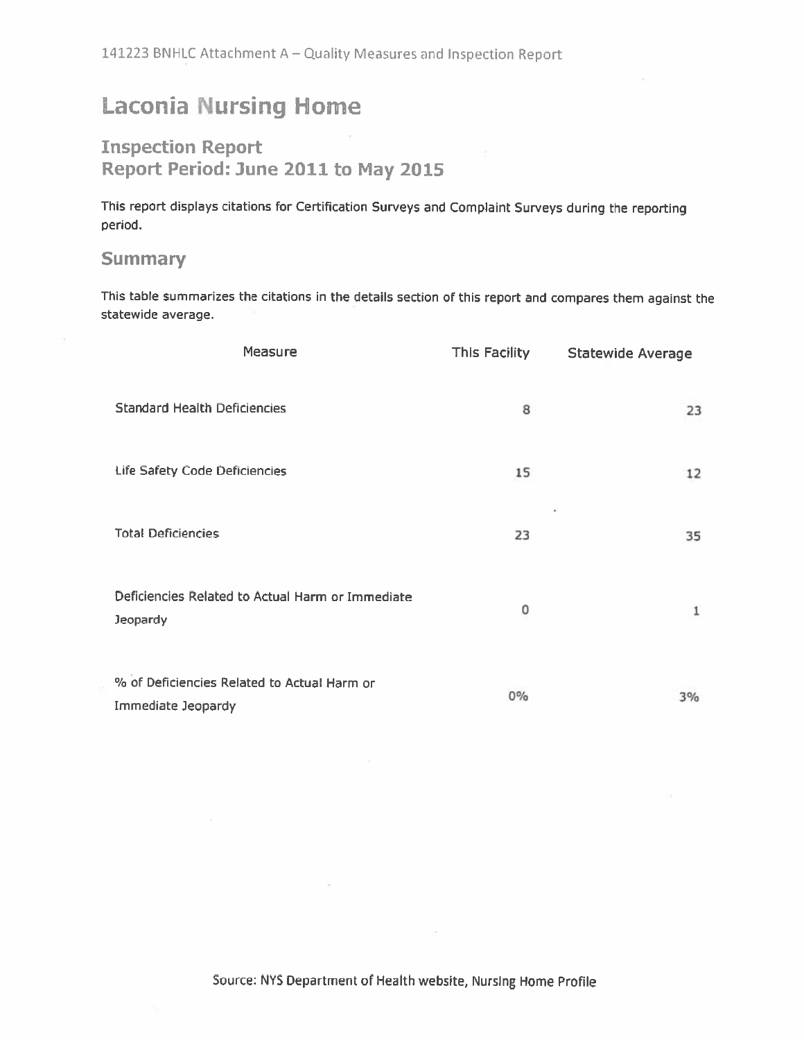# **Laconia Nursing Home**

## **Inspection Report** Report Period: June 2011 to May 2015

This report displays citations for Certification Surveys and Complaint Surveys during the reporting period.

## **Summary**

This table summarizes the citations in the details section of this report and compares them against the statewide average.

|                                     | Measure                                          | This Facility | <b>Statewide Average</b> |
|-------------------------------------|--------------------------------------------------|---------------|--------------------------|
| <b>Standard Health Deficiencies</b> |                                                  | 8             | 23                       |
| Life Safety Code Deficiencies       |                                                  | 15            | 12                       |
| <b>Total Deficiencies</b>           |                                                  | 23            | ٠<br>35                  |
| Jeopardy                            | Deficiencies Related to Actual Harm or Immediate | 0             | 1                        |
| Immediate Jeopardy                  | % of Deficiencies Related to Actual Harm or      | $0\%$         | 3%                       |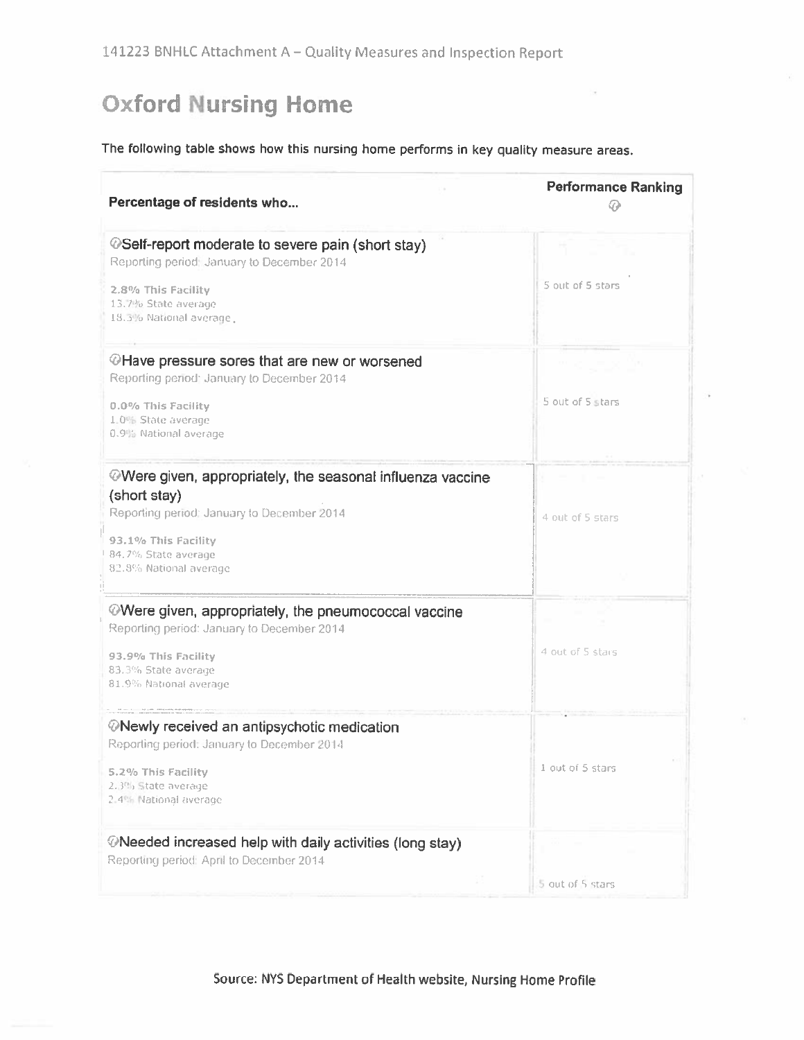# **Oxford Nursing Home**

## The following table shows how this nursing home performs in key quality measure areas.

| Percentage of residents who                                                                                   | <b>Performance Ranking</b> |
|---------------------------------------------------------------------------------------------------------------|----------------------------|
| <b><i>OSelf-report moderate to severe pain (short stay)</i></b><br>Reporting period: January to December 2014 |                            |
| 2.8% This Facility<br>13.7% State average<br>18.3% National average                                           | 5 out of 5 stars           |
| @Have pressure sores that are new or worsened<br>Reporting period: January to December 2014                   |                            |
| 0.0% This Facility<br>1.0% State average<br>0.9% National average                                             | 5 out of 5 stars           |
| Were given, appropriately, the seasonal influenza vaccine                                                     |                            |
| (short stay)<br>Reporting period: January to December 2014                                                    | 4 out of 5 stars           |
| 93.1% This Facility<br>84.7% State average<br>82.8% National average                                          |                            |
| $\circledR$ Were given, appropriately, the pneumococcal vaccine<br>Reporting period: January to December 2014 |                            |
| 93.9% This Facility<br>83.3% State average<br>81.9% National average                                          | 4 out of 5 stars           |
| <b><i>ONewly received an antipsychotic medication</i></b><br>Reporting period: January to December 2014       |                            |
| 5.2% This Facility<br>2.3% State average<br>2.4% National average                                             | 1 out of 5 stars           |
| $\oslash$ Needed increased help with daily activities (long stay)<br>Reporting period: April to December 2014 |                            |
|                                                                                                               | 5 out of 5 stars           |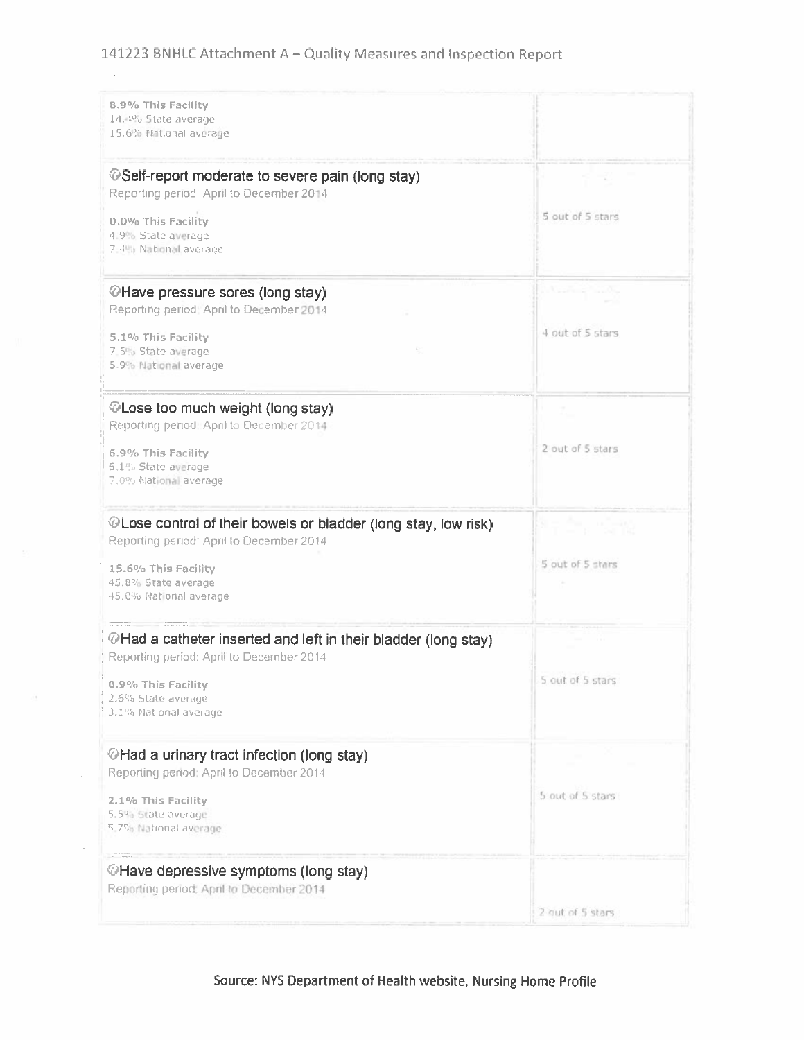## 141223 BNHLC Attachment A - Quality Measures and Inspection Report

 $\mathcal{A}^{\mathcal{A}}$ 

| 8.9% This Facility<br>14.4% State average<br>15.6% National average                                         |                  |
|-------------------------------------------------------------------------------------------------------------|------------------|
| <b><i>⊕</i>Self-report moderate to severe pain (long stay)</b><br>Reporting period April to December 2014   | 7. 72            |
| 0.0% This Facility<br>4.9% State average<br>7.4% National average                                           | 5 out of 5 stars |
| <b><i>OHave pressure sores (long stay)</i></b><br>Reporting period: April to December 2014                  |                  |
| 5.1% This Facility<br>7.5% State average<br>5.9% National average                                           | 4 out of 5 stars |
| © Lose too much weight (long stay)<br>Reporting period! April to December 2014                              |                  |
| 6.9% This Facility<br>6.1% State average<br>7.0% National average                                           | 2 out of 5 stars |
| © Lose control of their bowels or bladder (long stay, low risk)<br>Reporting period: April to December 2014 | h, sa            |
| $\frac{1}{2}$ 15.6% This Facility<br>45.8% State average<br>45.0% National average                          | 5 out of 5 stars |
| ⊙Had a catheter inserted and left in their bladder (long stay)<br>Reporting period: April to December 2014  |                  |
| 0.9% This Facility<br>2.6% State average<br>3.1% National average                                           | a out or a stars |
| <b><i>⊙</i>Had a urinary tract infection (long stay)</b><br>Reporting period: April to December 2014        |                  |
| 2.1% This Facility<br>5.5% State average<br>5.7% National average                                           | 5 out of 5 stars |
| <b><i>OHave depressive symptoms (long stay)</i></b><br>Reporting period: April to December 2014             |                  |
|                                                                                                             | 2 out of 5 stars |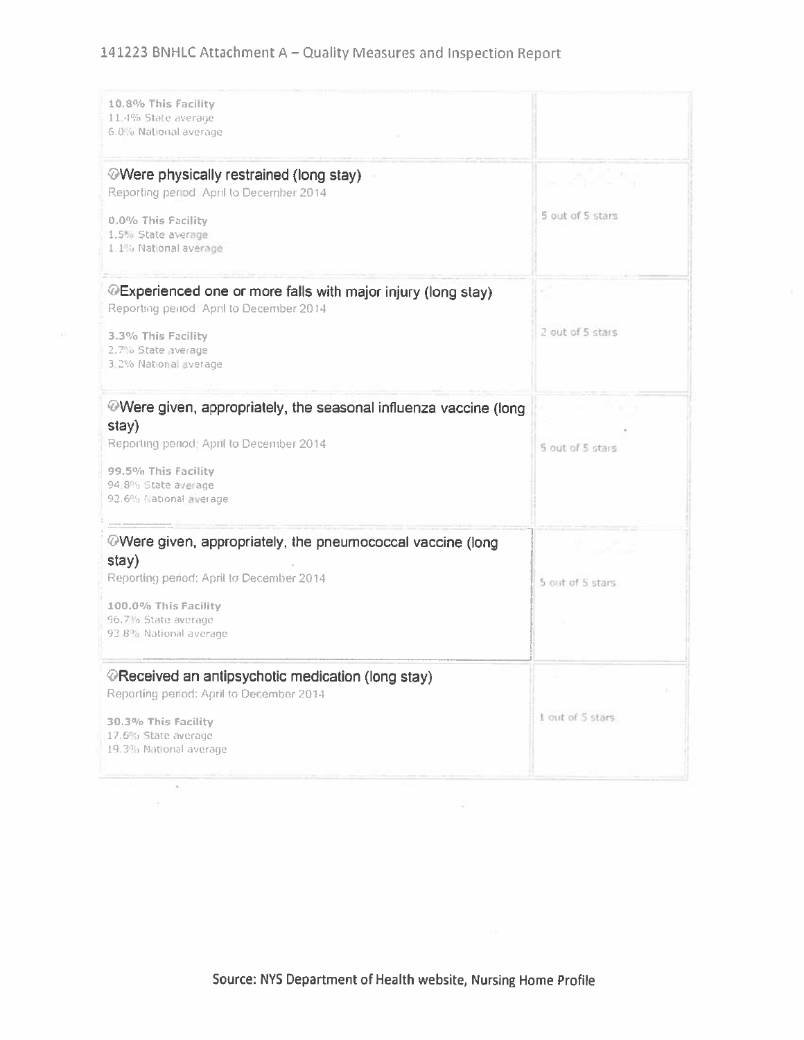## 141223 BNHLC Attachment A - Quality Measures and Inspection Report

| 10.8% This Facility<br>11.4% State average<br>6.0% National average                                                                                                                                         |                            |
|-------------------------------------------------------------------------------------------------------------------------------------------------------------------------------------------------------------|----------------------------|
| <b>Were physically restrained (long stay)</b><br>Reporting period April to December 2014<br>0.0% This Facility<br>1.5% State average<br>1.1% National average                                               | 나 너무 책<br>5 out of 5 stars |
| <b><i>O</i>Experienced one or more falls with major injury (long stay)</b><br>Reporting period April to December 2014<br>3.3% This Facility<br>2.7% State average<br>3.2% National average                  | 2 out of 5 stars           |
| $\circledcirc$ Were given, appropriately, the seasonal influenza vaccine (long<br>stay)<br>Reporting period: April to December 2014<br>99.5% This Facility<br>94.8% State average<br>92.6% National äverage | 5 out of 5 stars           |
| $\oslash$ Were given, appropriately, the pneumococcal vaccine (long<br>stay)<br>Reporting period: April to December 2014<br>100.0% This Facility<br>96.7% State average<br>93-8% National average           | 5 out of 5 stars           |
| <b><i>E</i>Received an antipsychotic medication (long stay)</b><br>Reporting period: April to December 2014<br>30.3% This Facility<br>17.6% State average<br>19.3% National average                         | 1 out of 5 stars           |

23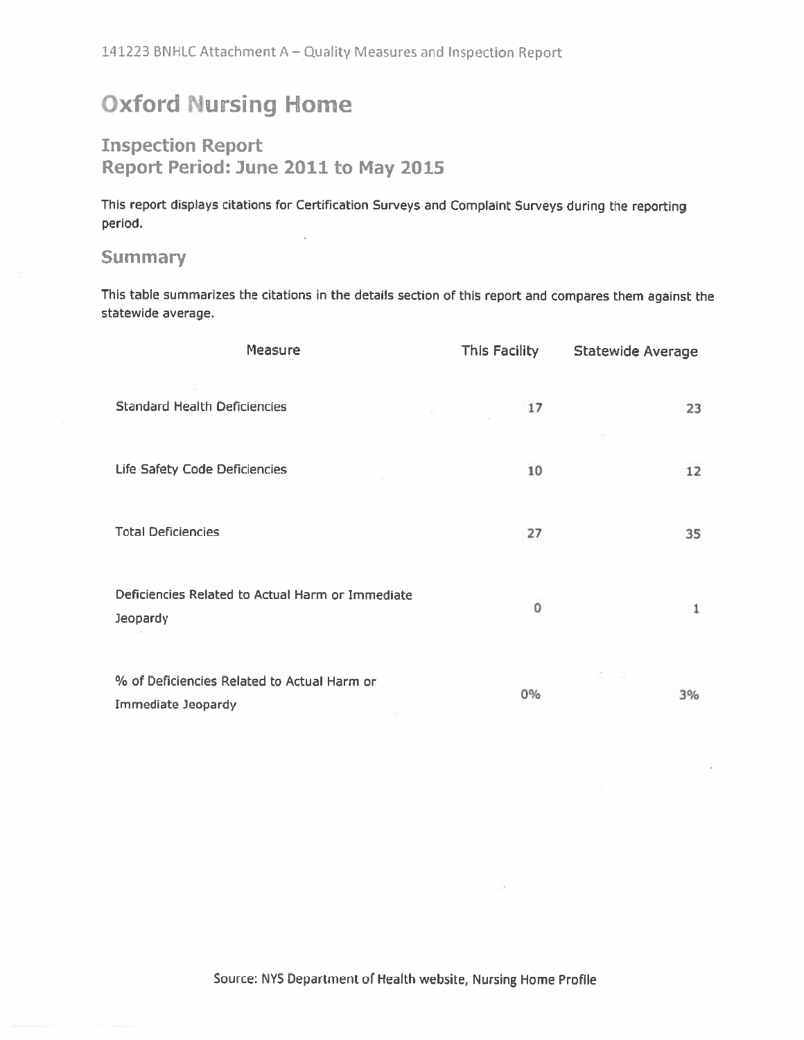# **Oxford Nursing Home**

## **Inspection Report** Report Period: June 2011 to May 2015

This report displays citations for Certification Surveys and Complaint Surveys during the reporting period.

## **Summary**

This table summarizes the citations in the details section of this report and compares them against the statewide average.

| Measure                                                           | This Facility | <b>Statewide Average</b> |
|-------------------------------------------------------------------|---------------|--------------------------|
| <b>Standard Health Deficiencies</b><br>$-45\%$                    | 17            | 23                       |
| Life Safety Code Deficiencies                                     | 10            | 12                       |
| <b>Total Deficiencies</b>                                         | 27            | 35                       |
| Deficiencies Related to Actual Harm or Immediate<br>Jeopardy      | O             | 1                        |
| % of Deficiencies Related to Actual Harm or<br>Immediate Jeopardy | $0\%$         | 3%                       |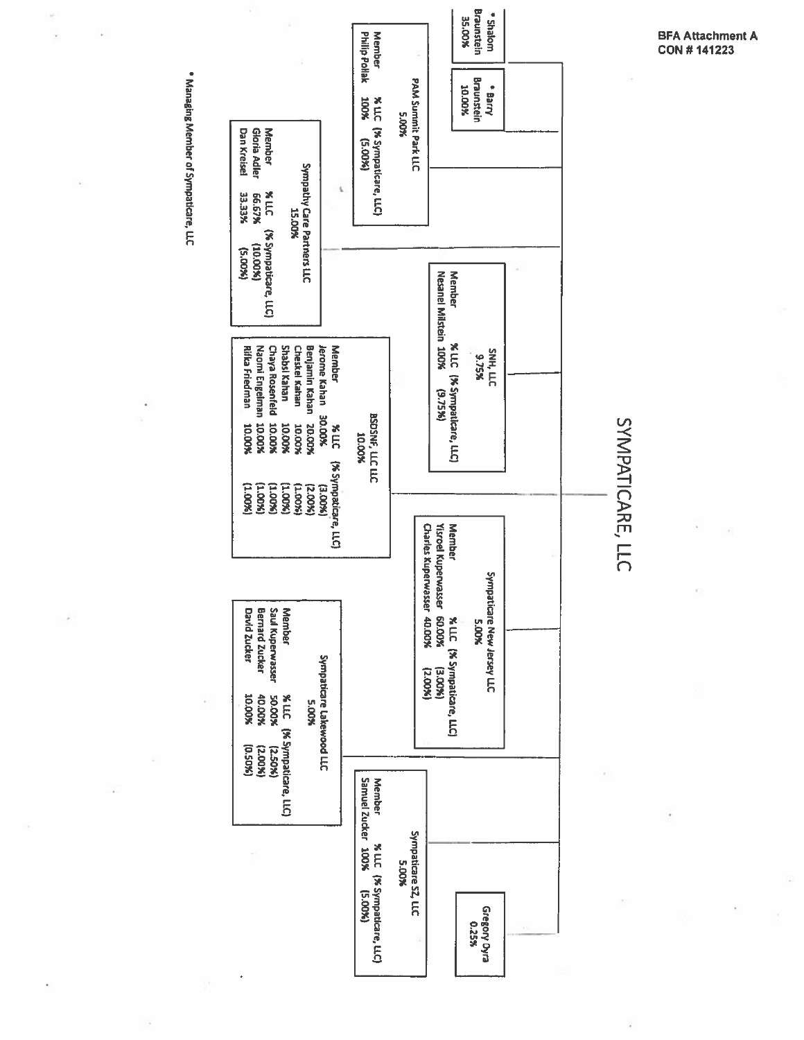

· Managing Member of Sympaticare, LLC

**BFA Attachment A<br>CON # 141223**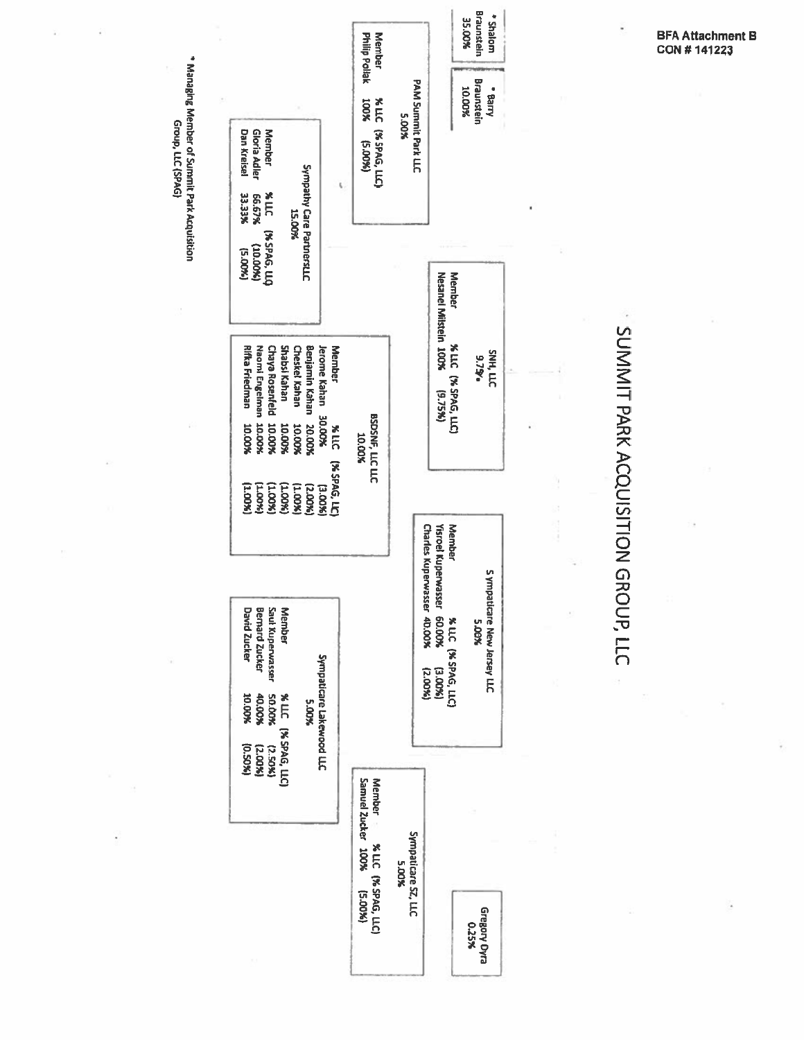

\* Managing Member of Summit Park Acquisition Group, LLC (SPAG)

**BFA Attachment B** CON #141223

SUMMIT PARK ACQUISITION GROUP, LLC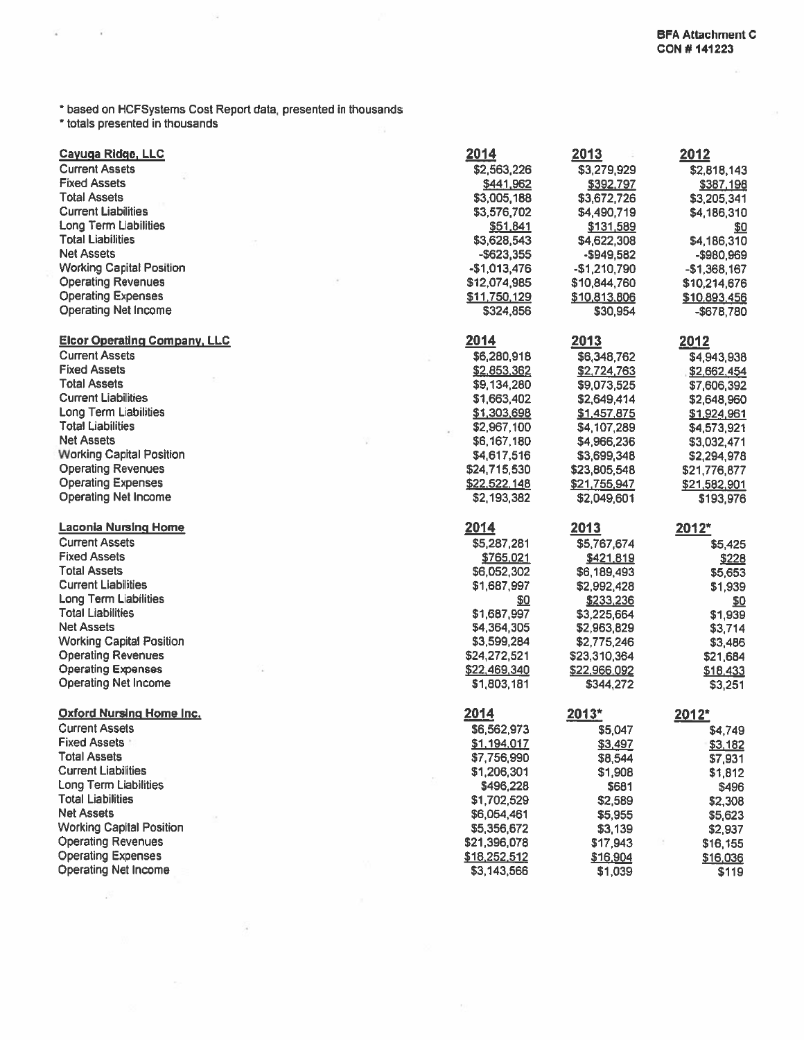\* based on HCFSystems Cost Report data, presented in thousands<br>\* totals presented in thousands

 $\lambda$ 

ä

| Cayuga Ridge, LLC                                      | 2014                         | 2013                      | <u> 2012</u>              |
|--------------------------------------------------------|------------------------------|---------------------------|---------------------------|
| <b>Current Assets</b>                                  | \$2,563,226                  | \$3,279,929               | \$2,818,143               |
| <b>Fixed Assets</b>                                    | \$441,962                    | \$392,797                 | \$387,198                 |
| <b>Total Assets</b>                                    | \$3,005,188                  | \$3,672,726               | \$3,205,341               |
| <b>Current Liabilities</b>                             | \$3,576,702                  | \$4,490,719               | \$4,186,310               |
| <b>Long Term Liabilities</b>                           | \$51,841                     | \$131,589                 | \$0                       |
| <b>Total Liabilities</b>                               | \$3,628,543                  | \$4,622,308               | \$4,186,310               |
| <b>Net Assets</b>                                      | $-$ \$623,355                | -\$949,582                | -\$980,969                |
| <b>Working Capital Position</b>                        | $-$1,013,476$                | $-$1,210,790$             | $-$1,368,167$             |
| <b>Operating Revenues</b>                              | \$12,074,985                 | \$10,844,760              | \$10,214,676              |
| <b>Operating Expenses</b>                              | \$11,750,129                 | \$10,813,806              | \$10,893,456              |
| <b>Operating Net Income</b>                            | \$324,856                    | \$30,954                  | $-$678,780$               |
| <b>Elcor Operating Company, LLC</b>                    | 2014                         | 2013                      | 2012                      |
| <b>Current Assets</b>                                  | \$6,280,918                  | \$6,348,762               | \$4,943,938               |
| <b>Fixed Assets</b>                                    | \$2,853,362                  | \$2,724,763               | \$2,662,454               |
| <b>Total Assets</b>                                    | \$9,134,280                  | \$9,073,525               | \$7,606,392               |
| <b>Current Liabilities</b>                             | \$1,663,402                  | \$2,649,414               | \$2,648,960               |
| <b>Long Term Liabilities</b>                           | \$1,303,698                  | \$1,457,875               | \$1,924,961               |
| <b>Total Liabilities</b>                               | \$2,967,100                  | \$4,107,289               | \$4,573,921               |
| <b>Net Assets</b>                                      | \$6,167,180                  | \$4,966,236               | \$3,032,471               |
| <b>Working Capital Position</b>                        | \$4,617,516                  | \$3,699,348               | \$2,294,978               |
| <b>Operating Revenues</b>                              | \$24,715,530                 | \$23,805,548              | \$21,776,877              |
| <b>Operating Expenses</b>                              | \$22,522,148                 | \$21,755,947              | \$21,582,901              |
| <b>Operating Net Income</b>                            | \$2,193,382                  | \$2,049,601               | \$193,976                 |
|                                                        |                              |                           |                           |
| <b>Laconia Nursing Home</b>                            | 2014                         | 2013                      | 2012*                     |
| <b>Current Assets</b>                                  |                              |                           |                           |
| <b>Fixed Assets</b>                                    | \$5,287,281<br>\$765,021     | \$5,767,674               | \$5,425                   |
| <b>Total Assets</b>                                    |                              | \$421,819                 | \$228                     |
| <b>Current Liabilities</b>                             | \$6,052,302                  | \$6,189,493               | \$5,653                   |
| <b>Long Term Liabilities</b>                           | \$1,687,997                  | \$2,992,428               | \$1,939                   |
| <b>Total Liabilities</b>                               | \$0                          | \$233,236                 | $\underline{\mathsf{SO}}$ |
| <b>Net Assets</b>                                      | \$1,687,997                  | \$3,225,664               | \$1,939                   |
| <b>Working Capital Position</b>                        | \$4,364,305                  | \$2,963,829               | \$3,714                   |
|                                                        | \$3,599,284                  | \$2,775,246               | \$3,486                   |
| <b>Operating Revenues</b><br><b>Operating Expenses</b> | \$24,272,521                 | \$23,310,364              | \$21,684                  |
| <b>Operating Net Income</b>                            | \$22,469,340<br>\$1,803,181  | \$22,966,092<br>\$344,272 | \$18,433<br>\$3,251       |
| <b>Oxford Nursing Home Inc.</b>                        | 2014                         |                           |                           |
| <b>Current Assets</b>                                  |                              | $2013*$                   | 2012*                     |
| <b>Fixed Assets</b>                                    | \$6,562,973                  | \$5,047                   | \$4,749                   |
| <b>Total Assets</b>                                    | \$1,194,017                  | <u>\$3,497</u>            | <u>\$3,182</u>            |
| <b>Current Liabilities</b>                             | \$7,756,990                  | \$8,544                   | \$7,931                   |
| <b>Long Term Liabilities</b>                           | \$1,206,301                  | \$1,908                   | \$1,812                   |
| <b>Total Liabilities</b>                               | \$496,228                    | \$681                     | \$496                     |
| <b>Net Assets</b>                                      | \$1,702,529                  | \$2,589                   | \$2,308                   |
|                                                        | \$6,054,461                  | \$5,955                   | \$5,623                   |
| <b>Working Capital Position</b>                        | \$5,356,672                  | \$3,139                   | \$2,937                   |
| <b>Operating Revenues</b><br><b>Operating Expenses</b> | \$21,396,078<br>\$18,252,512 | \$17,943<br>\$16,904      | \$16,155<br>\$16,036      |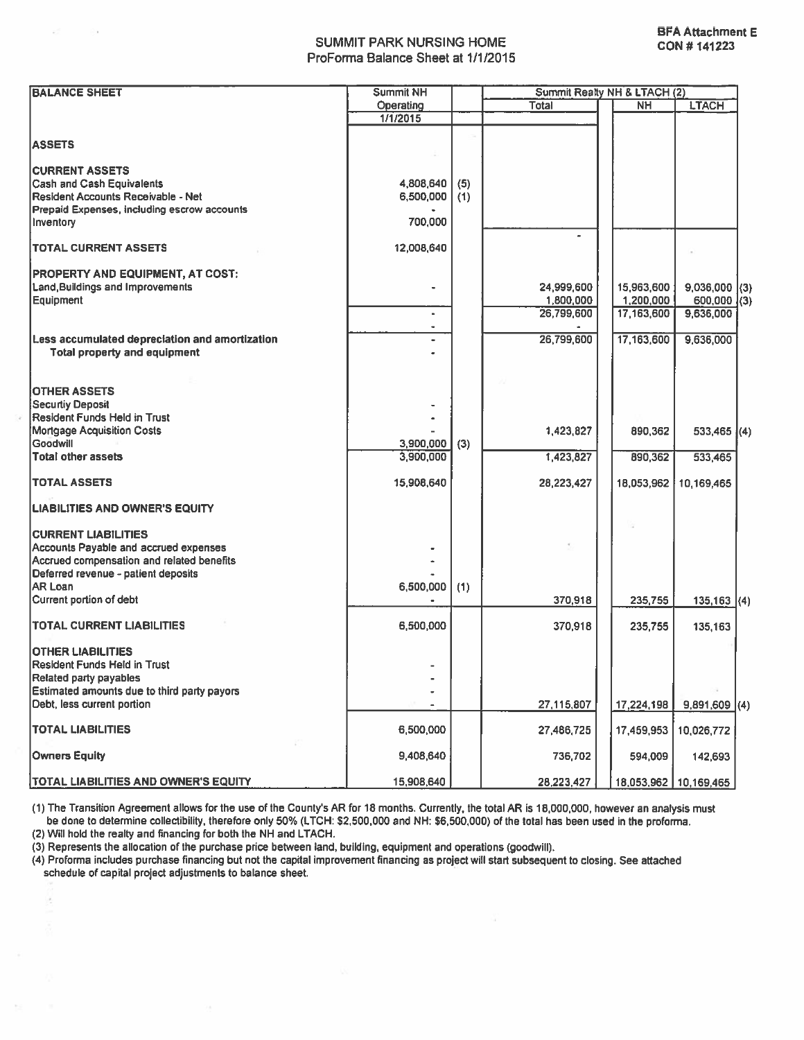#### **SUMMIT PARK NURSING HOME** ProForma Balance Sheet at 1/1/2015

| <b>BALANCE SHEET</b>                                                                  | <b>Summit NH</b> |     |              | Summit Realty NH & LTACH (2) |                         |  |
|---------------------------------------------------------------------------------------|------------------|-----|--------------|------------------------------|-------------------------|--|
|                                                                                       | Operating        |     | <b>Total</b> | NН                           | <b>LTACH</b>            |  |
|                                                                                       | 1/1/2015         |     |              |                              |                         |  |
| <b>ASSETS</b>                                                                         |                  |     |              |                              |                         |  |
|                                                                                       |                  |     |              |                              |                         |  |
| <b>CURRENT ASSETS</b>                                                                 |                  |     |              |                              |                         |  |
| <b>Cash and Cash Equivalents</b>                                                      | 4,808,640        | (5) |              |                              |                         |  |
| Resident Accounts Receivable - Net                                                    | 6,500,000        | (1) |              |                              |                         |  |
| Prepaid Expenses, including escrow accounts                                           |                  |     |              |                              |                         |  |
| Inventory                                                                             | 700,000          |     |              |                              |                         |  |
| <b>ITOTAL CURRENT ASSETS</b>                                                          | 12,008,640       |     |              |                              |                         |  |
| <b>PROPERTY AND EQUIPMENT, AT COST:</b>                                               |                  |     |              |                              |                         |  |
| Land, Buildings and Improvements                                                      |                  |     | 24,999,600   | 15,963,600                   | $9,036,000$ (3)         |  |
| Equipment                                                                             |                  |     | 1,800,000    | 1,200,000                    | $600,000$ (3)           |  |
|                                                                                       |                  |     | 26,799,600   | 17,163,600                   | 9,636,000               |  |
|                                                                                       |                  |     |              |                              |                         |  |
| Less accumulated depreciation and amortization<br><b>Total property and equipment</b> |                  |     | 26,799,600   | 17,163,600                   | 9,636,000               |  |
|                                                                                       |                  |     |              |                              |                         |  |
| <b>OTHER ASSETS</b>                                                                   |                  |     |              |                              |                         |  |
| Securtiy Deposit                                                                      |                  |     |              |                              |                         |  |
| Resident Funds Held in Trust                                                          |                  |     |              |                              |                         |  |
| Mortgage Acquisition Costs                                                            |                  |     | 1,423,827    | 890,362                      | $533,465$ (4)           |  |
| Goodwill                                                                              | 3,900,000        | (3) |              |                              |                         |  |
| Total other assets                                                                    | 3,900,000        |     | 1,423,827    | 890,362                      | 533,465                 |  |
| <b>TOTAL ASSETS</b>                                                                   | 15,908,640       |     | 28,223,427   | 18,053,962                   | 10,169,465              |  |
| <b>LIABILITIES AND OWNER'S EQUITY</b>                                                 |                  |     |              |                              |                         |  |
| <b>CURRENT LIABILITIES</b>                                                            |                  |     |              |                              |                         |  |
| Accounts Payable and accrued expenses                                                 |                  |     |              |                              |                         |  |
| Accrued compensation and related benefits                                             |                  |     |              |                              |                         |  |
| Deferred revenue - patient deposits                                                   |                  |     |              |                              |                         |  |
| <b>AR Loan</b>                                                                        | 6,500,000        | (1) |              |                              |                         |  |
| Current portion of debt                                                               |                  |     | 370,918      | 235,755                      | $135,163$ (4)           |  |
|                                                                                       |                  |     |              |                              |                         |  |
| <b>TOTAL CURRENT LIABILITIES</b>                                                      | 6,500,000        |     | 370,918      | 235,755                      | 135,163                 |  |
| <b>OTHER LIABILITIES</b>                                                              |                  |     |              |                              |                         |  |
| Resident Funds Held in Trust                                                          |                  |     |              |                              |                         |  |
| <b>Related party payables</b>                                                         |                  |     |              |                              |                         |  |
| Estimated amounts due to third party payors                                           |                  |     |              |                              |                         |  |
| Debt, less current portion                                                            |                  |     | 27,115,807   | 17,224,198                   | $9,891,609$ (4)         |  |
| <b>TOTAL LIABILITIES</b>                                                              | 6,500,000        |     | 27,486,725   | 17,459,953                   | 10,026,772              |  |
| <b>Owners Equity</b>                                                                  | 9,408,640        |     | 736,702      | 594,009                      | 142,693                 |  |
|                                                                                       |                  |     |              |                              |                         |  |
| <b>TOTAL LIABILITIES AND OWNER'S EQUITY</b>                                           | 15,908,640       |     | 28,223,427   |                              | 18,053,962   10,169,465 |  |

(1) The Transition Agreement allows for the use of the County's AR for 18 months. Currently, the total AR is 18,000,000, however an analysis must be done to determine collectibility, therefore only 50% (LTCH: \$2,500,000 and NH: \$6,500,000) of the total has been used in the proforma. (2) Will hold the realty and financing for both the NH and LTACH.

(3) Represents the allocation of the purchase price between land, building, equipment and operations (goodwill).

ò,

(4) Proforma includes purchase financing but not the capital improvement financing as project will start subsequent to closing. See attached schedule of capital project adjustments to balance sheet.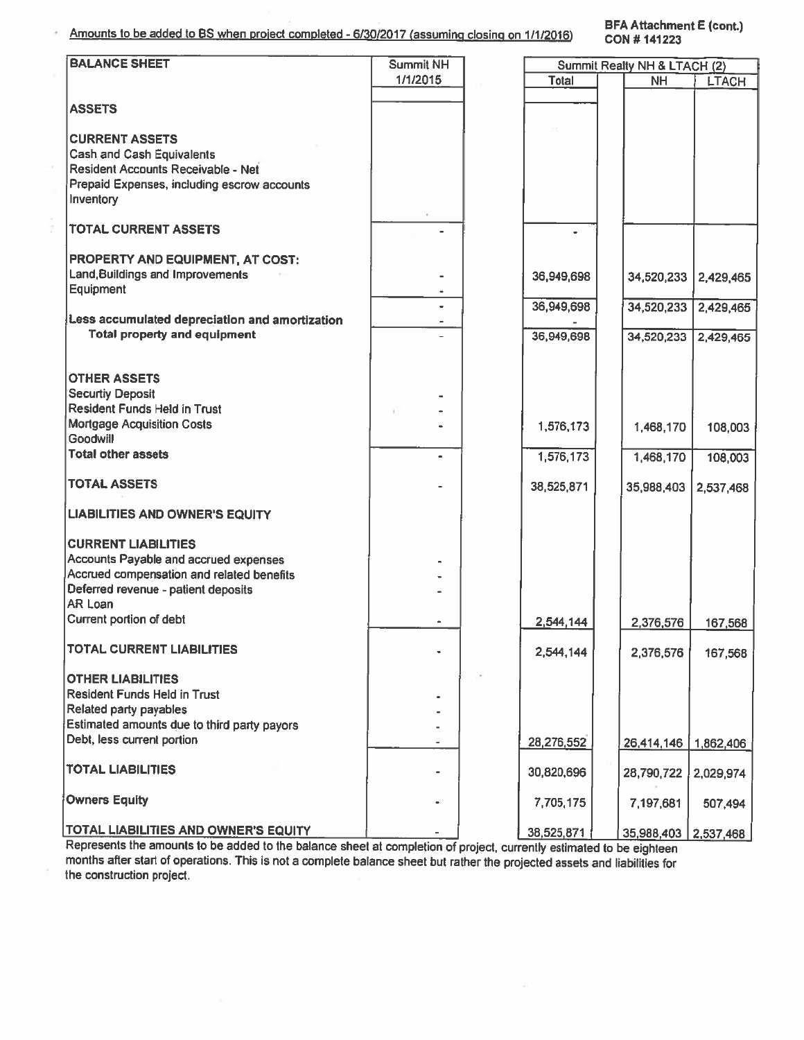Amounts to be added to BS when project completed - 6/30/2017 (assuming closing on 1/1/2016)

**BFA Attachment E (cont.)** CON #141223

| <b>BALANCE SHEET</b>                           | Summit NH |            | Summit Realty NH & LTACH (2)      |                      |  |
|------------------------------------------------|-----------|------------|-----------------------------------|----------------------|--|
|                                                | 1/1/2015  | Total      |                                   |                      |  |
|                                                |           |            | <b>NH</b>                         | <b>LTACH</b>         |  |
|                                                |           |            |                                   |                      |  |
| <b>ASSETS</b>                                  |           |            |                                   |                      |  |
|                                                |           |            |                                   |                      |  |
|                                                |           |            |                                   |                      |  |
| <b>CURRENT ASSETS</b>                          |           |            |                                   |                      |  |
| <b>Cash and Cash Equivalents</b>               |           |            |                                   |                      |  |
|                                                |           |            |                                   |                      |  |
| Resident Accounts Receivable - Net             |           |            |                                   |                      |  |
| Prepaid Expenses, including escrow accounts    |           |            |                                   |                      |  |
|                                                |           |            |                                   |                      |  |
| Inventory                                      |           |            |                                   |                      |  |
|                                                |           |            |                                   |                      |  |
| <b>TOTAL CURRENT ASSETS</b>                    |           |            |                                   |                      |  |
|                                                |           |            |                                   |                      |  |
|                                                |           |            |                                   |                      |  |
| PROPERTY AND EQUIPMENT, AT COST:               |           |            |                                   |                      |  |
| Land, Buildings and Improvements               |           | 36,949,698 |                                   |                      |  |
|                                                |           |            |                                   | 34,520,233 2,429,465 |  |
| Equipment                                      |           |            |                                   |                      |  |
|                                                |           | 36,949,698 | 34,520,233                        | 2,429,465            |  |
| Less accumulated depreciation and amortization |           |            |                                   |                      |  |
|                                                |           |            |                                   |                      |  |
| <b>Total property and equipment</b>            |           | 36,949,698 | 34,520,233                        | 2,429,465            |  |
|                                                |           |            |                                   |                      |  |
|                                                |           |            |                                   |                      |  |
|                                                |           |            |                                   |                      |  |
| <b>OTHER ASSETS</b>                            |           |            |                                   |                      |  |
| <b>Securtiy Deposit</b>                        |           |            |                                   |                      |  |
|                                                |           |            |                                   |                      |  |
| <b>Resident Funds Held in Trust</b>            |           |            |                                   |                      |  |
| <b>Mortgage Acquisition Costs</b>              |           | 1,576,173  | 1,468,170                         | 108,003              |  |
| <b>Goodwill</b>                                |           |            |                                   |                      |  |
|                                                |           |            |                                   |                      |  |
| <b>Total other assets</b>                      | $\bullet$ | 1,576,173  | 1,468,170                         | 108,003              |  |
|                                                |           |            |                                   |                      |  |
| <b>TOTAL ASSETS</b>                            |           |            |                                   |                      |  |
|                                                |           | 38,525,871 | 35,988,403                        | 2,537,468            |  |
|                                                |           |            |                                   |                      |  |
| <b>LIABILITIES AND OWNER'S EQUITY</b>          |           |            |                                   |                      |  |
|                                                |           |            |                                   |                      |  |
|                                                |           |            |                                   |                      |  |
| <b>CURRENT LIABILITIES</b>                     |           |            |                                   |                      |  |
| Accounts Payable and accrued expenses          |           |            |                                   |                      |  |
|                                                |           |            |                                   |                      |  |
| Accrued compensation and related benefits      |           |            |                                   |                      |  |
| Deferred revenue - patient deposits            |           |            |                                   |                      |  |
| AR Loan                                        |           |            |                                   |                      |  |
|                                                |           |            |                                   |                      |  |
| Current portion of debt                        |           | 2,544,144  | 2,376,576                         | 167,568              |  |
|                                                |           |            |                                   |                      |  |
| <b>TOTAL CURRENT LIABILITIES</b>               |           |            |                                   |                      |  |
|                                                |           | 2,544,144  | 2,376,576                         | 167,568              |  |
|                                                |           |            |                                   |                      |  |
| <b>OTHER LIABILITIES</b>                       |           |            |                                   |                      |  |
|                                                |           |            |                                   |                      |  |
| Resident Funds Held in Trust                   |           |            |                                   |                      |  |
| Related party payables                         |           |            |                                   |                      |  |
| Estimated amounts due to third party payors    |           |            |                                   |                      |  |
|                                                |           |            |                                   |                      |  |
| Debt, less current portion                     |           | 28,276,552 | 26,414,146                        | 1,862,406            |  |
|                                                |           |            |                                   |                      |  |
| <b>TOTAL LIABILITIES</b>                       |           |            |                                   |                      |  |
|                                                |           | 30,820,696 | 28,790,722                        | 2,029,974            |  |
|                                                |           |            |                                   |                      |  |
| <b>Owners Equity</b>                           |           | 7,705,175  |                                   |                      |  |
|                                                |           |            | 7,197,681                         | 507,494              |  |
|                                                |           |            |                                   |                      |  |
| <b>TOTAL LIABILITIES AND OWNER'S EQUITY</b>    |           | 38.525.871 | 35 988 403 $\overline{2}$ 537 468 |                      |  |

Represents the amounts to be added to the balance sheet at completion of project, currently estimated to be eighteen months after start of operations. This is not a complete balance sheet but rather the projected assets and liabilities for the construction project.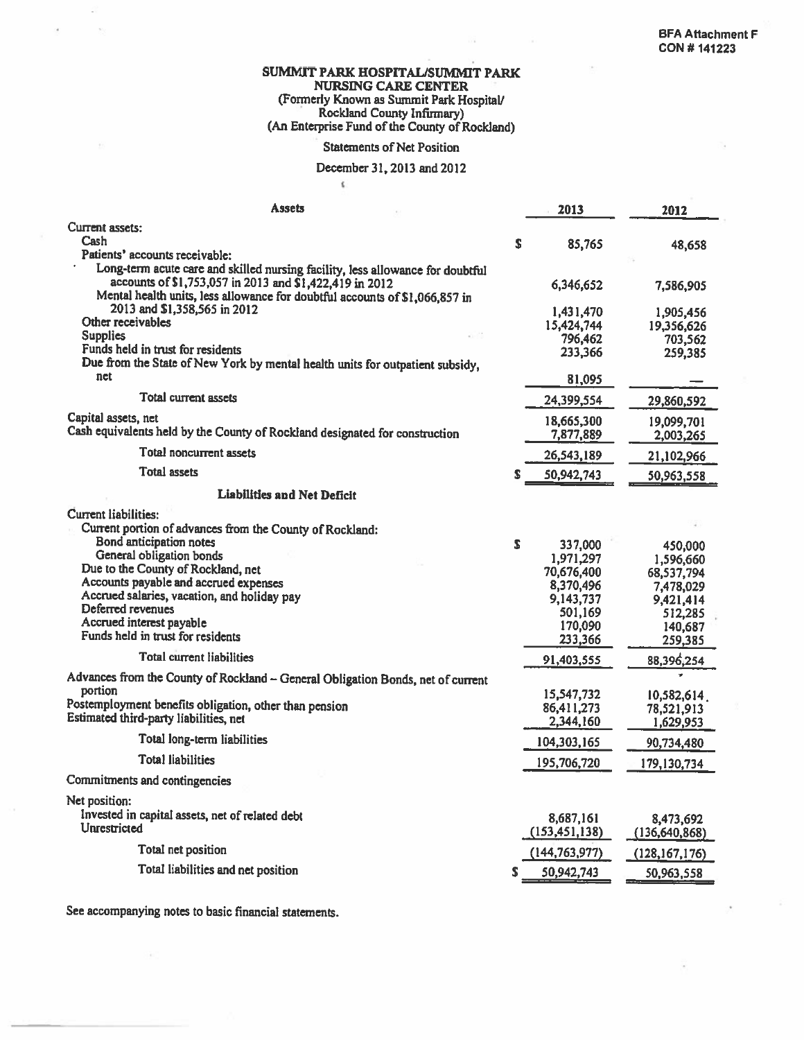## SUMMIT PARK HOSPITAL/SUMMIT PARK **NURSING CARE CENTER** (Formerly Known as Summit Park Hospital/<br>Rockland County Infirmary)<br>(An Enterprise Fund of the County of Rockland)

#### **Statements of Net Position**

### December 31, 2013 and 2012

 $\zeta$ 

| <b>Assets</b>                                                                                                                                                                                                                                                           |    | 2013                                                                                          | 2012                                                                                          |
|-------------------------------------------------------------------------------------------------------------------------------------------------------------------------------------------------------------------------------------------------------------------------|----|-----------------------------------------------------------------------------------------------|-----------------------------------------------------------------------------------------------|
| Current assets:<br>Cash<br>Patients' accounts receivable:                                                                                                                                                                                                               | s  | 85,765                                                                                        | 48,658                                                                                        |
| Long-term acute care and skilled nursing facility, less allowance for doubtful<br>accounts of \$1,753,057 in 2013 and \$1,422,419 in 2012<br>Mental health units, less allowance for doubtful accounts of \$1,066,857 in                                                |    | 6,346,652                                                                                     | 7,586,905                                                                                     |
| 2013 and \$1,358,565 in 2012<br>Other receivables<br><b>Supplies</b><br>Funds held in trust for residents                                                                                                                                                               |    | 1,431,470<br>15,424,744<br>796,462<br>233,366                                                 | 1,905,456<br>19,356,626<br>703,562<br>259,385                                                 |
| Due from the State of New York by mental health units for outpatient subsidy,<br>net                                                                                                                                                                                    |    | 81,095                                                                                        |                                                                                               |
| Total current assets                                                                                                                                                                                                                                                    |    | 24,399,554                                                                                    | 29,860,592                                                                                    |
| Capital assets, net<br>Cash equivalents held by the County of Rockland designated for construction                                                                                                                                                                      |    | 18,665,300<br>7,877,889                                                                       | 19,099,701<br>2,003,265                                                                       |
| Total noncurrent assets                                                                                                                                                                                                                                                 |    | 26,543,189                                                                                    | 21,102,966                                                                                    |
| Total assets                                                                                                                                                                                                                                                            | S  | 50,942,743                                                                                    | 50,963,558                                                                                    |
| <b>Liabilities and Net Deficit</b>                                                                                                                                                                                                                                      |    |                                                                                               |                                                                                               |
| Current liabilities:<br>Current portion of advances from the County of Rockland:                                                                                                                                                                                        |    |                                                                                               |                                                                                               |
| Bond anticipation notes<br>General obligation bonds<br>Due to the County of Rockland, net<br>Accounts payable and accrued expenses<br>Accrued salaries, vacation, and holiday pay<br>Deferred revenues<br>Accrued interest payable<br>Funds held in trust for residents | S. | 337,000<br>1,971,297<br>70,676,400<br>8,370,496<br>9,143,737<br>501,169<br>170,090<br>233,366 | 450,000<br>1,596,660<br>68,537,794<br>7,478,029<br>9,421,414<br>512,285<br>140,687<br>259,385 |
| Total current liabilities                                                                                                                                                                                                                                               |    | 91,403,555                                                                                    | 88,396,254                                                                                    |
| Advances from the County of Rockland - General Obligation Bonds, net of current<br>portion<br>Postemployment benefits obligation, other than pension<br>Estimated third-party liabilities, net<br>Total long-term liabilities<br><b>Total liabilities</b>               |    | 15,547,732<br>86,411,273<br>2,344,160<br>104,303,165<br>195,706,720                           | 10,582,614<br>78,521,913<br>1,629,953<br>90,734,480                                           |
| Commitments and contingencies                                                                                                                                                                                                                                           |    |                                                                                               | 179,130,734                                                                                   |
| Net position:<br>Invested in capital assets, net of related debt<br><b>Unrestricted</b>                                                                                                                                                                                 |    | 8,687,161                                                                                     | 8,473,692                                                                                     |
| Total net position                                                                                                                                                                                                                                                      |    | (153, 451, 138)                                                                               | (136, 640, 868)                                                                               |
| Total liabilities and net position                                                                                                                                                                                                                                      | S  | (144, 763, 977)<br>50,942,743                                                                 | (128, 167, 176)<br>50,963,558                                                                 |

See accompanying notes to basic financial statements.